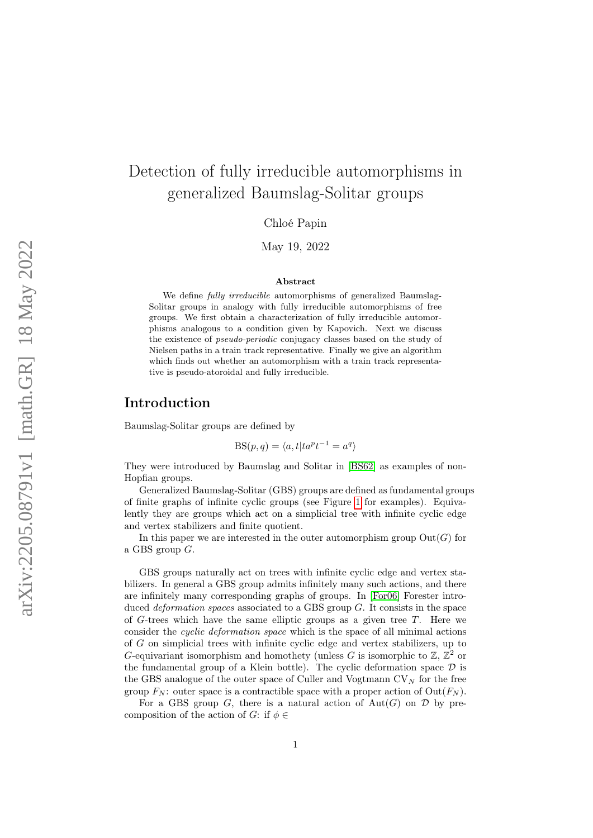# <span id="page-0-0"></span>Detection of fully irreducible automorphisms in generalized Baumslag-Solitar groups

Chloé Papin

May 19, 2022

#### Abstract

We define fully irreducible automorphisms of generalized Baumslag-Solitar groups in analogy with fully irreducible automorphisms of free groups. We first obtain a characterization of fully irreducible automorphisms analogous to a condition given by Kapovich. Next we discuss the existence of pseudo-periodic conjugacy classes based on the study of Nielsen paths in a train track representative. Finally we give an algorithm which finds out whether an automorphism with a train track representative is pseudo-atoroidal and fully irreducible.

## Introduction

Baumslag-Solitar groups are defined by

$$
BS(p, q) = \langle a, t | ta^{p}t^{-1} = a^{q} \rangle
$$

They were introduced by Baumslag and Solitar in [\[BS62\]](#page-44-0) as examples of non-Hopfian groups.

Generalized Baumslag-Solitar (GBS) groups are defined as fundamental groups of finite graphs of infinite cyclic groups (see Figure [1](#page-1-0) for examples). Equivalently they are groups which act on a simplicial tree with infinite cyclic edge and vertex stabilizers and finite quotient.

In this paper we are interested in the outer automorphism group  $Out(G)$  for a GBS group G.

GBS groups naturally act on trees with infinite cyclic edge and vertex stabilizers. In general a GBS group admits infinitely many such actions, and there are infinitely many corresponding graphs of groups. In [\[For06\]](#page-44-1) Forester introduced *deformation spaces* associated to a GBS group  $G$ . It consists in the space of G-trees which have the same elliptic groups as a given tree  $T$ . Here we consider the cyclic deformation space which is the space of all minimal actions of G on simplicial trees with infinite cyclic edge and vertex stabilizers, up to G-equivariant isomorphism and homothety (unless G is isomorphic to  $\mathbb{Z}, \mathbb{Z}^2$  or the fundamental group of a Klein bottle). The cyclic deformation space  $D$  is the GBS analogue of the outer space of Culler and Vogtmann  $CV_N$  for the free group  $F_N$ : outer space is a contractible space with a proper action of  $Out(F_N)$ .

For a GBS group G, there is a natural action of  $Aut(G)$  on D by precomposition of the action of G: if  $\phi \in$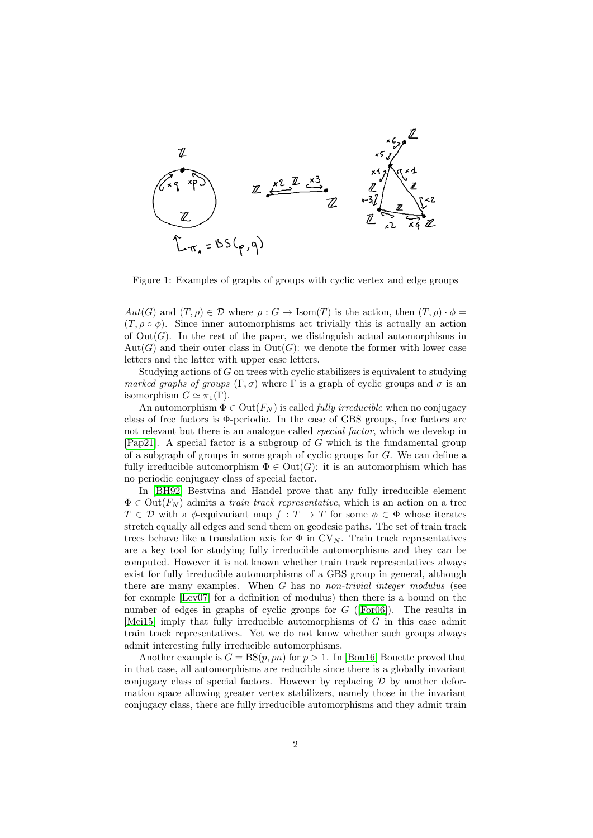

<span id="page-1-0"></span>Figure 1: Examples of graphs of groups with cyclic vertex and edge groups

 $Aut(G)$  and  $(T, \rho) \in \mathcal{D}$  where  $\rho : G \to \text{Isom}(T)$  is the action, then  $(T, \rho) \cdot \phi =$  $(T, \rho \circ \phi)$ . Since inner automorphisms act trivially this is actually an action of  $Out(G)$ . In the rest of the paper, we distinguish actual automorphisms in  $Aut(G)$  and their outer class in  $Out(G)$ : we denote the former with lower case letters and the latter with upper case letters.

Studying actions of G on trees with cyclic stabilizers is equivalent to studying marked graphs of groups  $(\Gamma, \sigma)$  where  $\Gamma$  is a graph of cyclic groups and  $\sigma$  is an isomorphism  $G \simeq \pi_1(\Gamma)$ .

An automorphism  $\Phi \in \text{Out}(F_N)$  is called *fully irreducible* when no conjugacy class of free factors is Φ-periodic. In the case of GBS groups, free factors are not relevant but there is an analogue called *special factor*, which we develop in [\[Pap21\]](#page-45-0). A special factor is a subgroup of  $G$  which is the fundamental group of a subgraph of groups in some graph of cyclic groups for G. We can define a fully irreducible automorphism  $\Phi \in Out(G)$ : it is an automorphism which has no periodic conjugacy class of special factor.

In [\[BH92\]](#page-44-2) Bestvina and Handel prove that any fully irreducible element  $\Phi \in \text{Out}(F_N)$  admits a *train track representative*, which is an action on a tree  $T \in \mathcal{D}$  with a  $\phi$ -equivariant map  $f : T \to T$  for some  $\phi \in \Phi$  whose iterates stretch equally all edges and send them on geodesic paths. The set of train track trees behave like a translation axis for  $\Phi$  in CV<sub>N</sub>. Train track representatives are a key tool for studying fully irreducible automorphisms and they can be computed. However it is not known whether train track representatives always exist for fully irreducible automorphisms of a GBS group in general, although there are many examples. When G has no *non-trivial integer modulus* (see for example [\[Lev07\]](#page-45-1) for a definition of modulus) then there is a bound on the number of edges in graphs of cyclic groups for  $G$  ([\[For06\]](#page-44-1)). The results in [\[Mei15\]](#page-45-2) imply that fully irreducible automorphisms of G in this case admit train track representatives. Yet we do not know whether such groups always admit interesting fully irreducible automorphisms.

Another example is  $G = BS(p, pn)$  for  $p > 1$ . In [\[Bou16\]](#page-44-3) Bouette proved that in that case, all automorphisms are reducible since there is a globally invariant conjugacy class of special factors. However by replacing  $\mathcal D$  by another deformation space allowing greater vertex stabilizers, namely those in the invariant conjugacy class, there are fully irreducible automorphisms and they admit train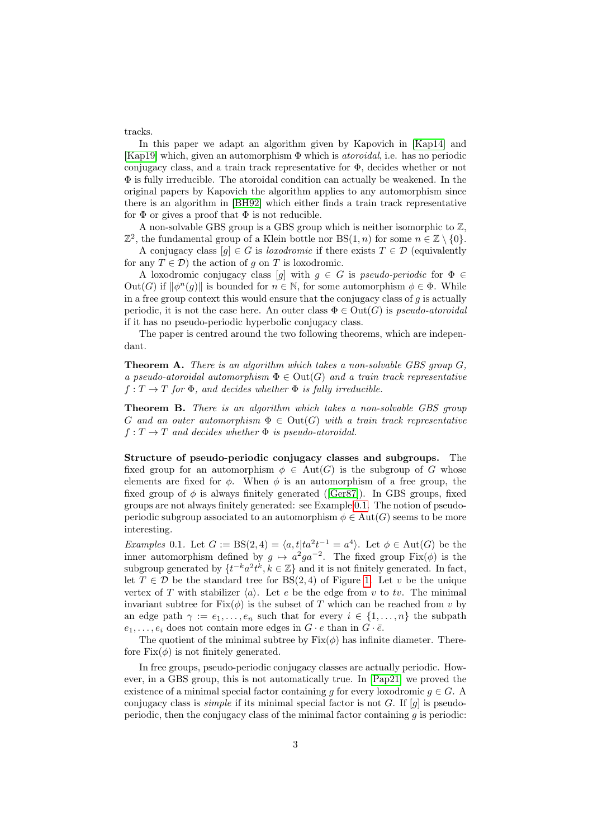tracks.

In this paper we adapt an algorithm given by Kapovich in [\[Kap14\]](#page-44-4) and [\[Kap19\]](#page-45-3) which, given an automorphism  $\Phi$  which is *atoroidal*, i.e. has no periodic conjugacy class, and a train track representative for Φ, decides whether or not  $\Phi$  is fully irreducible. The atoroidal condition can actually be weakened. In the original papers by Kapovich the algorithm applies to any automorphism since there is an algorithm in [\[BH92\]](#page-44-2) which either finds a train track representative for  $\Phi$  or gives a proof that  $\Phi$  is not reducible.

A non-solvable GBS group is a GBS group which is neither isomorphic to  $\mathbb{Z}$ ,  $\mathbb{Z}^2$ , the fundamental group of a Klein bottle nor BS(1, n) for some  $n \in \mathbb{Z} \setminus \{0\}$ .

A conjugacy class  $[g] \in G$  is *loxodromic* if there exists  $T \in \mathcal{D}$  (equivalently for any  $T \in \mathcal{D}$ ) the action of g on T is loxodromic.

A loxodromic conjugacy class [g] with  $g \in G$  is pseudo-periodic for  $\Phi \in$ Out(G) if  $\|\phi^n(g)\|$  is bounded for  $n \in \mathbb{N}$ , for some automorphism  $\phi \in \Phi$ . While in a free group context this would ensure that the conjugacy class of  $q$  is actually periodic, it is not the case here. An outer class  $\Phi \in \text{Out}(G)$  is *pseudo-atoroidal* if it has no pseudo-periodic hyperbolic conjugacy class.

The paper is centred around the two following theorems, which are independant.

<span id="page-2-2"></span>**Theorem A.** There is an algorithm which takes a non-solvable GBS group  $G$ . a pseudo-atoroidal automorphism  $\Phi \in Out(G)$  and a train track representative  $f: T \to T$  for  $\Phi$ , and decides whether  $\Phi$  is fully irreducible.

<span id="page-2-1"></span>Theorem B. There is an algorithm which takes a non-solvable GBS group G and an outer automorphism  $\Phi \in \text{Out}(G)$  with a train track representative  $f: T \to T$  and decides whether  $\Phi$  is pseudo-atoroidal.

Structure of pseudo-periodic conjugacy classes and subgroups. The fixed group for an automorphism  $\phi \in Aut(G)$  is the subgroup of G whose elements are fixed for  $\phi$ . When  $\phi$  is an automorphism of a free group, the fixed group of  $\phi$  is always finitely generated ([\[Ger87\]](#page-44-5)). In GBS groups, fixed groups are not always finitely generated: see Example [0.1.](#page-2-0) The notion of pseudoperiodic subgroup associated to an automorphism  $\phi \in \text{Aut}(G)$  seems to be more interesting.

<span id="page-2-0"></span>*Examples* 0.1. Let  $G := BS(2, 4) = \langle a, t | ta^2t^{-1} = a^4 \rangle$ . Let  $\phi \in Aut(G)$  be the inner automorphism defined by  $g \mapsto a^2 g a^{-2}$ . The fixed group Fix $(\phi)$  is the subgroup generated by  $\{t^{-k}a^2t^{\overline{k}}, \overline{k} \in \mathbb{Z}\}\$  and it is not finitely generated. In fact, let  $T \in \mathcal{D}$  be the standard tree for BS(2,4) of Figure [1.](#page-1-0) Let v be the unique vertex of T with stabilizer  $\langle a \rangle$ . Let e be the edge from v to tv. The minimal invariant subtree for  $Fix(\phi)$  is the subset of T which can be reached from v by an edge path  $\gamma := e_1, \ldots, e_n$  such that for every  $i \in \{1, \ldots, n\}$  the subpath  $e_1, \ldots, e_i$  does not contain more edges in  $G \cdot e$  than in  $G \cdot \overline{e}$ .

The quotient of the minimal subtree by  $Fix(\phi)$  has infinite diameter. Therefore  $Fix(\phi)$  is not finitely generated.

In free groups, pseudo-periodic conjugacy classes are actually periodic. However, in a GBS group, this is not automatically true. In [\[Pap21\]](#page-45-0) we proved the existence of a minimal special factor containing g for every loxodromic  $g \in G$ . A conjugacy class is *simple* if its minimal special factor is not G. If  $[q]$  is pseudoperiodic, then the conjugacy class of the minimal factor containing  $q$  is periodic: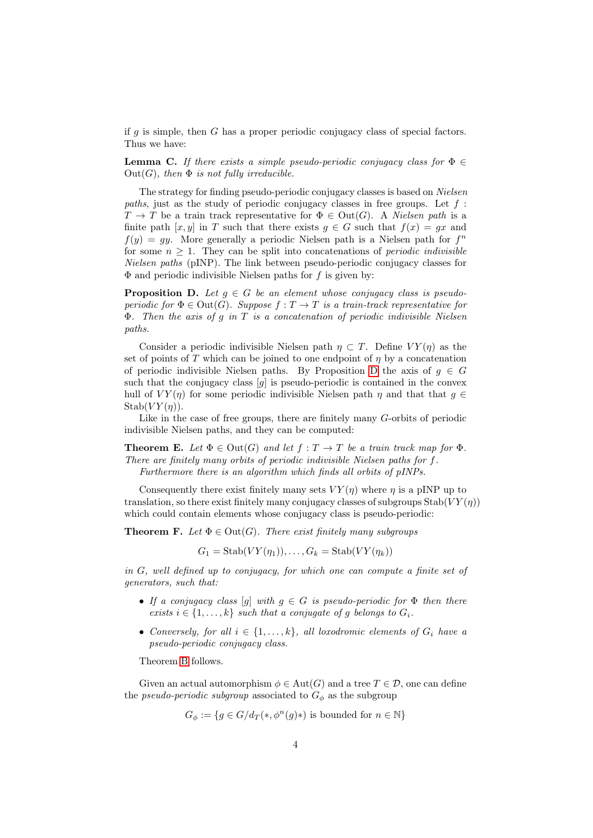if  $g$  is simple, then  $G$  has a proper periodic conjugacy class of special factors. Thus we have:

**Lemma C.** If there exists a simple pseudo-periodic conjugacy class for  $\Phi \in$  $Out(G)$ , then  $\Phi$  is not fully irreducible.

The strategy for finding pseudo-periodic conjugacy classes is based on Nielsen paths, just as the study of periodic conjugacy classes in free groups. Let  $f$ :  $T \to T$  be a train track representative for  $\Phi \in \text{Out}(G)$ . A *Nielsen path* is a finite path [x, y] in T such that there exists  $g \in G$  such that  $f(x) = gx$  and  $f(y) = gy$ . More generally a periodic Nielsen path is a Nielsen path for  $f<sup>n</sup>$ for some  $n \geq 1$ . They can be split into concatenations of *periodic indivisible* Nielsen paths (pINP). The link between pseudo-periodic conjugacy classes for  $\Phi$  and periodic indivisible Nielsen paths for f is given by:

<span id="page-3-0"></span>**Proposition D.** Let  $q \in G$  be an element whose conjugacy class is pseudoperiodic for  $\Phi \in \text{Out}(G)$ . Suppose  $f: T \to T$  is a train-track representative for  $\Phi$ . Then the axis of g in T is a concatenation of periodic indivisible Nielsen paths.

Consider a periodic indivisible Nielsen path  $\eta \subset T$ . Define  $VY(\eta)$  as the set of points of T which can be joined to one endpoint of  $\eta$  by a concatenation of periodic indivisible Nielsen paths. By Proposition [D](#page-3-0) the axis of  $g \in G$ such that the conjugacy class  $[g]$  is pseudo-periodic is contained in the convex hull of  $VY(\eta)$  for some periodic indivisible Nielsen path  $\eta$  and that that  $g \in$  $Stab(VY(\eta)).$ 

Like in the case of free groups, there are finitely many G-orbits of periodic indivisible Nielsen paths, and they can be computed:

**Theorem E.** Let  $\Phi \in \text{Out}(G)$  and let  $f : T \to T$  be a train track map for  $\Phi$ . There are finitely many orbits of periodic indivisible Nielsen paths for f. Furthermore there is an algorithm which finds all orbits of pINPs.

Consequently there exist finitely many sets  $VY(\eta)$  where  $\eta$  is a pINP up to translation, so there exist finitely many conjugacy classes of subgroups  $\text{Stab}(VY(\eta))$ which could contain elements whose conjugacy class is pseudo-periodic:

**Theorem F.** Let  $\Phi \in \text{Out}(G)$ . There exist finitely many subgroups

 $G_1 = \text{Stab}(VY(\eta_1)), \ldots, G_k = \text{Stab}(VY(\eta_k))$ 

in G, well defined up to conjugacy, for which one can compute a finite set of generators, such that:

- If a conjugacy class  $[q]$  with  $q \in G$  is pseudo-periodic for  $\Phi$  then there exists  $i \in \{1, \ldots, k\}$  such that a conjugate of g belongs to  $G_i$ .
- Conversely, for all  $i \in \{1, ..., k\}$ , all loxodromic elements of  $G_i$  have a pseudo-periodic conjugacy class.

Theorem [B](#page-2-1) follows.

Given an actual automorphism  $\phi \in \text{Aut}(G)$  and a tree  $T \in \mathcal{D}$ , one can define the *pseudo-periodic subgroup* associated to  $G_{\phi}$  as the subgroup

$$
G_{\phi} := \{ g \in G/d_T(*, \phi^n(g)* ) \text{ is bounded for } n \in \mathbb{N} \}
$$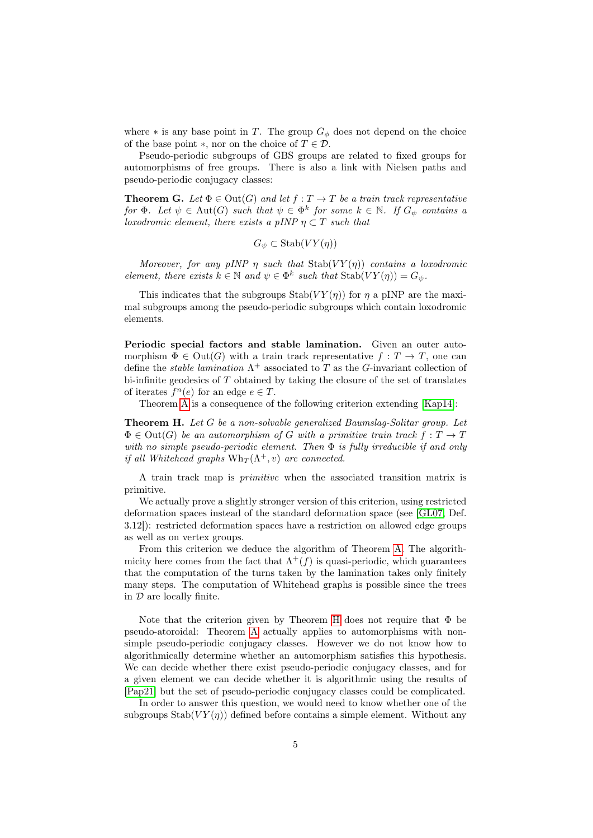where  $*$  is any base point in T. The group  $G_{\phi}$  does not depend on the choice of the base point  $*$ , nor on the choice of  $T \in \mathcal{D}$ .

Pseudo-periodic subgroups of GBS groups are related to fixed groups for automorphisms of free groups. There is also a link with Nielsen paths and pseudo-periodic conjugacy classes:

**Theorem G.** Let  $\Phi \in \text{Out}(G)$  and let  $f: T \to T$  be a train track representative for  $\Phi$ . Let  $\psi \in Aut(G)$  such that  $\psi \in \Phi^k$  for some  $k \in \mathbb{N}$ . If  $G_{\psi}$  contains a loxodromic element, there exists a pINP  $\eta \subset T$  such that

$$
G_{\psi} \subset \text{Stab}(VY(\eta))
$$

Moreover, for any pINP  $\eta$  such that Stab(VY( $\eta$ )) contains a loxodromic element, there exists  $k \in \mathbb{N}$  and  $\psi \in \Phi^k$  such that  $\text{Stab}(VY(\eta)) = G_{\psi}$ .

This indicates that the subgroups  $\text{Stab}(VY(\eta))$  for  $\eta$  a pINP are the maximal subgroups among the pseudo-periodic subgroups which contain loxodromic elements.

Periodic special factors and stable lamination. Given an outer automorphism  $\Phi \in \text{Out}(G)$  with a train track representative  $f: T \to T$ , one can define the *stable lamination*  $\Lambda^+$  associated to T as the G-invariant collection of bi-infinite geodesics of  $T$  obtained by taking the closure of the set of translates of iterates  $f^{n}(e)$  for an edge  $e \in T$ .

Theorem [A](#page-2-2) is a consequence of the following criterion extending [\[Kap14\]](#page-44-4):

<span id="page-4-0"></span>Theorem H. Let G be a non-solvable generalized Baumslag-Solitar group. Let  $\Phi \in \text{Out}(G)$  be an automorphism of G with a primitive train track  $f: T \to T$ with no simple pseudo-periodic element. Then  $\Phi$  is fully irreducible if and only if all Whitehead graphs  $Wh_T(\Lambda^+, v)$  are connected.

A train track map is primitive when the associated transition matrix is primitive.

We actually prove a slightly stronger version of this criterion, using restricted deformation spaces instead of the standard deformation space (see [\[GL07,](#page-44-6) Def. 3.12]): restricted deformation spaces have a restriction on allowed edge groups as well as on vertex groups.

From this criterion we deduce the algorithm of Theorem [A.](#page-2-2) The algorithmicity here comes from the fact that  $\Lambda^+(f)$  is quasi-periodic, which guarantees that the computation of the turns taken by the lamination takes only finitely many steps. The computation of Whitehead graphs is possible since the trees in  $D$  are locally finite.

Note that the criterion given by Theorem [H](#page-4-0) does not require that  $\Phi$  be pseudo-atoroidal: Theorem [A](#page-2-2) actually applies to automorphisms with nonsimple pseudo-periodic conjugacy classes. However we do not know how to algorithmically determine whether an automorphism satisfies this hypothesis. We can decide whether there exist pseudo-periodic conjugacy classes, and for a given element we can decide whether it is algorithmic using the results of [\[Pap21\]](#page-45-0) but the set of pseudo-periodic conjugacy classes could be complicated.

In order to answer this question, we would need to know whether one of the subgroups  $\text{Stab}(VY(n))$  defined before contains a simple element. Without any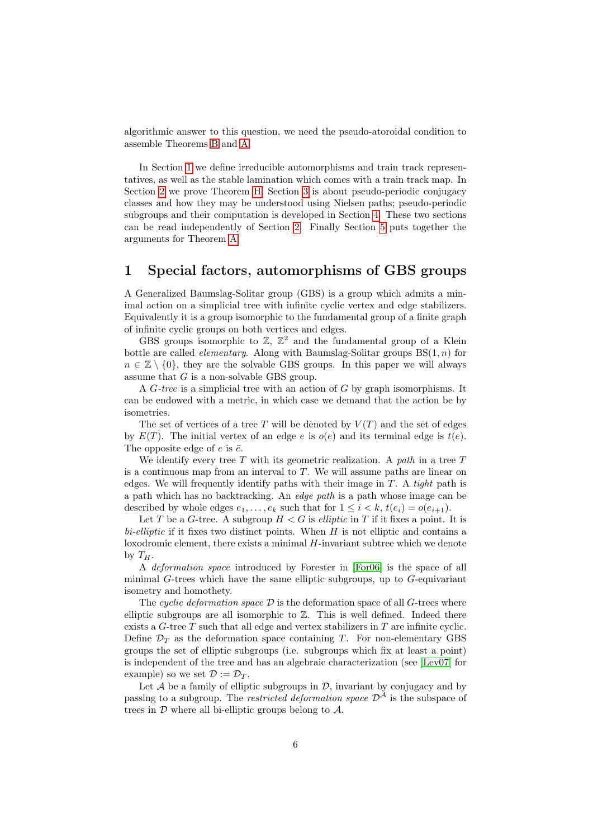algorithmic answer to this question, we need the pseudo-atoroidal condition to assemble Theorems [B](#page-2-1) and [A.](#page-2-2)

In Section [1](#page-5-0) we define irreducible automorphisms and train track representatives, as well as the stable lamination which comes with a train track map. In Section [2](#page-17-0) we prove Theorem [H.](#page-4-0) Section [3](#page-21-0) is about pseudo-periodic conjugacy classes and how they may be understood using Nielsen paths; pseudo-periodic subgroups and their computation is developed in Section [4.](#page-32-0) These two sections can be read independently of Section [2.](#page-17-0) Finally Section [5](#page-43-0) puts together the arguments for Theorem [A.](#page-2-2)

## <span id="page-5-0"></span>1 Special factors, automorphisms of GBS groups

A Generalized Baumslag-Solitar group (GBS) is a group which admits a minimal action on a simplicial tree with infinite cyclic vertex and edge stabilizers. Equivalently it is a group isomorphic to the fundamental group of a finite graph of infinite cyclic groups on both vertices and edges.

GBS groups isomorphic to  $\mathbb{Z}$ ,  $\mathbb{Z}^2$  and the fundamental group of a Klein bottle are called *elementary*. Along with Baumslag-Solitar groups  $BS(1, n)$  for  $n \in \mathbb{Z} \setminus \{0\}$ , they are the solvable GBS groups. In this paper we will always assume that  $G$  is a non-solvable GBS group.

A  $G$ -tree is a simplicial tree with an action of  $G$  by graph isomorphisms. It can be endowed with a metric, in which case we demand that the action be by isometries.

The set of vertices of a tree T will be denoted by  $V(T)$  and the set of edges by  $E(T)$ . The initial vertex of an edge e is  $o(e)$  and its terminal edge is  $t(e)$ . The opposite edge of e is  $\bar{e}$ .

We identify every tree T with its geometric realization. A path in a tree  $T$ is a continuous map from an interval to  $T$ . We will assume paths are linear on edges. We will frequently identify paths with their image in  $T$ . A tight path is a path which has no backtracking. An edge path is a path whose image can be described by whole edges  $e_1, \ldots, e_k$  such that for  $1 \leq i < k$ ,  $t(e_i) = o(e_{i+1})$ .

Let T be a G-tree. A subgroup  $H < G$  is *elliptic* in T if it fixes a point. It is  $bi-elliptic$  if it fixes two distinct points. When  $H$  is not elliptic and contains a loxodromic element, there exists a minimal H-invariant subtree which we denote by  $T_H$ .

A deformation space introduced by Forester in [\[For06\]](#page-44-1) is the space of all minimal  $G$ -trees which have the same elliptic subgroups, up to  $G$ -equivariant isometry and homothety.

The cyclic deformation space  $\mathcal D$  is the deformation space of all G-trees where elliptic subgroups are all isomorphic to  $\mathbb{Z}$ . This is well defined. Indeed there exists a  $G$ -tree  $T$  such that all edge and vertex stabilizers in  $T$  are infinite cyclic. Define  $\mathcal{D}_T$  as the deformation space containing T. For non-elementary GBS groups the set of elliptic subgroups (i.e. subgroups which fix at least a point) is independent of the tree and has an algebraic characterization (see [\[Lev07\]](#page-45-1) for example) so we set  $\mathcal{D} := \mathcal{D}_T$ .

Let  $A$  be a family of elliptic subgroups in  $D$ , invariant by conjugacy and by passing to a subgroup. The *restricted deformation space*  $\mathcal{D}^{\mathcal{A}}$  is the subspace of trees in  $\mathcal D$  where all bi-elliptic groups belong to  $\mathcal A$ .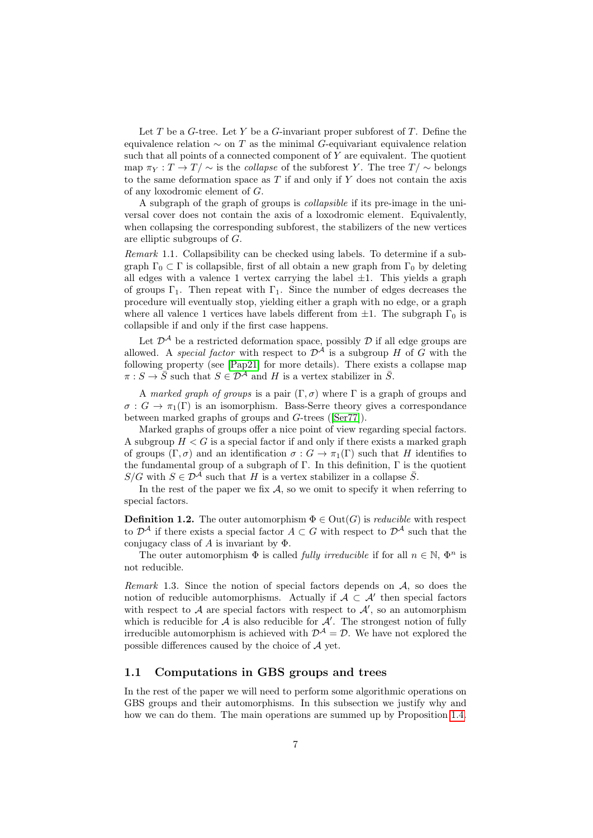Let  $T$  be a  $G$ -tree. Let  $Y$  be a  $G$ -invariant proper subforest of  $T$ . Define the equivalence relation  $\sim$  on T as the minimal G-equivariant equivalence relation such that all points of a connected component of  $Y$  are equivalent. The quotient map  $\pi_Y : T \to T' \sim$  is the *collapse* of the subforest Y. The tree  $T/\sim$  belongs to the same deformation space as  $T$  if and only if  $Y$  does not contain the axis of any loxodromic element of G.

A subgraph of the graph of groups is collapsible if its pre-image in the universal cover does not contain the axis of a loxodromic element. Equivalently, when collapsing the corresponding subforest, the stabilizers of the new vertices are elliptic subgroups of G.

Remark 1.1. Collapsibility can be checked using labels. To determine if a subgraph  $\Gamma_0 \subset \Gamma$  is collapsible, first of all obtain a new graph from  $\Gamma_0$  by deleting all edges with a valence 1 vertex carrying the label  $\pm 1$ . This yields a graph of groups  $\Gamma_1$ . Then repeat with  $\Gamma_1$ . Since the number of edges decreases the procedure will eventually stop, yielding either a graph with no edge, or a graph where all valence 1 vertices have labels different from  $\pm 1$ . The subgraph  $\Gamma_0$  is collapsible if and only if the first case happens.

Let  $\mathcal{D}^{\mathcal{A}}$  be a restricted deformation space, possibly  $\mathcal D$  if all edge groups are allowed. A *special factor* with respect to  $\mathcal{D}^{\mathcal{A}}$  is a subgroup H of G with the following property (see [\[Pap21\]](#page-45-0) for more details). There exists a collapse map  $\pi : S \to \overline{S}$  such that  $S \in \mathcal{D}^{\mathcal{A}}$  and H is a vertex stabilizer in  $\overline{S}$ .

A marked graph of groups is a pair  $(\Gamma, \sigma)$  where  $\Gamma$  is a graph of groups and  $\sigma: G \to \pi_1(\Gamma)$  is an isomorphism. Bass-Serre theory gives a correspondance between marked graphs of groups and G-trees ([\[Ser77\]](#page-45-4)).

Marked graphs of groups offer a nice point of view regarding special factors. A subgroup  $H < G$  is a special factor if and only if there exists a marked graph of groups  $(\Gamma, \sigma)$  and an identification  $\sigma : G \to \pi_1(\Gamma)$  such that H identifies to the fundamental group of a subgraph of  $\Gamma$ . In this definition,  $\Gamma$  is the quotient  $S/G$  with  $S \in \mathcal{D}^{\mathcal{A}}$  such that H is a vertex stabilizer in a collapse  $\overline{S}$ .

In the rest of the paper we fix  $A$ , so we omit to specify it when referring to special factors.

**Definition 1.2.** The outer automorphism  $\Phi \in \text{Out}(G)$  is *reducible* with respect to  $\mathcal{D}^{\mathcal{A}}$  if there exists a special factor  $A \subset G$  with respect to  $\mathcal{D}^{\mathcal{A}}$  such that the conjugacy class of A is invariant by  $\Phi$ .

The outer automorphism  $\Phi$  is called *fully irreducible* if for all  $n \in \mathbb{N}$ ,  $\Phi^n$  is not reducible.

Remark 1.3. Since the notion of special factors depends on  $A$ , so does the notion of reducible automorphisms. Actually if  $A \subset A'$  then special factors with respect to  $A$  are special factors with respect to  $A'$ , so an automorphism which is reducible for  $A$  is also reducible for  $A'$ . The strongest notion of fully irreducible automorphism is achieved with  $\mathcal{D}^{\mathcal{A}} = \mathcal{D}$ . We have not explored the possible differences caused by the choice of A yet.

#### 1.1 Computations in GBS groups and trees

In the rest of the paper we will need to perform some algorithmic operations on GBS groups and their automorphisms. In this subsection we justify why and how we can do them. The main operations are summed up by Proposition [1.4.](#page-7-0)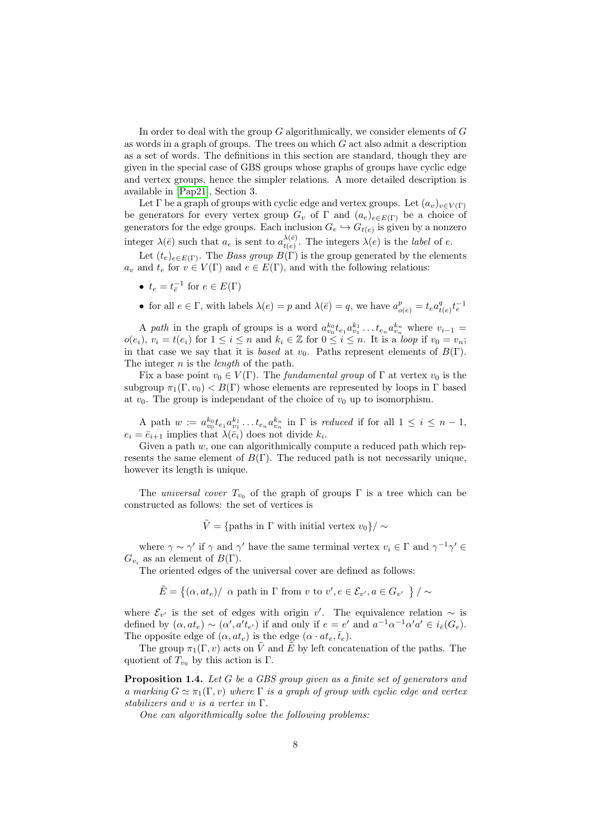In order to deal with the group  $G$  algorithmically, we consider elements of  $G$ as words in a graph of groups. The trees on which  $G$  act also admit a description as a set of words. The definitions in this section are standard, though they are given in the special case of GBS groups whose graphs of groups have cyclic edge and vertex groups, hence the simpler relations. A more detailed description is available in [\[Pap21\]](#page-45-0), Section 3.

Let  $\Gamma$  be a graph of groups with cyclic edge and vertex groups. Let  $(a_v)_{v \in V(\Gamma)}$ be generators for every vertex group  $G_v$  of  $\Gamma$  and  $(a_e)_{e \in E(\Gamma)}$  be a choice of generators for the edge groups. Each inclusion  $G_e \hookrightarrow G_{t(e)}$  is given by a nonzero integer  $\lambda(\bar{e})$  such that  $a_e$  is sent to  $a_{t(e)}^{\lambda(\bar{e})}$  $\chi_{t(e)}^{(e)}$ . The integers  $\lambda(e)$  is the *label* of e.

Let  $(t_e)_{e \in E(\Gamma)}$ . The *Bass group*  $B(\Gamma)$  is the group generated by the elements  $a_v$  and  $t_e$  for  $v \in V(\Gamma)$  and  $e \in E(\Gamma)$ , and with the following relations:

- $t_e = t_{\overline{e}}^{-1}$  for  $e \in E(\Gamma)$
- for all  $e \in \Gamma$ , with labels  $\lambda(e) = p$  and  $\lambda(\bar{e}) = q$ , we have  $a_{o(e)}^p = t_e a_t^q$  $t_{(e)}^{q} t_e^{-1}$

A path in the graph of groups is a word  $a_{v_0}^{k_0}t_{e_1}a_{v_1}^{k_1}\dots t_{e_n}a_{v_n}^{k_n}$  where  $v_{i-1}$  $o(e_i), v_i = t(e_i)$  for  $1 \leq i \leq n$  and  $k_i \in \mathbb{Z}$  for  $0 \leq i \leq n$ . It is a *loop* if  $v_0 = v_n$ ; in that case we say that it is based at  $v_0$ . Paths represent elements of  $B(\Gamma)$ . The integer *n* is the *length* of the path.

Fix a base point  $v_0 \in V(\Gamma)$ . The *fundamental group* of  $\Gamma$  at vertex  $v_0$  is the subgroup  $\pi_1(\Gamma, v_0) < B(\Gamma)$  whose elements are represented by loops in  $\Gamma$  based at  $v_0$ . The group is independant of the choice of  $v_0$  up to isomorphism.

A path  $w := a_{v_0}^{k_0} t_{e_1} a_{v_1}^{k_1} \dots t_{e_n} a_{v_n}^{k_n}$  in  $\Gamma$  is reduced if for all  $1 \leq i \leq n-1$ ,  $e_i = \bar{e}_{i+1}$  implies that  $\lambda(\bar{e}_i)$  does not divide  $k_i$ .

Given a path  $w$ , one can algorithmically compute a reduced path which represents the same element of  $B(\Gamma)$ . The reduced path is not necessarily unique, however its length is unique.

The *universal cover*  $T_{v_0}$  of the graph of groups  $\Gamma$  is a tree which can be constructed as follows: the set of vertices is

 $\tilde{V} = \{\text{paths in } \Gamma \text{ with initial vertex } v_0\}/\sim$ 

where  $\gamma \sim \gamma'$  if  $\gamma$  and  $\gamma'$  have the same terminal vertex  $v_i \in \Gamma$  and  $\gamma^{-1} \gamma' \in$  $G_{v_i}$  as an element of  $B(\Gamma)$ .

The oriented edges of the universal cover are defined as follows:

 $\tilde{E} = \{(\alpha, at_e)/\ \alpha \text{ path in } \Gamma \text{ from } v \text{ to } v', e \in \mathcal{E}_{v'}, a \in G_{v'}\ \}/\sim$ 

where  $\mathcal{E}_{v'}$  is the set of edges with origin v'. The equivalence relation  $\sim$  is defined by  $(\alpha, at_e) \sim (\alpha', a't_{e'})$  if and only if  $e = e'$  and  $a^{-1}\alpha^{-1}a'a' \in i_{\bar{e}}(G_e)$ . The opposite edge of  $(\alpha, at_e)$  is the edge  $(\alpha \cdot at_e, \bar{t}_e)$ .

The group  $\pi_1(\Gamma, v)$  acts on  $\tilde{V}$  and  $\tilde{E}$  by left concatenation of the paths. The quotient of  $T_{v_0}$  by this action is Γ.

<span id="page-7-0"></span>Proposition 1.4. Let G be a GBS group given as a finite set of generators and a marking  $G \simeq \pi_1(\Gamma, v)$  where  $\Gamma$  is a graph of group with cyclic edge and vertex stabilizers and v is a vertex in Γ.

One can algorithmically solve the following problems: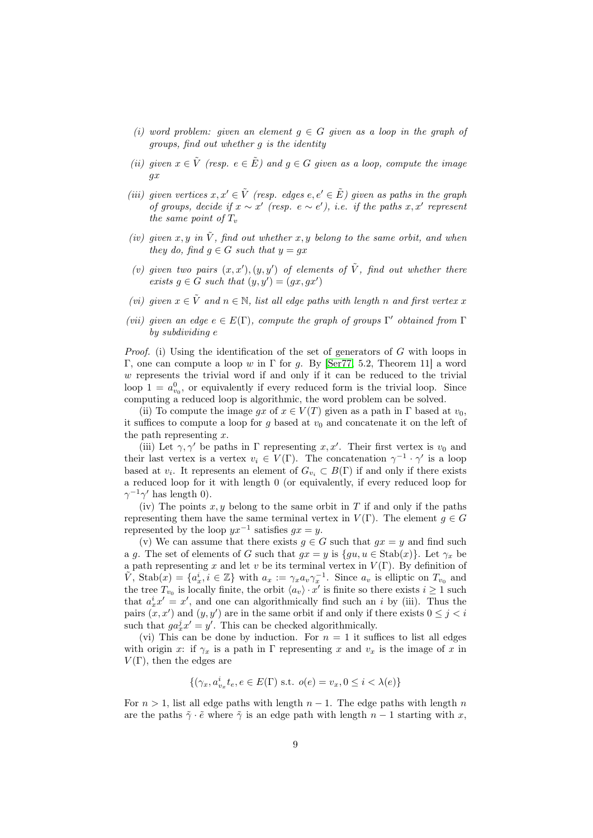- (i) word problem: given an element  $g \in G$  given as a loop in the graph of groups, find out whether g is the identity
- (ii) given  $x \in \tilde{V}$  (resp.  $e \in \tilde{E}$ ) and  $g \in G$  given as a loop, compute the image gx
- (iii) given vertices  $x, x' \in \tilde{V}$  (resp. edges  $e, e' \in \tilde{E}$ ) given as paths in the graph of groups, decide if  $x \sim x'$  (resp. e ~ e'), i.e. if the paths x, x' represent the same point of  $T_v$
- (iv) given x, y in  $\tilde{V}$ , find out whether x, y belong to the same orbit, and when they do, find  $q \in G$  such that  $y = qx$
- (v) given two pairs  $(x, x'), (y, y')$  of elements of  $\tilde{V}$ , find out whether there exists  $g \in G$  such that  $(y, y') = (gx, gx')$
- (vi) given  $x \in \tilde{V}$  and  $n \in \mathbb{N}$ , list all edge paths with length n and first vertex x
- (vii) given an edge  $e \in E(\Gamma)$ , compute the graph of groups  $\Gamma'$  obtained from  $\Gamma$ by subdividing e

*Proof.* (i) Using the identification of the set of generators of  $G$  with loops in Γ, one can compute a loop w in Γ for q. By [\[Ser77,](#page-45-4) 5.2, Theorem 11] a word  $w$  represents the trivial word if and only if it can be reduced to the trivial loop  $1 = a_{v_0}^0$ , or equivalently if every reduced form is the trivial loop. Since computing a reduced loop is algorithmic, the word problem can be solved.

(ii) To compute the image gx of  $x \in V(T)$  given as a path in  $\Gamma$  based at  $v_0$ , it suffices to compute a loop for g based at  $v_0$  and concatenate it on the left of the path representing  $x$ .

(iii) Let  $\gamma, \gamma'$  be paths in  $\Gamma$  representing  $x, x'$ . Their first vertex is  $v_0$  and their last vertex is a vertex  $v_i \in V(\Gamma)$ . The concatenation  $\gamma^{-1} \cdot \gamma'$  is a loop based at  $v_i$ . It represents an element of  $G_{v_i} \subset B(\Gamma)$  if and only if there exists a reduced loop for it with length 0 (or equivalently, if every reduced loop for  $\gamma^{-1}\gamma'$  has length 0).

(iv) The points  $x, y$  belong to the same orbit in T if and only if the paths representing them have the same terminal vertex in  $V(\Gamma)$ . The element  $q \in G$ represented by the loop  $yx^{-1}$  satisfies  $gx = y$ .

(v) We can assume that there exists  $g \in G$  such that  $gx = y$  and find such a g. The set of elements of G such that  $gx = y$  is  $\{gu, u \in \text{Stab}(x)\}\)$ . Let  $\gamma_x$  be a path representing x and let v be its terminal vertex in  $V(\Gamma)$ . By definition of  $\tilde{V}$ ,  $\text{Stab}(x) = \{a_x^i, i \in \mathbb{Z}\}\$  with  $a_x := \gamma_x a_v \gamma_x^{-1}$ . Since  $a_v$  is elliptic on  $T_{v_0}$  and the tree  $T_{v_0}$  is locally finite, the orbit  $\langle a_v \rangle \cdot x'$  is finite so there exists  $i \geq 1$  such that  $a_x^i x' = x'$ , and one can algorithmically find such an *i* by (iii). Thus the pairs  $(x, x')$  and  $(y, y')$  are in the same orbit if and only if there exists  $0 \leq j < i$ such that  $ga_x^j x' = y'$ . This can be checked algorithmically.

(vi) This can be done by induction. For  $n = 1$  it suffices to list all edges with origin x: if  $\gamma_x$  is a path in Γ representing x and  $v_x$  is the image of x in  $V(\Gamma)$ , then the edges are

$$
\{(\gamma_x,a_{v_x}^i t_e, e\in E(\Gamma) \hbox{ s.t. } o(e)=v_x, 0\leq i<\lambda(e)\}
$$

For  $n > 1$ , list all edge paths with length  $n - 1$ . The edge paths with length n are the paths  $\tilde{\gamma} \cdot \tilde{e}$  where  $\tilde{\gamma}$  is an edge path with length  $n-1$  starting with x,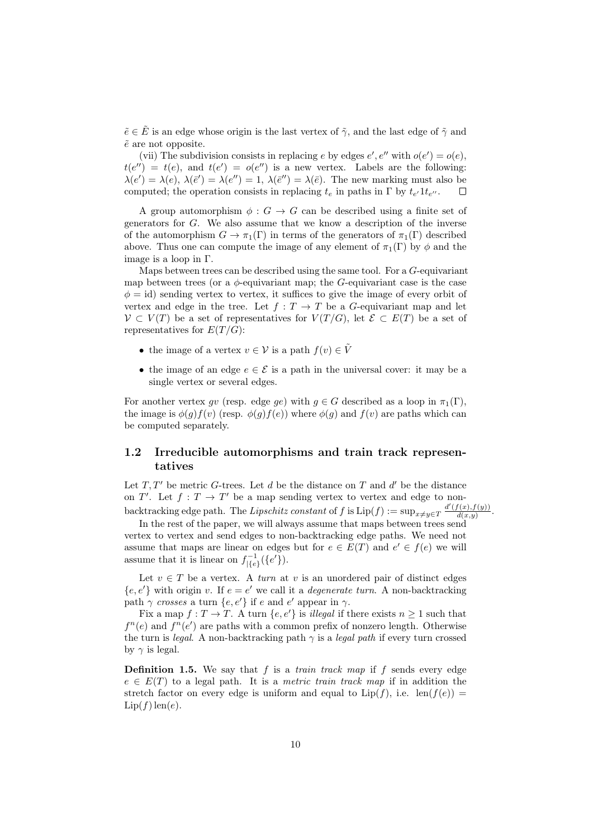$\tilde{e} \in \tilde{E}$  is an edge whose origin is the last vertex of  $\tilde{\gamma}$ , and the last edge of  $\tilde{\gamma}$  and  $\tilde{e}$  are not opposite.

(vii) The subdivision consists in replacing e by edges  $e', e''$  with  $o(e') = o(e)$ ,  $t(e'') = t(e)$ , and  $t(e') = o(e'')$  is a new vertex. Labels are the following:  $\lambda(e') = \lambda(e), \lambda(\bar{e}') = \lambda(e'') = 1, \lambda(\bar{e}'') = \lambda(\bar{e}).$  The new marking must also be computed; the operation consists in replacing  $t_e$  in paths in  $\Gamma$  by  $t_{e'}$   $1t_{e''}$ .  $\Box$ 

A group automorphism  $\phi: G \to G$  can be described using a finite set of generators for G. We also assume that we know a description of the inverse of the automorphism  $G \to \pi_1(\Gamma)$  in terms of the generators of  $\pi_1(\Gamma)$  described above. Thus one can compute the image of any element of  $\pi_1(\Gamma)$  by  $\phi$  and the image is a loop in Γ.

Maps between trees can be described using the same tool. For a  $G$ -equivariant map between trees (or a  $\phi$ -equivariant map; the G-equivariant case is the case  $\phi = id$ ) sending vertex to vertex, it suffices to give the image of every orbit of vertex and edge in the tree. Let  $f: T \to T$  be a G-equivariant map and let  $V \subset V(T)$  be a set of representatives for  $V(T/G)$ , let  $\mathcal{E} \subset E(T)$  be a set of representatives for  $E(T/G)$ :

- the image of a vertex  $v \in \mathcal{V}$  is a path  $f(v) \in \tilde{V}$
- the image of an edge  $e \in \mathcal{E}$  is a path in the universal cover: it may be a single vertex or several edges.

For another vertex qv (resp. edge qe) with  $q \in G$  described as a loop in  $\pi_1(\Gamma)$ , the image is  $\phi(g)f(v)$  (resp.  $\phi(g)f(e)$ ) where  $\phi(g)$  and  $f(v)$  are paths which can be computed separately.

#### 1.2 Irreducible automorphisms and train track representatives

Let  $T, T'$  be metric G-trees. Let d be the distance on T and d' be the distance on  $T'$ . Let  $f: T \to T'$  be a map sending vertex to vertex and edge to nonbacktracking edge path. The Lipschitz constant of f is  $\text{Lip}(f) := \sup_{x \neq y \in T} \frac{d'(f(x), f(y))}{d(x, y)}$  $\frac{f(x),f(y))}{d(x,y)}$ .

In the rest of the paper, we will always assume that maps between trees send vertex to vertex and send edges to non-backtracking edge paths. We need not assume that maps are linear on edges but for  $e \in E(T)$  and  $e' \in f(e)$  we will assume that it is linear on  $f_{\{\{e\}}^{-1}(\{e'\})$ .

Let  $v \in T$  be a vertex. A *turn* at v is an unordered pair of distinct edges  ${e, e' }$  with origin v. If  $e = e'$  we call it a *degenerate turn*. A non-backtracking path  $\gamma$  crosses a turn  $\{e, e'\}$  if e and e' appear in  $\gamma$ .

Fix a map  $f: T \to T$ . A turn  $\{e, e'\}$  is *illegal* if there exists  $n \geq 1$  such that  $f^{n}(e)$  and  $f^{n}(e')$  are paths with a common prefix of nonzero length. Otherwise the turn is *legal*. A non-backtracking path  $\gamma$  is a *legal path* if every turn crossed by  $\gamma$  is legal.

**Definition 1.5.** We say that  $f$  is a *train track map* if  $f$  sends every edge  $e \in E(T)$  to a legal path. It is a *metric train track map* if in addition the stretch factor on every edge is uniform and equal to  $Lip(f)$ , i.e.  $len(f(e))$  =  $Lip(f)$  len(e).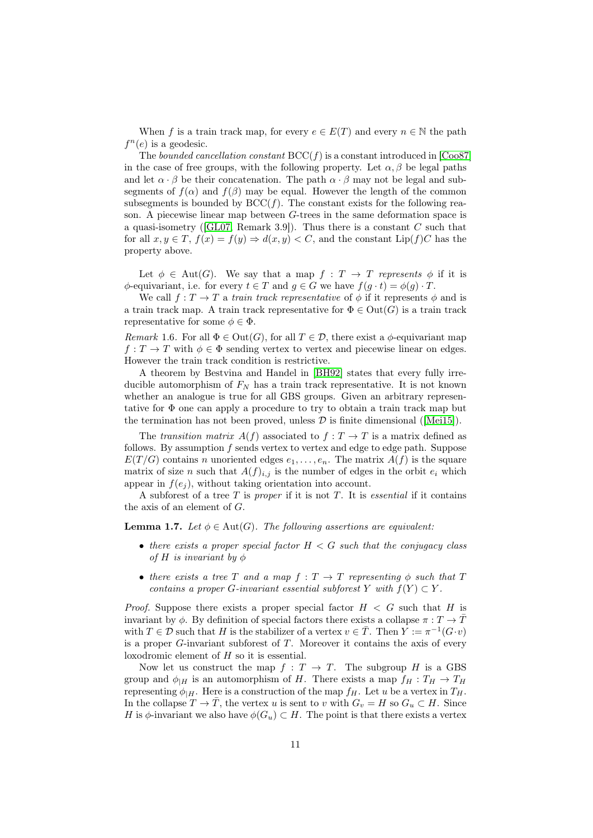When f is a train track map, for every  $e \in E(T)$  and every  $n \in \mathbb{N}$  the path  $f^{n}(e)$  is a geodesic.

The bounded cancellation constant  $\text{BCC}(f)$  is a constant introduced in [\[Coo87\]](#page-44-7) in the case of free groups, with the following property. Let  $\alpha, \beta$  be legal paths and let  $\alpha \cdot \beta$  be their concatenation. The path  $\alpha \cdot \beta$  may not be legal and subsegments of  $f(\alpha)$  and  $f(\beta)$  may be equal. However the length of the common subsegments is bounded by  $BCC(f)$ . The constant exists for the following reason. A piecewise linear map between G-trees in the same deformation space is a quasi-isometry ( $[GL07,$  Remark 3.9]). Thus there is a constant  $C$  such that for all  $x, y \in T$ ,  $f(x) = f(y) \Rightarrow d(x, y) < C$ , and the constant Lip(f)C has the property above.

Let  $\phi \in \text{Aut}(G)$ . We say that a map  $f : T \to T$  represents  $\phi$  if it is  $\phi$ -equivariant, i.e. for every  $t \in T$  and  $g \in G$  we have  $f(g \cdot t) = \phi(g) \cdot T$ .

We call  $f: T \to T$  a train track representative of  $\phi$  if it represents  $\phi$  and is a train track map. A train track representative for  $\Phi \in \text{Out}(G)$  is a train track representative for some  $\phi \in \Phi$ .

Remark 1.6. For all  $\Phi \in \text{Out}(G)$ , for all  $T \in \mathcal{D}$ , there exist a  $\phi$ -equivariant map  $f: T \to T$  with  $\phi \in \Phi$  sending vertex to vertex and piecewise linear on edges. However the train track condition is restrictive.

A theorem by Bestvina and Handel in [\[BH92\]](#page-44-2) states that every fully irreducible automorphism of  $F_N$  has a train track representative. It is not known whether an analogue is true for all GBS groups. Given an arbitrary representative for Φ one can apply a procedure to try to obtain a train track map but the termination has not been proved, unless  $\mathcal D$  is finite dimensional ([\[Mei15\]](#page-45-2)).

The transition matrix  $A(f)$  associated to  $f: T \to T$  is a matrix defined as follows. By assumption  $f$  sends vertex to vertex and edge to edge path. Suppose  $E(T/G)$  contains n unoriented edges  $e_1, \ldots, e_n$ . The matrix  $A(f)$  is the square matrix of size n such that  $A(f)_{i,j}$  is the number of edges in the orbit  $e_i$  which appear in  $f(e_i)$ , without taking orientation into account.

A subforest of a tree  $T$  is proper if it is not  $T$ . It is essential if it contains the axis of an element of G.

<span id="page-10-0"></span>**Lemma 1.7.** Let  $\phi \in \text{Aut}(G)$ . The following assertions are equivalent:

- there exists a proper special factor  $H < G$  such that the conjugacy class of H is invariant by  $\phi$
- there exists a tree T and a map  $f: T \to T$  representing  $\phi$  such that T contains a proper G-invariant essential subforest Y with  $f(Y) \subset Y$ .

*Proof.* Suppose there exists a proper special factor  $H < G$  such that H is invariant by  $\phi$ . By definition of special factors there exists a collapse  $\pi: T \to \overline{T}$ with  $T \in \mathcal{D}$  such that H is the stabilizer of a vertex  $v \in \overline{T}$ . Then  $Y := \pi^{-1}(G \cdot v)$ is a proper  $G$ -invariant subforest of  $T$ . Moreover it contains the axis of every loxodromic element of H so it is essential.

Now let us construct the map  $f : T \to T$ . The subgroup H is a GBS group and  $\phi_{|H}$  is an automorphism of H. There exists a map  $f_H : T_H \to T_H$ representing  $\phi_{H}$ . Here is a construction of the map  $f_{H}$ . Let u be a vertex in  $T_{H}$ . In the collapse  $T \to \overline{T}$ , the vertex u is sent to v with  $G_v = H$  so  $G_u \subset H$ . Since H is  $\phi$ -invariant we also have  $\phi(G_u) \subset H$ . The point is that there exists a vertex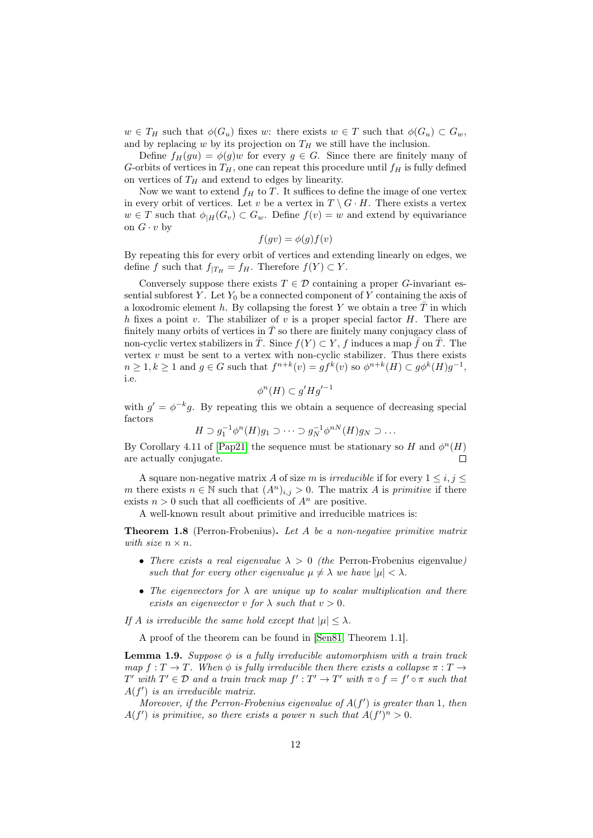$w \in T_H$  such that  $\phi(G_u)$  fixes w: there exists  $w \in T$  such that  $\phi(G_u) \subset G_w$ , and by replacing  $w$  by its projection on  $T_H$  we still have the inclusion.

Define  $f_H(gu) = \phi(g)w$  for every  $g \in G$ . Since there are finitely many of G-orbits of vertices in  $T_H$ , one can repeat this procedure until  $f_H$  is fully defined on vertices of  $T_H$  and extend to edges by linearity.

Now we want to extend  $f_H$  to T. It suffices to define the image of one vertex in every orbit of vertices. Let v be a vertex in  $T \setminus G \cdot H$ . There exists a vertex  $w \in T$  such that  $\phi_{H}(G_v) \subset G_w$ . Define  $f(v) = w$  and extend by equivariance on  $G \cdot v$  by

$$
f(gv) = \phi(g)f(v)
$$

By repeating this for every orbit of vertices and extending linearly on edges, we define f such that  $f_{|T_H} = f_H$ . Therefore  $f(Y) \subset Y$ .

Conversely suppose there exists  $T \in \mathcal{D}$  containing a proper G-invariant essential subforest Y. Let  $Y_0$  be a connected component of Y containing the axis of a loxodromic element h. By collapsing the forest Y we obtain a tree  $\overline{T}$  in which h fixes a point  $v$ . The stabilizer of  $v$  is a proper special factor  $H$ . There are finitely many orbits of vertices in  $\overline{T}$  so there are finitely many conjugacy class of non-cyclic vertex stabilizers in  $\overline{T}$ . Since  $f(Y) \subset Y$ , f induces a map  $\overline{f}$  on  $\overline{T}$ . The vertex  $v$  must be sent to a vertex with non-cyclic stabilizer. Thus there exists  $n \geq 1, k \geq 1$  and  $g \in G$  such that  $f^{n+k}(v) = gf^k(v)$  so  $\phi^{n+k}(H) \subset g\phi^k(H)g^{-1}$ , i.e.

$$
\phi^n(H) \subset g'Hg'^{-1}
$$

with  $g' = \phi^{-k}g$ . By repeating this we obtain a sequence of decreasing special factors

$$
H \supset g_1^{-1} \phi^n(H) g_1 \supset \cdots \supset g_N^{-1} \phi^{nN}(H) g_N \supset \ldots
$$

By Corollary 4.11 of [\[Pap21\]](#page-45-0) the sequence must be stationary so H and  $\phi^{n}(H)$ are actually conjugate. П

A square non-negative matrix A of size m is irreducible if for every  $1 \leq i, j \leq k$ m there exists  $n \in \mathbb{N}$  such that  $(A^n)_{i,j} > 0$ . The matrix A is primitive if there exists  $n > 0$  such that all coefficients of  $A<sup>n</sup>$  are positive.

A well-known result about primitive and irreducible matrices is:

**Theorem 1.8** (Perron-Frobenius). Let A be a non-negative primitive matrix with size  $n \times n$ .

- There exists a real eigenvalue  $\lambda > 0$  (the Perron-Frobenius eigenvalue) such that for every other eigenvalue  $\mu \neq \lambda$  we have  $|\mu| < \lambda$ .
- The eigenvectors for  $\lambda$  are unique up to scalar multiplication and there exists an eigenvector v for  $\lambda$  such that  $v > 0$ .

If A is irreducible the same hold except that  $|\mu| \leq \lambda$ .

A proof of the theorem can be found in [\[Sen81,](#page-45-5) Theorem 1.1].

<span id="page-11-0"></span>**Lemma 1.9.** Suppose  $\phi$  is a fully irreducible automorphism with a train track map  $f: T \to T$ . When  $\phi$  is fully irreducible then there exists a collapse  $\pi: T \to$ T' with  $T' \in \mathcal{D}$  and a train track map  $f': T' \to T'$  with  $\pi \circ f = f' \circ \pi$  such that  $A(f')$  is an irreducible matrix.

Moreover, if the Perron-Frobenius eigenvalue of  $A(f')$  is greater than 1, then  $A(f')$  is primitive, so there exists a power n such that  $A(f')^n > 0$ .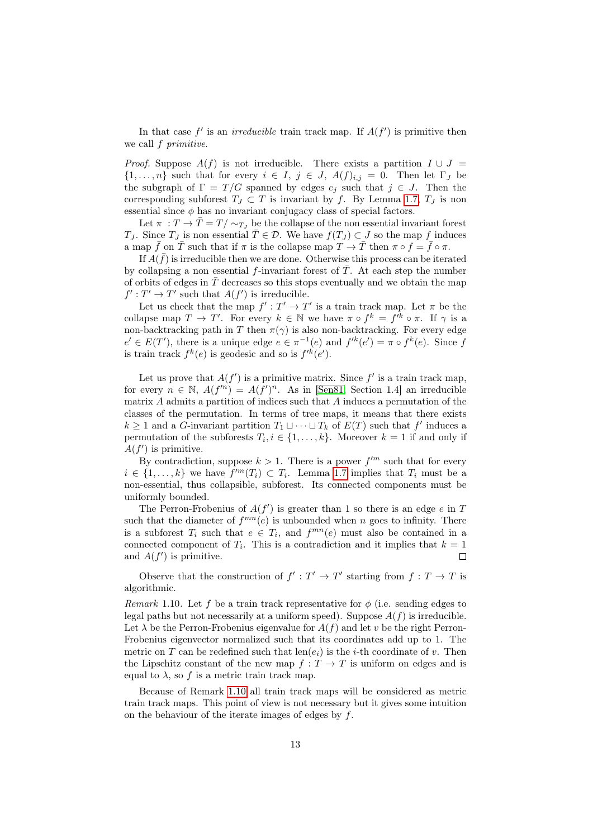In that case  $f'$  is an *irreducible* train track map. If  $A(f')$  is primitive then we call  $f$  primitive.

*Proof.* Suppose  $A(f)$  is not irreducible. There exists a partition  $I \cup J =$  $\{1,\ldots,n\}$  such that for every  $i \in I, j \in J, A(f)_{i,j} = 0$ . Then let  $\Gamma_J$  be the subgraph of  $\Gamma = T/G$  spanned by edges  $e_j$  such that  $j \in J$ . Then the corresponding subforest  $T_J \subset T$  is invariant by f. By Lemma [1.7,](#page-10-0)  $T_J$  is non essential since  $\phi$  has no invariant conjugacy class of special factors.

Let  $\pi : T \to \overline{T} = T / \sim_{T_I}$  be the collapse of the non essential invariant forest  $T_J$ . Since  $T_J$  is non essential  $\overline{T} \in \mathcal{D}$ . We have  $f(T_J) \subset J$  so the map f induces a map  $\bar{f}$  on  $\bar{T}$  such that if  $\pi$  is the collapse map  $T \to \bar{T}$  then  $\pi \circ f = \bar{f} \circ \pi$ .

If  $\overline{A}(\overline{f})$  is irreducible then we are done. Otherwise this process can be iterated by collapsing a non essential f-invariant forest of  $\overline{T}$ . At each step the number of orbits of edges in  $\overline{T}$  decreases so this stops eventually and we obtain the map  $f': T' \to T'$  such that  $A(f')$  is irreducible.

Let us check that the map  $f': T' \to T'$  is a train track map. Let  $\pi$  be the collapse map  $T \to T'$ . For every  $k \in \mathbb{N}$  we have  $\pi \circ f^k = f'^k \circ \pi$ . If  $\gamma$  is a non-backtracking path in T then  $\pi(\gamma)$  is also non-backtracking. For every edge  $e' \in E(T')$ , there is a unique edge  $e \in \pi^{-1}(e)$  and  $f'^k(e') = \pi \circ f^k(e)$ . Since f is train track  $f^k(e)$  is geodesic and so is  $f'^k(e')$ .

Let us prove that  $A(f')$  is a primitive matrix. Since  $f'$  is a train track map, for every  $n \in \mathbb{N}$ ,  $A(f^n) = A(f)^n$ . As in [\[Sen81,](#page-45-5) Section 1.4] an irreducible matrix A admits a partition of indices such that A induces a permutation of the classes of the permutation. In terms of tree maps, it means that there exists  $k \geq 1$  and a G-invariant partition  $T_1 \sqcup \cdots \sqcup T_k$  of  $E(T)$  such that  $f'$  induces a permutation of the subforests  $T_i, i \in \{1, ..., k\}$ . Moreover  $k = 1$  if and only if  $A(f')$  is primitive.

By contradiction, suppose  $k > 1$ . There is a power  $f^{\prime m}$  such that for every  $i \in \{1, \ldots, k\}$  we have  $f'^m(T_i) \subset T_i$ . Lemma [1.7](#page-10-0) implies that  $T_i$  must be a non-essential, thus collapsible, subforest. Its connected components must be uniformly bounded.

The Perron-Frobenius of  $A(f')$  is greater than 1 so there is an edge e in T such that the diameter of  $f^{mn}(e)$  is unbounded when n goes to infinity. There is a subforest  $T_i$  such that  $e \in T_i$ , and  $f^{mn}(e)$  must also be contained in a connected component of  $T_i$ . This is a contradiction and it implies that  $k = 1$ and  $A(f')$  is primitive.  $\Box$ 

Observe that the construction of  $f': T' \to T'$  starting from  $f: T \to T$  is algorithmic.

<span id="page-12-0"></span>Remark 1.10. Let f be a train track representative for  $\phi$  (i.e. sending edges to legal paths but not necessarily at a uniform speed). Suppose  $A(f)$  is irreducible. Let  $\lambda$  be the Perron-Frobenius eigenvalue for  $A(f)$  and let v be the right Perron-Frobenius eigenvector normalized such that its coordinates add up to 1. The metric on T can be redefined such that  $len(e_i)$  is the *i*-th coordinate of v. Then the Lipschitz constant of the new map  $f: T \to T$  is uniform on edges and is equal to  $\lambda$ , so f is a metric train track map.

Because of Remark [1.10](#page-12-0) all train track maps will be considered as metric train track maps. This point of view is not necessary but it gives some intuition on the behaviour of the iterate images of edges by  $f$ .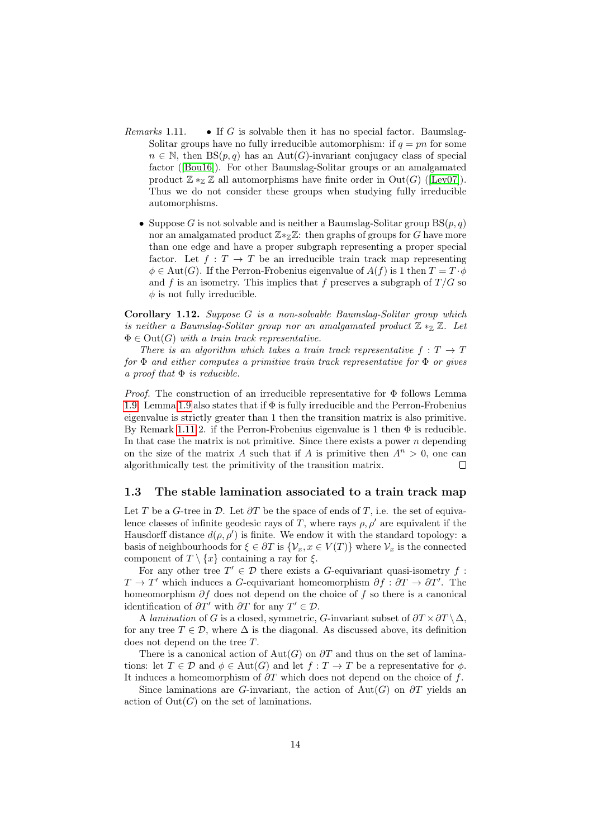- Remarks 1.11. If G is solvable then it has no special factor. Baumslag-Solitar groups have no fully irreducible automorphism: if  $q = pn$  for some  $n \in \mathbb{N}$ , then  $BS(p, q)$  has an Aut(G)-invariant conjugacy class of special factor ([\[Bou16\]](#page-44-3)). For other Baumslag-Solitar groups or an amalgamated product  $\mathbb{Z} *_{\mathbb{Z}} \mathbb{Z}$  all automorphisms have finite order in  $Out(G)$  ([\[Lev07\]](#page-45-1)). Thus we do not consider these groups when studying fully irreducible automorphisms.
	- Suppose G is not solvable and is neither a Baumslag-Solitar group  $BS(p, q)$ nor an amalgamated product  $\mathbb{Z} *_{\mathbb{Z}} \mathbb{Z}$ : then graphs of groups for G have more than one edge and have a proper subgraph representing a proper special factor. Let  $f: T \to T$  be an irreducible train track map representing  $\phi \in \text{Aut}(G)$ . If the Perron-Frobenius eigenvalue of  $A(f)$  is 1 then  $T = T \cdot \phi$ and f is an isometry. This implies that f preserves a subgraph of  $T/G$  so  $\phi$  is not fully irreducible.

<span id="page-13-0"></span>Corollary 1.12. Suppose G is a non-solvable Baumslag-Solitar group which is neither a Baumslag-Solitar group nor an amalgamated product  $\mathbb{Z} *_{\mathbb{Z}} \mathbb{Z}$ . Let  $\Phi \in \text{Out}(G)$  with a train track representative.

There is an algorithm which takes a train track representative  $f: T \to T$ for  $\Phi$  and either computes a primitive train track representative for  $\Phi$  or gives a proof that  $\Phi$  is reducible.

*Proof.* The construction of an irreducible representative for  $\Phi$  follows Lemma [1.9.](#page-11-0) Lemma [1.9](#page-11-0) also states that if  $\Phi$  is fully irreducible and the Perron-Frobenius eigenvalue is strictly greater than 1 then the transition matrix is also primitive. By Remark [1.11](#page-0-0) 2. if the Perron-Frobenius eigenvalue is 1 then  $\Phi$  is reducible. In that case the matrix is not primitive. Since there exists a power  $n$  depending on the size of the matrix A such that if A is primitive then  $A^n > 0$ , one can  $\Box$ algorithmically test the primitivity of the transition matrix.

#### 1.3 The stable lamination associated to a train track map

Let T be a G-tree in  $\mathcal{D}$ . Let  $\partial T$  be the space of ends of T, i.e. the set of equivalence classes of infinite geodesic rays of T, where rays  $\rho$ ,  $\rho'$  are equivalent if the Hausdorff distance  $d(\rho, \rho')$  is finite. We endow it with the standard topology: a basis of neighbourhoods for  $\xi \in \partial T$  is  $\{\mathcal{V}_x, x \in V(T)\}\$  where  $\mathcal{V}_x$  is the connected component of  $T \setminus \{x\}$  containing a ray for  $\xi$ .

For any other tree  $T' \in \mathcal{D}$  there exists a G-equivariant quasi-isometry f:  $T \to T'$  which induces a G-equivariant homeomorphism  $\partial f : \partial T \to \partial T'$ . The homeomorphism  $\partial f$  does not depend on the choice of f so there is a canonical identification of  $\partial T'$  with  $\partial T$  for any  $T' \in \mathcal{D}$ .

A lamination of G is a closed, symmetric, G-invariant subset of  $\partial T \times \partial T \setminus \Delta$ , for any tree  $T \in \mathcal{D}$ , where  $\Delta$  is the diagonal. As discussed above, its definition does not depend on the tree T.

There is a canonical action of Aut(G) on  $\partial T$  and thus on the set of laminations: let  $T \in \mathcal{D}$  and  $\phi \in \text{Aut}(G)$  and let  $f : T \to T$  be a representative for  $\phi$ . It induces a homeomorphism of  $\partial T$  which does not depend on the choice of f.

Since laminations are G-invariant, the action of Aut(G) on  $\partial T$  yields an action of  $Out(G)$  on the set of laminations.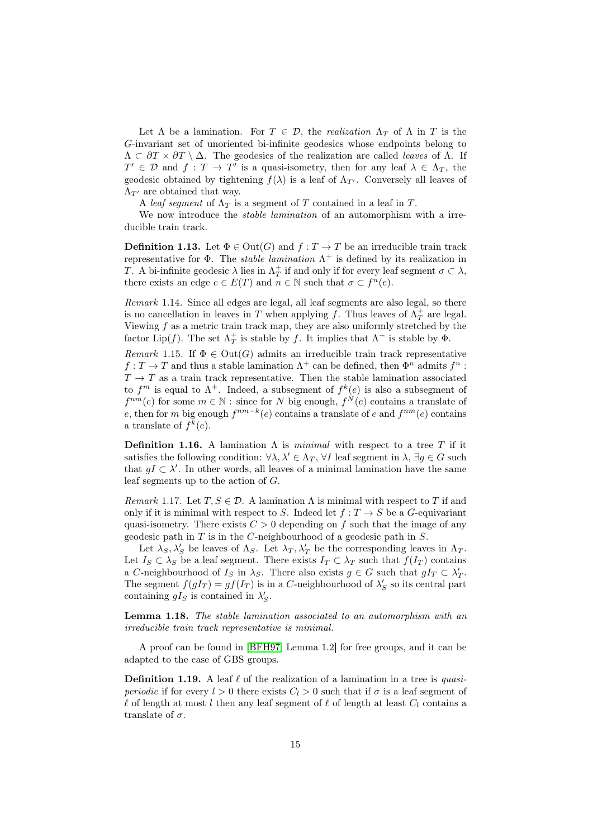Let  $\Lambda$  be a lamination. For  $T \in \mathcal{D}$ , the *realization*  $\Lambda_T$  of  $\Lambda$  in T is the G-invariant set of unoriented bi-infinite geodesics whose endpoints belong to  $\Lambda \subset \partial T \times \partial T \setminus \Delta$ . The geodesics of the realization are called *leaves* of  $\Lambda$ . If  $T' \in \mathcal{D}$  and  $f: T \to T'$  is a quasi-isometry, then for any leaf  $\lambda \in \Lambda_T$ , the geodesic obtained by tightening  $f(\lambda)$  is a leaf of  $\Lambda_{T}$ . Conversely all leaves of  $\Lambda_{T'}$  are obtained that way.

A leaf segment of  $\Lambda_T$  is a segment of T contained in a leaf in T.

We now introduce the *stable lamination* of an automorphism with a irreducible train track.

**Definition 1.13.** Let  $\Phi \in \text{Out}(G)$  and  $f: T \to T$  be an irreducible train track representative for  $\Phi$ . The *stable lamination*  $\Lambda^+$  is defined by its realization in T. A bi-infinite geodesic  $\lambda$  lies in  $\Lambda_T^+$  if and only if for every leaf segment  $\sigma \subset \lambda$ , there exists an edge  $e \in E(T)$  and  $n \in \mathbb{N}$  such that  $\sigma \subset f^n(e)$ .

Remark 1.14. Since all edges are legal, all leaf segments are also legal, so there is no cancellation in leaves in T when applying f. Thus leaves of  $\Lambda_T^+$  are legal. Viewing  $f$  as a metric train track map, they are also uniformly stretched by the factor Lip(f). The set  $\Lambda_T^+$  is stable by f. It implies that  $\Lambda^+$  is stable by  $\Phi$ .

Remark 1.15. If  $\Phi \in \text{Out}(G)$  admits an irreducible train track representative  $f: T \to T$  and thus a stable lamination  $\Lambda^+$  can be defined, then  $\Phi^n$  admits  $f^n$ :  $T \to T$  as a train track representative. Then the stable lamination associated to  $f^m$  is equal to  $\Lambda^+$ . Indeed, a subsegment of  $f^k(e)$  is also a subsegment of  $f^{nm}(e)$  for some  $m \in \mathbb{N}$ : since for N big enough,  $f^N(e)$  contains a translate of e, then for m big enough  $f^{nm-k}(e)$  contains a translate of e and  $f^{nm}(e)$  contains a translate of  $f^k(e)$ .

**Definition 1.16.** A lamination  $\Lambda$  is *minimal* with respect to a tree T if it satisfies the following condition:  $\forall \lambda, \lambda' \in \Lambda_T$ ,  $\forall I$  leaf segment in  $\lambda$ ,  $\exists g \in G$  such that  $gI \subset \lambda'$ . In other words, all leaves of a minimal lamination have the same leaf segments up to the action of G.

Remark 1.17. Let  $T, S \in \mathcal{D}$ . A lamination  $\Lambda$  is minimal with respect to T if and only if it is minimal with respect to S. Indeed let  $f: T \to S$  be a G-equivariant quasi-isometry. There exists  $C > 0$  depending on f such that the image of any geodesic path in  $T$  is in the  $C$ -neighbourhood of a geodesic path in  $S$ .

Let  $\lambda_S, \lambda'_S$  be leaves of  $\Lambda_S$ . Let  $\lambda_T, \lambda'_T$  be the corresponding leaves in  $\Lambda_T$ . Let  $I_S \subset \lambda_S$  be a leaf segment. There exists  $I_T \subset \lambda_T$  such that  $f(I_T)$  contains a C-neighbourhood of  $I_S$  in  $\lambda_S$ . There also exists  $g \in G$  such that  $gI_T \subset \lambda'_T$ . The segment  $f(gI_T) = gf(I_T)$  is in a C-neighbourhood of  $\lambda'_S$  so its central part containing  $gI_S$  is contained in  $\lambda'_S$ .

Lemma 1.18. The stable lamination associated to an automorphism with an irreducible train track representative is minimal.

A proof can be found in [\[BFH97,](#page-44-8) Lemma 1.2] for free groups, and it can be adapted to the case of GBS groups.

**Definition 1.19.** A leaf  $\ell$  of the realization of a lamination in a tree is *quasi*periodic if for every  $l > 0$  there exists  $C_l > 0$  such that if  $\sigma$  is a leaf segment of  $\ell$  of length at most l then any leaf segment of  $\ell$  of length at least  $C_l$  contains a translate of  $\sigma$ .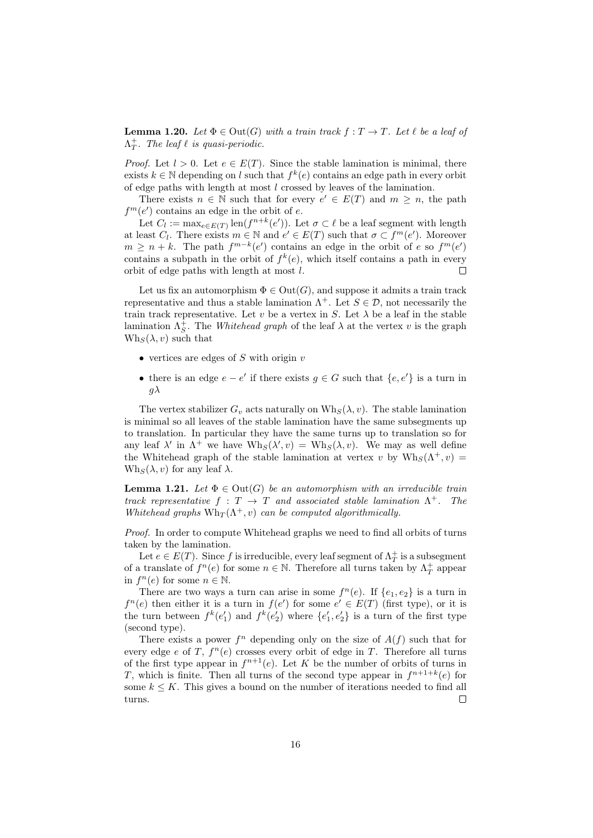**Lemma 1.20.** Let  $\Phi \in \text{Out}(G)$  with a train track  $f: T \to T$ . Let  $\ell$  be a leaf of  $\Lambda_T^+$ . The leaf  $\ell$  is quasi-periodic.

*Proof.* Let  $l > 0$ . Let  $e \in E(T)$ . Since the stable lamination is minimal, there exists  $k \in \mathbb{N}$  depending on l such that  $f^k(e)$  contains an edge path in every orbit of edge paths with length at most l crossed by leaves of the lamination.

There exists  $n \in \mathbb{N}$  such that for every  $e' \in E(T)$  and  $m \geq n$ , the path  $f^m(e')$  contains an edge in the orbit of e.

Let  $C_l := \max_{e \in E(T)} \text{len}(f^{n+k}(e'))$ . Let  $\sigma \subset \ell$  be a leaf segment with length at least  $C_l$ . There exists  $m \in \mathbb{N}$  and  $e' \in E(T)$  such that  $\sigma \subset f^m(e')$ . Moreover  $m \geq n + k$ . The path  $f^{m-k}(e')$  contains an edge in the orbit of e so  $f^m(e')$ contains a subpath in the orbit of  $f^k(e)$ , which itself contains a path in every orbit of edge paths with length at most l.  $\Box$ 

Let us fix an automorphism  $\Phi \in \mathrm{Out}(G)$ , and suppose it admits a train track representative and thus a stable lamination  $\Lambda^+$ . Let  $S \in \mathcal{D}$ , not necessarily the train track representative. Let v be a vertex in S. Let  $\lambda$  be a leaf in the stable lamination  $\Lambda_S^+$ . The *Whitehead graph* of the leaf  $\lambda$  at the vertex v is the graph  $Wh_S(\lambda, v)$  such that

- vertices are edges of S with origin  $v$
- there is an edge  $e e'$  if there exists  $g \in G$  such that  $\{e, e'\}$  is a turn in  $g\lambda$

The vertex stabilizer  $G_v$  acts naturally on  $Wh_s(\lambda, v)$ . The stable lamination is minimal so all leaves of the stable lamination have the same subsegments up to translation. In particular they have the same turns up to translation so for any leaf  $\lambda'$  in  $\Lambda^+$  we have  $Wh_S(\lambda', v) = Wh_S(\lambda, v)$ . We may as well define the Whitehead graph of the stable lamination at vertex v by  $Wh_S(\Lambda^+, v) =$  $Wh_s(\lambda, v)$  for any leaf  $\lambda$ .

<span id="page-15-0"></span>**Lemma 1.21.** Let  $\Phi \in \text{Out}(G)$  be an automorphism with an irreducible train track representative  $f : T \to T$  and associated stable lamination  $\Lambda^+$ . The Whitehead graphs  $Wh_T(\Lambda^+, v)$  can be computed algorithmically.

Proof. In order to compute Whitehead graphs we need to find all orbits of turns taken by the lamination.

Let  $e \in E(T)$ . Since f is irreducible, every leaf segment of  $\Lambda_T^+$  is a subsegment of a translate of  $f^n(e)$  for some  $n \in \mathbb{N}$ . Therefore all turns taken by  $\Lambda^+_T$  appear in  $f^{n}(e)$  for some  $n \in \mathbb{N}$ .

There are two ways a turn can arise in some  $f^{(n)}(e)$ . If  $\{e_1, e_2\}$  is a turn in  $f^{n}(e)$  then either it is a turn in  $f(e')$  for some  $e' \in E(T)$  (first type), or it is the turn between  $f^k(e'_1)$  and  $f^k(e'_2)$  where  $\{e'_1, e'_2\}$  is a turn of the first type (second type).

There exists a power  $f^n$  depending only on the size of  $A(f)$  such that for every edge e of T,  $f^{n}(e)$  crosses every orbit of edge in T. Therefore all turns of the first type appear in  $f^{n+1}(e)$ . Let K be the number of orbits of turns in T, which is finite. Then all turns of the second type appear in  $f^{n+1+k}(e)$  for some  $k \leq K$ . This gives a bound on the number of iterations needed to find all turns.  $\Box$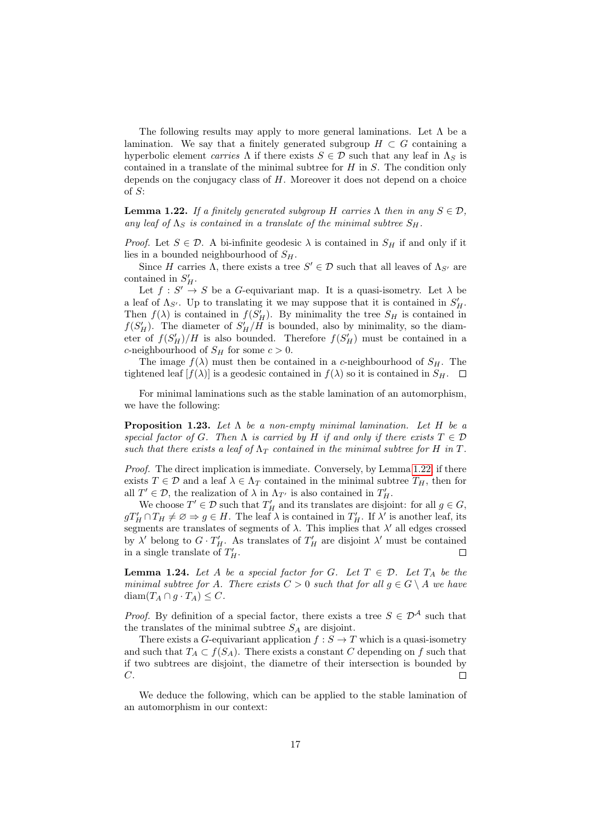The following results may apply to more general laminations. Let  $\Lambda$  be a lamination. We say that a finitely generated subgroup  $H \subset G$  containing a hyperbolic element carries  $\Lambda$  if there exists  $S \in \mathcal{D}$  such that any leaf in  $\Lambda_S$  is contained in a translate of the minimal subtree for  $H$  in  $S$ . The condition only depends on the conjugacy class of  $H$ . Moreover it does not depend on a choice of S:

<span id="page-16-0"></span>**Lemma 1.22.** If a finitely generated subgroup H carries  $\Lambda$  then in any  $S \in \mathcal{D}$ , any leaf of  $\Lambda_S$  is contained in a translate of the minimal subtree  $S_H$ .

*Proof.* Let  $S \in \mathcal{D}$ . A bi-infinite geodesic  $\lambda$  is contained in  $S_H$  if and only if it lies in a bounded neighbourhood of  $S_H$ .

Since H carries  $\Lambda$ , there exists a tree  $S' \in \mathcal{D}$  such that all leaves of  $\Lambda_{S'}$  are contained in  $S_H'$ .

Let  $f: S' \to S$  be a G-equivariant map. It is a quasi-isometry. Let  $\lambda$  be a leaf of  $\Lambda_{S'}$ . Up to translating it we may suppose that it is contained in  $S'_H$ . Then  $f(\lambda)$  is contained in  $f(S'_H)$ . By minimality the tree  $S_H$  is contained in  $f(S'_H)$ . The diameter of  $S'_H/H$  is bounded, also by minimality, so the diameter of  $f(S'_H)/H$  is also bounded. Therefore  $f(S'_H)$  must be contained in a c-neighbourhood of  $S_H$  for some  $c > 0$ .

The image  $f(\lambda)$  must then be contained in a c-neighbourhood of  $S_H$ . The tightened leaf  $[f(\lambda)]$  is a geodesic contained in  $f(\lambda)$  so it is contained in  $S_H$ .  $\Box$ 

For minimal laminations such as the stable lamination of an automorphism, we have the following:

<span id="page-16-2"></span>**Proposition 1.23.** Let  $\Lambda$  be a non-empty minimal lamination. Let  $H$  be a special factor of G. Then  $\Lambda$  is carried by H if and only if there exists  $T \in \mathcal{D}$ such that there exists a leaf of  $\Lambda_T$  contained in the minimal subtree for H in T.

Proof. The direct implication is immediate. Conversely, by Lemma [1.22,](#page-16-0) if there exists  $T \in \mathcal{D}$  and a leaf  $\lambda \in \Lambda_T$  contained in the minimal subtree  $T_H$ , then for all  $T' \in \mathcal{D}$ , the realization of  $\lambda$  in  $\Lambda_{T'}$  is also contained in  $T'_H$ .

We choose  $T' \in \mathcal{D}$  such that  $T'_H$  and its translates are disjoint: for all  $g \in G$ ,  $gT'_H \cap T_H \neq \emptyset \Rightarrow g \in H$ . The leaf  $\lambda$  is contained in  $T'_H$ . If  $\lambda'$  is another leaf, its segments are translates of segments of  $\lambda$ . This implies that  $\lambda'$  all edges crossed by  $\lambda'$  belong to  $G \cdot T'_H$ . As translates of  $T'_H$  are disjoint  $\lambda'$  must be contained in a single translate of  $T'_H$ .

<span id="page-16-1"></span>**Lemma 1.24.** Let A be a special factor for G. Let  $T \in \mathcal{D}$ . Let  $T_A$  be the minimal subtree for A. There exists  $C > 0$  such that for all  $g \in G \setminus A$  we have diam $(T_A \cap g \cdot T_A) \leq C$ .

*Proof.* By definition of a special factor, there exists a tree  $S \in \mathcal{D}^{\mathcal{A}}$  such that the translates of the minimal subtree  $S_A$  are disjoint.

There exists a G-equivariant application  $f : S \to T$  which is a quasi-isometry and such that  $T_A \subset f(S_A)$ . There exists a constant C depending on f such that if two subtrees are disjoint, the diametre of their intersection is bounded by  $C$ .  $\Box$ 

We deduce the following, which can be applied to the stable lamination of an automorphism in our context: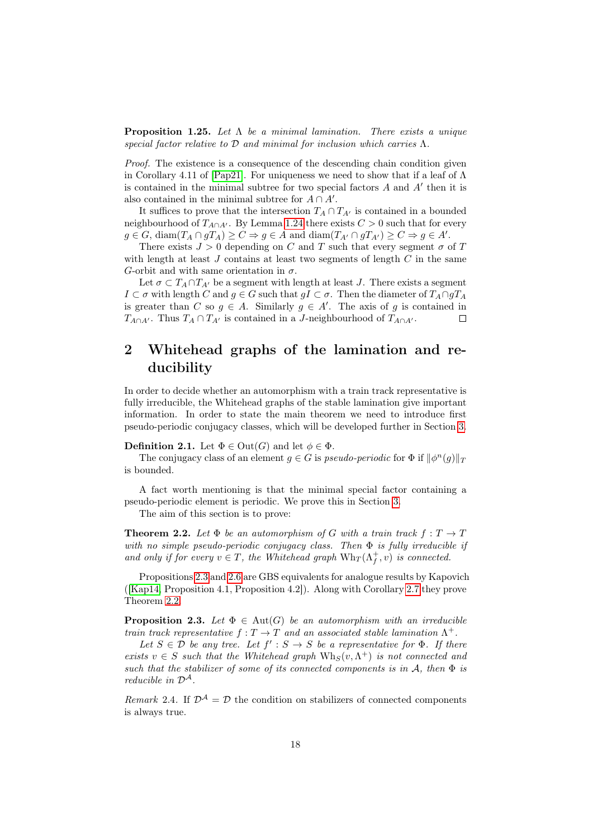<span id="page-17-3"></span>**Proposition 1.25.** Let  $\Lambda$  be a minimal lamination. There exists a unique special factor relative to  $\mathcal D$  and minimal for inclusion which carries  $\Lambda$ .

Proof. The existence is a consequence of the descending chain condition given in Corollary 4.11 of [\[Pap21\]](#page-45-0). For uniqueness we need to show that if a leaf of  $\Lambda$ is contained in the minimal subtree for two special factors  $A$  and  $A'$  then it is also contained in the minimal subtree for  $A \cap A'$ .

It suffices to prove that the intersection  $T_A \cap T_{A'}$  is contained in a bounded neighbourhood of  $T_{A\cap A'}$ . By Lemma [1.24](#page-16-1) there exists  $C > 0$  such that for every  $g \in G$ , diam $(T_A \cap gT_A) \geq C \Rightarrow g \in A$  and diam $(T_{A'} \cap gT_{A'}) \geq C \Rightarrow g \in A'$ .

There exists  $J > 0$  depending on C and T such that every segment  $\sigma$  of T with length at least  $J$  contains at least two segments of length  $C$  in the same G-orbit and with same orientation in  $\sigma$ .

Let  $\sigma \subset T_A \cap T_{A'}$  be a segment with length at least J. There exists a segment  $I \subset \sigma$  with length C and  $g \in G$  such that  $gI \subset \sigma$ . Then the diameter of  $T_A \cap gT_A$ is greater than C so  $g \in A$ . Similarly  $g \in A'$ . The axis of g is contained in  $T_{A\cap A'}$ . Thus  $T_A \cap T_{A'}$  is contained in a J-neighbourhood of  $T_{A\cap A'}$ .  $\Box$ 

## <span id="page-17-0"></span>2 Whitehead graphs of the lamination and reducibility

In order to decide whether an automorphism with a train track representative is fully irreducible, the Whitehead graphs of the stable lamination give important information. In order to state the main theorem we need to introduce first pseudo-periodic conjugacy classes, which will be developed further in Section [3.](#page-21-0)

**Definition 2.1.** Let  $\Phi \in \text{Out}(G)$  and let  $\phi \in \Phi$ .

The conjugacy class of an element  $g \in G$  is pseudo-periodic for  $\Phi$  if  $\|\phi^n(g)\|_T$ is bounded.

A fact worth mentioning is that the minimal special factor containing a pseudo-periodic element is periodic. We prove this in Section [3.](#page-21-0)

The aim of this section is to prove:

<span id="page-17-2"></span>**Theorem 2.2.** Let  $\Phi$  be an automorphism of G with a train track  $f: T \to T$ with no simple pseudo-periodic conjugacy class. Then  $\Phi$  is fully irreducible if and only if for every  $v \in T$ , the Whitehead graph  $Wh_T(\Lambda_f^+, v)$  is connected.

Propositions [2.3](#page-17-1) and [2.6](#page-18-0) are GBS equivalents for analogue results by Kapovich ([\[Kap14,](#page-44-4) Proposition 4.1, Proposition 4.2]). Along with Corollary [2.7](#page-20-0) they prove Theorem [2.2.](#page-17-2)

<span id="page-17-1"></span>**Proposition 2.3.** Let  $\Phi \in \text{Aut}(G)$  be an automorphism with an irreducible train track representative  $f: T \to T$  and an associated stable lamination  $\Lambda^+$ .

Let  $S \in \mathcal{D}$  be any tree. Let  $f' : S \to S$  be a representative for  $\Phi$ . If there exists  $v \in S$  such that the Whitehead graph  $Wh_S(v, \Lambda^+)$  is not connected and such that the stabilizer of some of its connected components is in  $A$ , then  $\Phi$  is reducible in  $\mathcal{D}^{\mathcal{A}}$ .

Remark 2.4. If  $\mathcal{D}^{\mathcal{A}} = \mathcal{D}$  the condition on stabilizers of connected components is always true.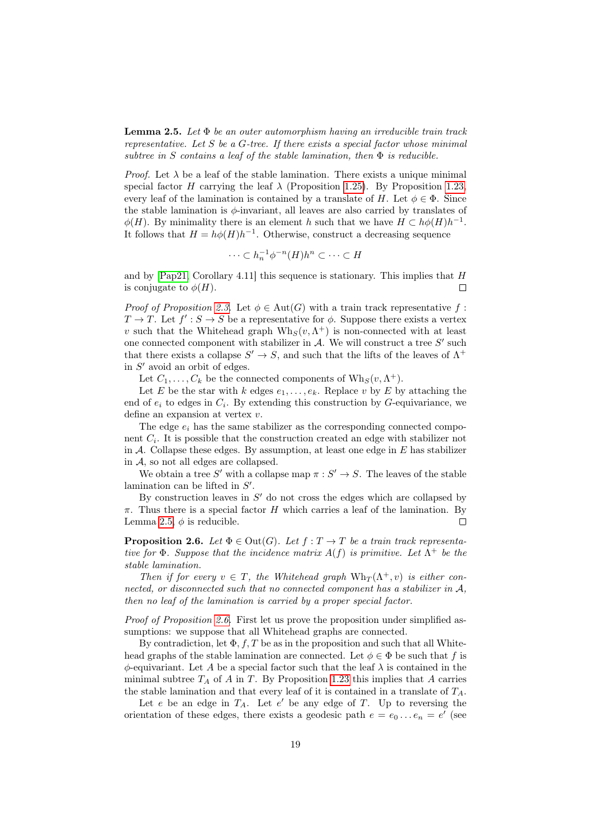<span id="page-18-1"></span>**Lemma 2.5.** Let  $\Phi$  be an outer automorphism having an irreducible train track representative. Let  $S$  be a  $G$ -tree. If there exists a special factor whose minimal subtree in S contains a leaf of the stable lamination, then  $\Phi$  is reducible.

*Proof.* Let  $\lambda$  be a leaf of the stable lamination. There exists a unique minimal special factor H carrying the leaf  $\lambda$  (Proposition [1.25\)](#page-17-3). By Proposition [1.23,](#page-16-2) every leaf of the lamination is contained by a translate of H. Let  $\phi \in \Phi$ . Since the stable lamination is  $\phi$ -invariant, all leaves are also carried by translates of  $\phi(H)$ . By minimality there is an element h such that we have  $H \subset h\phi(H)h^{-1}$ . It follows that  $H = h\phi(H)h^{-1}$ . Otherwise, construct a decreasing sequence

$$
\cdots \subset h_n^{-1} \phi^{-n}(H) h^n \subset \cdots \subset H
$$

and by  $[Pap21, Corollary 4.11]$  $[Pap21, Corollary 4.11]$  this sequence is stationary. This implies that  $H$ is conjugate to  $\phi(H)$ .  $\Box$ 

Proof of Proposition [2.3.](#page-17-1) Let  $\phi \in \text{Aut}(G)$  with a train track representative f:  $T \to T$ . Let  $f' : S \to S$  be a representative for  $\phi$ . Suppose there exists a vertex v such that the Whitehead graph  $Wh_S(v, \Lambda^+)$  is non-connected with at least one connected component with stabilizer in  $A$ . We will construct a tree  $S'$  such that there exists a collapse  $S' \to S$ , and such that the lifts of the leaves of  $\Lambda^+$ in  $S'$  avoid an orbit of edges.

Let  $C_1, \ldots, C_k$  be the connected components of  $W \mathbf{h}_S(v, \Lambda^+)$ .

Let E be the star with k edges  $e_1, \ldots, e_k$ . Replace v by E by attaching the end of  $e_i$  to edges in  $C_i$ . By extending this construction by G-equivariance, we define an expansion at vertex v.

The edge  $e_i$  has the same stabilizer as the corresponding connected component  $C_i$ . It is possible that the construction created an edge with stabilizer not in  $A$ . Collapse these edges. By assumption, at least one edge in  $E$  has stabilizer in  $A$ , so not all edges are collapsed.

We obtain a tree S' with a collapse map  $\pi : S' \to S$ . The leaves of the stable lamination can be lifted in  $S'$ .

By construction leaves in  $S'$  do not cross the edges which are collapsed by  $\pi$ . Thus there is a special factor H which carries a leaf of the lamination. By Lemma [2.5,](#page-18-1)  $\phi$  is reducible.  $\Box$ 

<span id="page-18-0"></span>**Proposition 2.6.** Let  $\Phi \in \text{Out}(G)$ . Let  $f: T \to T$  be a train track representative for  $\Phi$ . Suppose that the incidence matrix  $A(f)$  is primitive. Let  $\Lambda^+$  be the stable lamination.

Then if for every  $v \in T$ , the Whitehead graph  $Wh_T(\Lambda^+, v)$  is either connected, or disconnected such that no connected component has a stabilizer in A, then no leaf of the lamination is carried by a proper special factor.

Proof of Proposition [2.6.](#page-18-0) First let us prove the proposition under simplified assumptions: we suppose that all Whitehead graphs are connected.

By contradiction, let  $\Phi$ , f, T be as in the proposition and such that all Whitehead graphs of the stable lamination are connected. Let  $\phi \in \Phi$  be such that f is  $\phi$ -equivariant. Let A be a special factor such that the leaf  $\lambda$  is contained in the minimal subtree  $T_A$  of A in T. By Proposition [1.23](#page-16-2) this implies that A carries the stable lamination and that every leaf of it is contained in a translate of  $T_A$ .

Let  $e$  be an edge in  $T_A$ . Let  $e'$  be any edge of T. Up to reversing the orientation of these edges, there exists a geodesic path  $e = e_0 \dots e_n = e'$  (see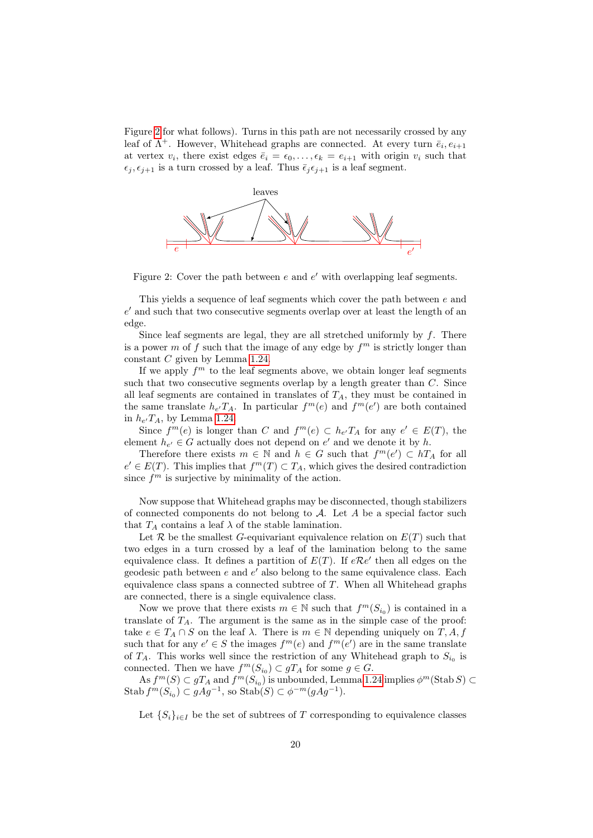Figure [2](#page-19-0) for what follows). Turns in this path are not necessarily crossed by any leaf of  $\Lambda^+$ . However, Whitehead graphs are connected. At every turn  $\bar{e}_i, e_{i+1}$ at vertex  $v_i$ , there exist edges  $\bar{e}_i = \epsilon_0, \ldots, \epsilon_k = e_{i+1}$  with origin  $v_i$  such that  $\epsilon_j, \epsilon_{j+1}$  is a turn crossed by a leaf. Thus  $\bar{\epsilon}_j \epsilon_{j+1}$  is a leaf segment.



<span id="page-19-0"></span>Figure 2: Cover the path between  $e$  and  $e'$  with overlapping leaf segments.

This yields a sequence of leaf segments which cover the path between e and  $e'$  and such that two consecutive segments overlap over at least the length of an edge.

Since leaf segments are legal, they are all stretched uniformly by  $f$ . There is a power m of f such that the image of any edge by  $f<sup>m</sup>$  is strictly longer than constant C given by Lemma [1.24.](#page-16-1)

If we apply  $f<sup>m</sup>$  to the leaf segments above, we obtain longer leaf segments such that two consecutive segments overlap by a length greater than  $C$ . Since all leaf segments are contained in translates of  $T_A$ , they must be contained in the same translate  $h_{e'}T_A$ . In particular  $f^m(e)$  and  $f^m(e')$  are both contained in  $h_{e'}T_A$ , by Lemma [1.24.](#page-16-1)

Since  $f^m(e)$  is longer than C and  $f^m(e) \subset h_{e'}T_A$  for any  $e' \in E(T)$ , the element  $h_{e'} \in G$  actually does not depend on  $e'$  and we denote it by h.

Therefore there exists  $m \in \mathbb{N}$  and  $h \in G$  such that  $f^m(e') \subset hT_A$  for all  $e' \in E(T)$ . This implies that  $f^{m}(T) \subset T_A$ , which gives the desired contradiction since  $f^m$  is surjective by minimality of the action.

Now suppose that Whitehead graphs may be disconnected, though stabilizers of connected components do not belong to  $A$ . Let A be a special factor such that  $T_A$  contains a leaf  $\lambda$  of the stable lamination.

Let  $R$  be the smallest G-equivariant equivalence relation on  $E(T)$  such that two edges in a turn crossed by a leaf of the lamination belong to the same equivalence class. It defines a partition of  $E(T)$ . If  $e\mathcal{R}e'$  then all edges on the geodesic path between  $e$  and  $e'$  also belong to the same equivalence class. Each equivalence class spans a connected subtree of  $T$ . When all Whitehead graphs are connected, there is a single equivalence class.

Now we prove that there exists  $m \in \mathbb{N}$  such that  $f^m(S_{i_0})$  is contained in a translate of  $T_A$ . The argument is the same as in the simple case of the proof: take  $e \in T_A \cap S$  on the leaf  $\lambda$ . There is  $m \in \mathbb{N}$  depending uniquely on  $T, A, f$ such that for any  $e' \in S$  the images  $f^m(e)$  and  $f^m(e')$  are in the same translate of  $T_A$ . This works well since the restriction of any Whitehead graph to  $S_{i_0}$  is connected. Then we have  $f^m(S_{i_0}) \subset gT_A$  for some  $g \in G$ .

As  $f^m(S) \subset gT_A$  and  $f^m(S_{i_0})$  is unbounded, Lemma [1.24](#page-16-1) implies  $\phi^m(\text{Stab } S) \subset$ Stab  $f^m(S_{i_0}) \subset gAg^{-1}$ , so Stab $(S) \subset \phi^{-m}(gAg^{-1})$ .

Let  $\{S_i\}_{i\in I}$  be the set of subtrees of T corresponding to equivalence classes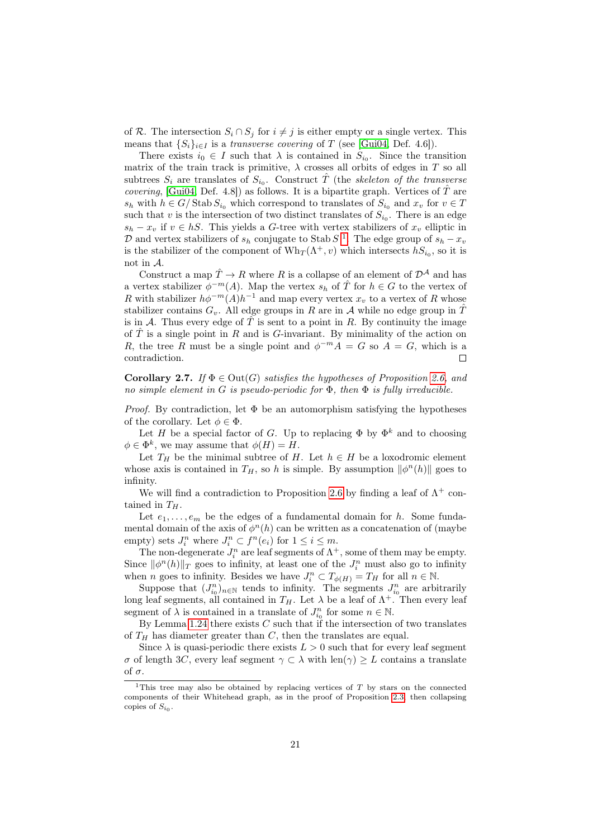of R. The intersection  $S_i \cap S_j$  for  $i \neq j$  is either empty or a single vertex. This means that  $\{S_i\}_{i\in I}$  is a transverse covering of T (see [\[Gui04,](#page-44-9) Def. 4.6]).

There exists  $i_0 \in I$  such that  $\lambda$  is contained in  $S_{i_0}$ . Since the transition matrix of the train track is primitive,  $\lambda$  crosses all orbits of edges in T so all subtrees  $S_i$  are translates of  $S_{i_0}$ . Construct  $\hat{T}$  (the skeleton of the transverse *covering*, [\[Gui04,](#page-44-9) Def. 4.8]) as follows. It is a bipartite graph. Vertices of  $\hat{T}$  are  $s_h$  with  $h \in G/\operatorname{Stab} S_{i_0}$  which correspond to translates of  $S_{i_0}$  and  $x_v$  for  $v \in T$ such that v is the intersection of two distinct translates of  $S_{i_0}$ . There is an edge  $s_h - x_v$  if  $v \in hS$ . This yields a G-tree with vertex stabilizers of  $x_v$  elliptic in D and vertex stabilizers of  $s_h$  conjugate to Stab S<sup>[1](#page-20-1)</sup>. The edge group of  $s_h - x_v$ is the stabilizer of the component of  $\text{Wh}_T(\Lambda^+, v)$  which intersects  $hS_{i_0}$ , so it is not in A.

Construct a map  $\hat{T} \to R$  where R is a collapse of an element of  $\mathcal{D}^{\mathcal{A}}$  and has a vertex stabilizer  $\phi^{-m}(A)$ . Map the vertex  $s_h$  of  $\hat{T}$  for  $h \in G$  to the vertex of R with stabilizer  $h\phi^{-m}(A)h^{-1}$  and map every vertex  $x_v$  to a vertex of R whose stabilizer contains  $G_v$ . All edge groups in R are in A while no edge group in  $\hat{T}$ is in A. Thus every edge of  $\hat{T}$  is sent to a point in R. By continuity the image of  $\hat{T}$  is a single point in R and is G-invariant. By minimality of the action on R, the tree R must be a single point and  $\phi^{-m}A = G$  so  $A = G$ , which is a contradiction. П

<span id="page-20-0"></span>**Corollary 2.7.** If  $\Phi \in \text{Out}(G)$  satisfies the hypotheses of Proposition [2.6,](#page-18-0) and no simple element in G is pseudo-periodic for  $\Phi$ , then  $\Phi$  is fully irreducible.

*Proof.* By contradiction, let  $\Phi$  be an automorphism satisfying the hypotheses of the corollary. Let  $\phi \in \Phi$ .

Let H be a special factor of G. Up to replacing  $\Phi$  by  $\Phi^k$  and to choosing  $\phi \in \Phi^k$ , we may assume that  $\phi(H) = H$ .

Let  $T_H$  be the minimal subtree of H. Let  $h \in H$  be a loxodromic element whose axis is contained in  $T_H$ , so h is simple. By assumption  $\|\phi^n(h)\|$  goes to infinity.

We will find a contradiction to Proposition [2.6](#page-18-0) by finding a leaf of  $\Lambda^+$  contained in  $T_H$ .

Let  $e_1, \ldots, e_m$  be the edges of a fundamental domain for h. Some fundamental domain of the axis of  $\phi^n(h)$  can be written as a concatenation of (maybe empty) sets  $J_i^n$  where  $J_i^n \subset f^n(e_i)$  for  $1 \leq i \leq m$ .

The non-degenerate  $J_i^n$  are leaf segments of  $\Lambda^+$ , some of them may be empty. Since  $\|\phi^n(h)\|_T$  goes to infinity, at least one of the  $J_i^n$  must also go to infinity when *n* goes to infinity. Besides we have  $J_i^n \subset T_{\phi(H)} = T_H$  for all  $n \in \mathbb{N}$ .

Suppose that  $(J_{i_0}^n)_{n \in \mathbb{N}}$  tends to infinity. The segments  $J_{i_0}^n$  are arbitrarily long leaf segments, all contained in  $T_H$ . Let  $\lambda$  be a leaf of  $\Lambda^+$ . Then every leaf segment of  $\lambda$  is contained in a translate of  $J_{i_0}^n$  for some  $n \in \mathbb{N}$ .

By Lemma [1.24](#page-16-1) there exists  $C$  such that if the intersection of two translates of  $T_H$  has diameter greater than  $C$ , then the translates are equal.

Since  $\lambda$  is quasi-periodic there exists  $L > 0$  such that for every leaf segment σ of length 3C, every leaf segment γ ⊂ λ with len(γ) ≥ L contains a translate of  $\sigma$ .

<span id="page-20-1"></span><sup>&</sup>lt;sup>1</sup>This tree may also be obtained by replacing vertices of  $T$  by stars on the connected components of their Whitehead graph, as in the proof of Proposition [2.3,](#page-17-1) then collapsing copies of  $S_{i_0}$ .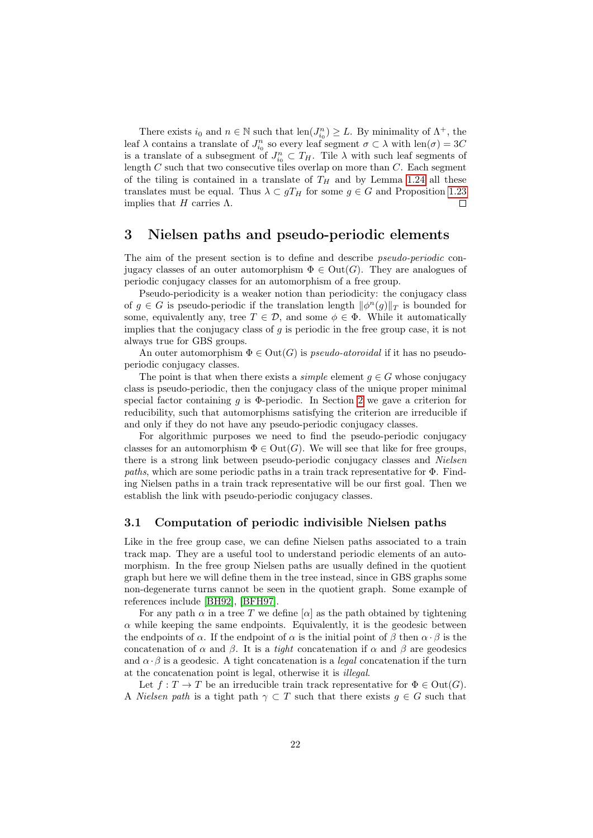There exists  $i_0$  and  $n \in \mathbb{N}$  such that  $\text{len}(J_{i_0}^n) \geq L$ . By minimality of  $\Lambda^+$ , the leaf  $\lambda$  contains a translate of  $J_{i_0}^n$  so every leaf segment  $\sigma \subset \lambda$  with  $\text{len}(\sigma) = 3C$ is a translate of a subsegment of  $J_{i_0}^n \subset T_H$ . Tile  $\lambda$  with such leaf segments of length  $C$  such that two consecutive tiles overlap on more than  $C$ . Each segment of the tiling is contained in a translate of  $T_H$  and by Lemma [1.24](#page-16-1) all these translates must be equal. Thus  $\lambda \subset gT_H$  for some  $g \in G$  and Proposition [1.23](#page-16-2) implies that H carries  $\Lambda$ .  $\Box$ 

## <span id="page-21-0"></span>3 Nielsen paths and pseudo-periodic elements

The aim of the present section is to define and describe *pseudo-periodic* conjugacy classes of an outer automorphism  $\Phi \in \text{Out}(G)$ . They are analogues of periodic conjugacy classes for an automorphism of a free group.

Pseudo-periodicity is a weaker notion than periodicity: the conjugacy class of  $g \in G$  is pseudo-periodic if the translation length  $\|\phi^n(g)\|_T$  is bounded for some, equivalently any, tree  $T \in \mathcal{D}$ , and some  $\phi \in \Phi$ . While it automatically implies that the conjugacy class of  $q$  is periodic in the free group case, it is not always true for GBS groups.

An outer automorphism  $\Phi \in \text{Out}(G)$  is *pseudo-atoroidal* if it has no pseudoperiodic conjugacy classes.

The point is that when there exists a *simple* element  $g \in G$  whose conjugacy class is pseudo-periodic, then the conjugacy class of the unique proper minimal special factor containing  $g$  is  $\Phi$ -periodic. In Section [2](#page-17-0) we gave a criterion for reducibility, such that automorphisms satisfying the criterion are irreducible if and only if they do not have any pseudo-periodic conjugacy classes.

For algorithmic purposes we need to find the pseudo-periodic conjugacy classes for an automorphism  $\Phi \in \text{Out}(G)$ . We will see that like for free groups, there is a strong link between pseudo-periodic conjugacy classes and *Nielsen* paths, which are some periodic paths in a train track representative for Φ. Finding Nielsen paths in a train track representative will be our first goal. Then we establish the link with pseudo-periodic conjugacy classes.

#### 3.1 Computation of periodic indivisible Nielsen paths

Like in the free group case, we can define Nielsen paths associated to a train track map. They are a useful tool to understand periodic elements of an automorphism. In the free group Nielsen paths are usually defined in the quotient graph but here we will define them in the tree instead, since in GBS graphs some non-degenerate turns cannot be seen in the quotient graph. Some example of references include [\[BH92\]](#page-44-2), [\[BFH97\]](#page-44-8).

For any path  $\alpha$  in a tree T we define  $[\alpha]$  as the path obtained by tightening  $\alpha$  while keeping the same endpoints. Equivalently, it is the geodesic between the endpoints of  $\alpha$ . If the endpoint of  $\alpha$  is the initial point of  $\beta$  then  $\alpha \cdot \beta$  is the concatenation of  $\alpha$  and  $\beta$ . It is a *tight* concatenation if  $\alpha$  and  $\beta$  are geodesics and  $\alpha \cdot \beta$  is a geodesic. A tight concatenation is a *legal* concatenation if the turn at the concatenation point is legal, otherwise it is illegal.

Let  $f: T \to T$  be an irreducible train track representative for  $\Phi \in \mathrm{Out}(G)$ . A *Nielsen path* is a tight path  $\gamma \subset T$  such that there exists  $g \in G$  such that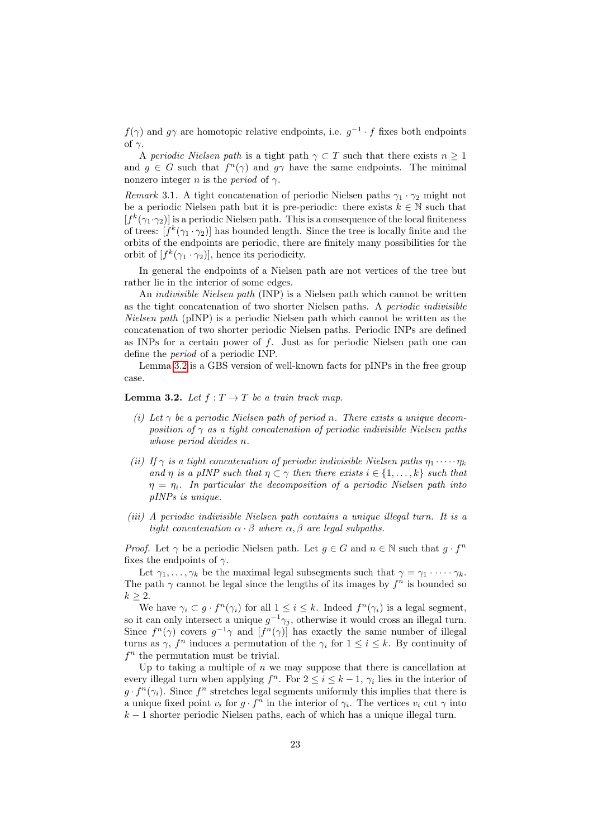$f(\gamma)$  and  $g\gamma$  are homotopic relative endpoints, i.e.  $g^{-1} \cdot f$  fixes both endpoints of  $\gamma$ .

A periodic Nielsen path is a tight path  $\gamma \subset T$  such that there exists  $n \geq 1$ and  $g \in G$  such that  $f^{n}(\gamma)$  and  $g\gamma$  have the same endpoints. The minimal nonzero integer *n* is the *period* of  $\gamma$ .

Remark 3.1. A tight concatenation of periodic Nielsen paths  $\gamma_1 \cdot \gamma_2$  might not be a periodic Nielsen path but it is pre-periodic: there exists  $k \in \mathbb{N}$  such that  $[f^k(\gamma_1 \cdot \gamma_2)]$  is a periodic Nielsen path. This is a consequence of the local finiteness of trees:  $[f^k(\gamma_1 \cdot \gamma_2)]$  has bounded length. Since the tree is locally finite and the orbits of the endpoints are periodic, there are finitely many possibilities for the orbit of  $[f^k(\gamma_1 \cdot \gamma_2)],$  hence its periodicity.

In general the endpoints of a Nielsen path are not vertices of the tree but rather lie in the interior of some edges.

An indivisible Nielsen path (INP) is a Nielsen path which cannot be written as the tight concatenation of two shorter Nielsen paths. A periodic indivisible Nielsen path (pINP) is a periodic Nielsen path which cannot be written as the concatenation of two shorter periodic Nielsen paths. Periodic INPs are defined as INPs for a certain power of  $f$ . Just as for periodic Nielsen path one can define the period of a periodic INP.

Lemma [3.2](#page-22-0) is a GBS version of well-known facts for pINPs in the free group case.

#### <span id="page-22-0"></span>**Lemma 3.2.** Let  $f: T \to T$  be a train track map.

- (i) Let  $\gamma$  be a periodic Nielsen path of period n. There exists a unique decomposition of  $\gamma$  as a tight concatenation of periodic indivisible Nielsen paths whose period divides n.
- (ii) If  $\gamma$  is a tight concatenation of periodic indivisible Nielsen paths  $\eta_1 \cdots \eta_k$ and  $\eta$  is a pINP such that  $\eta \subset \gamma$  then there exists  $i \in \{1, \ldots, k\}$  such that  $\eta = \eta_i$ . In particular the decomposition of a periodic Nielsen path into pINPs is unique.
- (iii) A periodic indivisible Nielsen path contains a unique illegal turn. It is a tight concatenation  $\alpha \cdot \beta$  where  $\alpha, \beta$  are legal subpaths.

*Proof.* Let  $\gamma$  be a periodic Nielsen path. Let  $g \in G$  and  $n \in \mathbb{N}$  such that  $g \cdot f^n$ fixes the endpoints of  $\gamma$ .

Let  $\gamma_1, \ldots, \gamma_k$  be the maximal legal subsegments such that  $\gamma = \gamma_1 \cdots \gamma_k$ . The path  $\gamma$  cannot be legal since the lengths of its images by  $f^n$  is bounded so  $k > 2$ .

We have  $\gamma_i \subset g \cdot f^n(\gamma_i)$  for all  $1 \leq i \leq k$ . Indeed  $f^n(\gamma_i)$  is a legal segment, so it can only intersect a unique  $g^{-1}\gamma_j$ , otherwise it would cross an illegal turn. Since  $f^{n}(\gamma)$  covers  $g^{-1}\gamma$  and  $[f^{n}(\gamma)]$  has exactly the same number of illegal turns as  $\gamma$ ,  $f^n$  induces a permutation of the  $\gamma_i$  for  $1 \leq i \leq k$ . By continuity of  $f<sup>n</sup>$  the permutation must be trivial.

Up to taking a multiple of  $n$  we may suppose that there is cancellation at every illegal turn when applying  $f^n$ . For  $2 \leq i \leq k-1$ ,  $\gamma_i$  lies in the interior of  $g \cdot f^{n}(\gamma_i)$ . Since  $f^{n}$  stretches legal segments uniformly this implies that there is a unique fixed point  $v_i$  for  $g \cdot f^n$  in the interior of  $\gamma_i$ . The vertices  $v_i$  cut  $\gamma$  into  $k-1$  shorter periodic Nielsen paths, each of which has a unique illegal turn.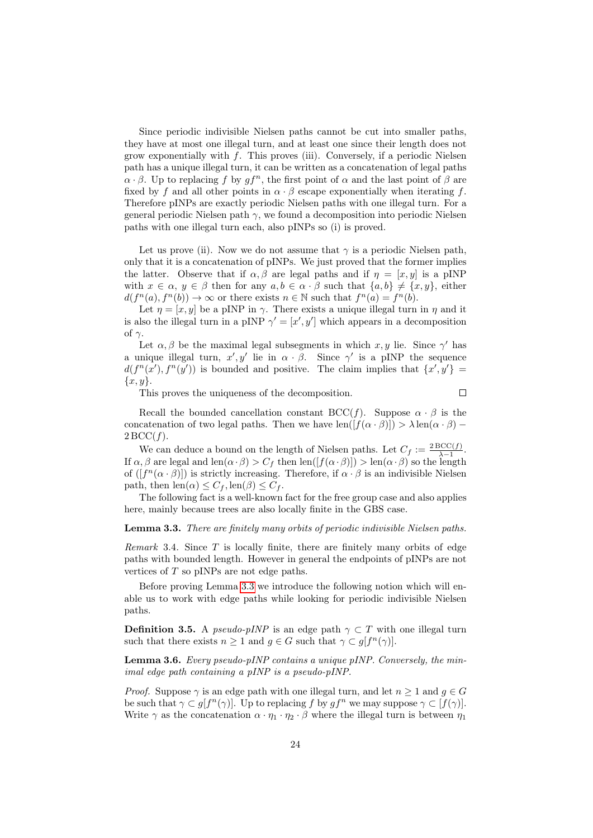Since periodic indivisible Nielsen paths cannot be cut into smaller paths, they have at most one illegal turn, and at least one since their length does not grow exponentially with  $f$ . This proves (iii). Conversely, if a periodic Nielsen path has a unique illegal turn, it can be written as a concatenation of legal paths  $\alpha \cdot \beta$ . Up to replacing f by  $qf^n$ , the first point of  $\alpha$  and the last point of  $\beta$  are fixed by f and all other points in  $\alpha \cdot \beta$  escape exponentially when iterating f. Therefore pINPs are exactly periodic Nielsen paths with one illegal turn. For a general periodic Nielsen path  $\gamma$ , we found a decomposition into periodic Nielsen paths with one illegal turn each, also pINPs so (i) is proved.

Let us prove (ii). Now we do not assume that  $\gamma$  is a periodic Nielsen path, only that it is a concatenation of pINPs. We just proved that the former implies the latter. Observe that if  $\alpha, \beta$  are legal paths and if  $\eta = [x, y]$  is a pINP with  $x \in \alpha$ ,  $y \in \beta$  then for any  $a, b \in \alpha \cdot \beta$  such that  $\{a, b\} \neq \{x, y\}$ , either  $d(f^{n}(a), f^{n}(b)) \to \infty$  or there exists  $n \in \mathbb{N}$  such that  $f^{n}(a) = f^{n}(b)$ .

Let  $\eta = [x, y]$  be a pINP in  $\gamma$ . There exists a unique illegal turn in  $\eta$  and it is also the illegal turn in a pINP  $\gamma' = [x', y']$  which appears in a decomposition of  $\gamma$ .

Let  $\alpha, \beta$  be the maximal legal subsegments in which  $x, y$  lie. Since  $\gamma'$  has a unique illegal turn,  $x', y'$  lie in  $\alpha \cdot \beta$ . Since  $\gamma'$  is a pINP the sequence  $d(f^{n}(x'), f^{n}(y'))$  is bounded and positive. The claim implies that  $\{x', y'\}$  $\{x,y\}.$ 

This proves the uniqueness of the decomposition.

 $\Box$ 

Recall the bounded cancellation constant  $\text{BCC}(f)$ . Suppose  $\alpha \cdot \beta$  is the concatenation of two legal paths. Then we have  $\text{len}([f(\alpha \cdot \beta)]) > \lambda \text{len}(\alpha \cdot \beta)$  $2 \text{BCC}(f)$ .

We can deduce a bound on the length of Nielsen paths. Let  $C_f := \frac{2 \text{ BCC}(f)}{\lambda - 1}$  $\frac{3CC(J)}{\lambda-1}$ . If  $\alpha, \beta$  are legal and len $(\alpha \cdot \beta) > C_f$  then len $([f(\alpha \cdot \beta)]) > \text{len}(\alpha \cdot \beta)$  so the length of  $([f^n(\alpha \cdot \beta)])$  is strictly increasing. Therefore, if  $\alpha \cdot \beta$  is an indivisible Nielsen path, then  $\text{len}(\alpha) \leq C_f$ ,  $\text{len}(\beta) \leq C_f$ .

The following fact is a well-known fact for the free group case and also applies here, mainly because trees are also locally finite in the GBS case.

#### <span id="page-23-0"></span>Lemma 3.3. There are finitely many orbits of periodic indivisible Nielsen paths.

Remark 3.4. Since  $T$  is locally finite, there are finitely many orbits of edge paths with bounded length. However in general the endpoints of pINPs are not vertices of T so pINPs are not edge paths.

Before proving Lemma [3.3](#page-23-0) we introduce the following notion which will enable us to work with edge paths while looking for periodic indivisible Nielsen paths.

**Definition 3.5.** A *pseudo-pINP* is an edge path  $\gamma \subset T$  with one illegal turn such that there exists  $n \geq 1$  and  $g \in G$  such that  $\gamma \subset g[f^n(\gamma)].$ 

<span id="page-23-1"></span>**Lemma 3.6.** Every pseudo-pINP contains a unique pINP. Conversely, the minimal edge path containing a pINP is a pseudo-pINP.

*Proof.* Suppose  $\gamma$  is an edge path with one illegal turn, and let  $n \geq 1$  and  $g \in G$ be such that  $\gamma \subset g[f^n(\gamma)]$ . Up to replacing f by  $gf^n$  we may suppose  $\gamma \subset [f(\gamma)]$ . Write  $\gamma$  as the concatenation  $\alpha \cdot \eta_1 \cdot \eta_2 \cdot \beta$  where the illegal turn is between  $\eta_1$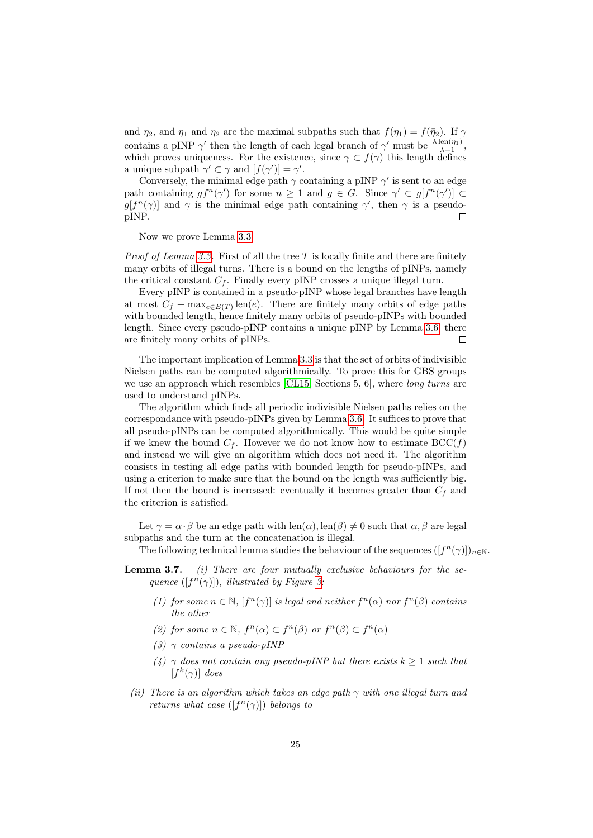and  $\eta_2$ , and  $\eta_1$  and  $\eta_2$  are the maximal subpaths such that  $f(\eta_1) = f(\bar{\eta}_2)$ . If  $\gamma$ contains a pINP  $\gamma'$  then the length of each legal branch of  $\gamma'$  must be  $\frac{\lambda \operatorname{len}(\eta_1)}{\lambda - 1}$ , which proves uniqueness. For the existence, since  $\gamma \subset f(\gamma)$  this length defines a unique subpath  $\gamma' \subset \gamma$  and  $[f(\gamma')] = \gamma'$ .

Conversely, the minimal edge path  $\gamma$  containing a pINP  $\gamma'$  is sent to an edge path containing  $gf^n(\gamma')$  for some  $n \geq 1$  and  $g \in G$ . Since  $\gamma' \subset g[f^n(\gamma')] \subset$  $g[f^{n}(\gamma)]$  and  $\gamma$  is the minimal edge path containing  $\gamma'$ , then  $\gamma$  is a pseudopINP.  $\Box$ 

Now we prove Lemma [3.3.](#page-23-0)

*Proof of Lemma [3.3.](#page-23-0)* First of all the tree T is locally finite and there are finitely many orbits of illegal turns. There is a bound on the lengths of pINPs, namely the critical constant  $C_f$ . Finally every pINP crosses a unique illegal turn.

Every pINP is contained in a pseudo-pINP whose legal branches have length at most  $C_f + \max_{e \in E(T)} \text{len}(e)$ . There are finitely many orbits of edge paths with bounded length, hence finitely many orbits of pseudo-pINPs with bounded length. Since every pseudo-pINP contains a unique pINP by Lemma [3.6,](#page-23-1) there are finitely many orbits of pINPs.  $\Box$ 

The important implication of Lemma [3.3](#page-23-0) is that the set of orbits of indivisible Nielsen paths can be computed algorithmically. To prove this for GBS groups we use an approach which resembles [\[CL15,](#page-44-10) Sections 5, 6], where *long turns* are used to understand pINPs.

The algorithm which finds all periodic indivisible Nielsen paths relies on the correspondance with pseudo-pINPs given by Lemma [3.6.](#page-23-1) It suffices to prove that all pseudo-pINPs can be computed algorithmically. This would be quite simple if we knew the bound  $C_f$ . However we do not know how to estimate  $\text{BCC}(f)$ and instead we will give an algorithm which does not need it. The algorithm consists in testing all edge paths with bounded length for pseudo-pINPs, and using a criterion to make sure that the bound on the length was sufficiently big. If not then the bound is increased: eventually it becomes greater than  $C_f$  and the criterion is satisfied.

Let  $\gamma = \alpha \cdot \beta$  be an edge path with  $\text{len}(\alpha)$ ,  $\text{len}(\beta) \neq 0$  such that  $\alpha, \beta$  are legal subpaths and the turn at the concatenation is illegal.

The following technical lemma studies the behaviour of the sequences  $([f^n(\gamma)])_{n\in\mathbb{N}}$ .

- **Lemma 3.7.** (i) There are four mutually exclusive behaviours for the sequence  $([f^n(\gamma)]),$  illustrated by Figure 3.
	- (1) for some  $n \in \mathbb{N}$ ,  $[f^n(\gamma)]$  is legal and neither  $f^n(\alpha)$  nor  $f^n(\beta)$  contains the other
	- (2) for some  $n \in \mathbb{N}$ ,  $f^{n}(\alpha) \subset f^{n}(\beta)$  or  $f^{n}(\beta) \subset f^{n}(\alpha)$
	- (3)  $\gamma$  contains a pseudo-pINP
	- (4)  $\gamma$  does not contain any pseudo-pINP but there exists  $k \geq 1$  such that  $[f^k(\gamma)]$  does
- (ii) There is an algorithm which takes an edge path  $\gamma$  with one illegal turn and returns what case  $([f^n(\gamma)])$  belongs to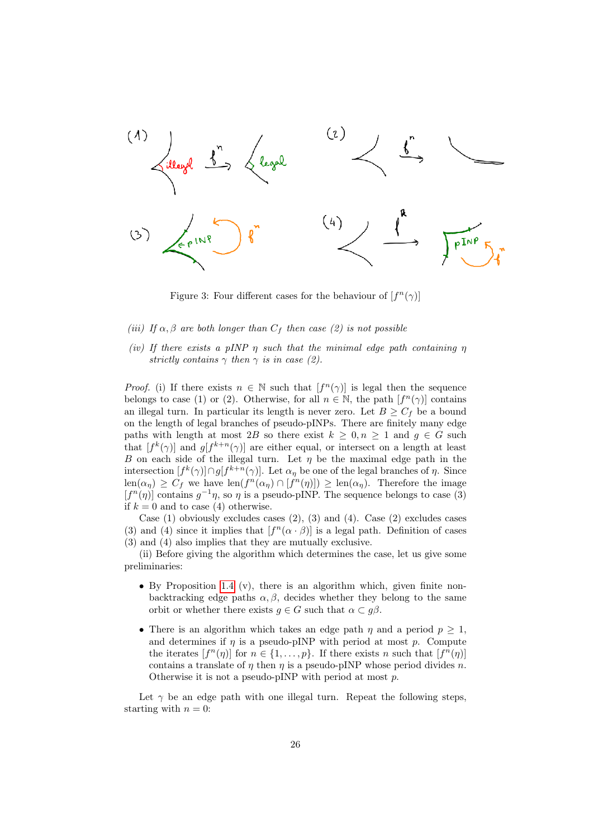

<span id="page-25-0"></span>Figure 3: Four different cases for the behaviour of  $[f^n(\gamma)]$ 

- (iii) If  $\alpha, \beta$  are both longer than  $C_f$  then case (2) is not possible
- (iv) If there exists a pINP  $\eta$  such that the minimal edge path containing  $\eta$ strictly contains  $\gamma$  then  $\gamma$  is in case (2).

*Proof.* (i) If there exists  $n \in \mathbb{N}$  such that  $[f^n(\gamma)]$  is legal then the sequence belongs to case (1) or (2). Otherwise, for all  $n \in \mathbb{N}$ , the path  $[f^{n}(\gamma)]$  contains an illegal turn. In particular its length is never zero. Let  $B \geq C_f$  be a bound on the length of legal branches of pseudo-pINPs. There are finitely many edge paths with length at most 2B so there exist  $k \geq 0, n \geq 1$  and  $g \in G$  such that  $[f^k(\gamma)]$  and  $g[f^{k+n}(\gamma)]$  are either equal, or intersect on a length at least B on each side of the illegal turn. Let  $\eta$  be the maximal edge path in the intersection  $[f^k(\gamma)] \cap g[f^{k+n}(\gamma)]$ . Let  $\alpha_\eta$  be one of the legal branches of  $\eta$ . Since  $\text{len}(\alpha_{\eta}) \geq C_f$  we have  $\text{len}(f^n(\alpha_{\eta}) \cap [f^n(\eta)]) \geq \text{len}(\alpha_{\eta})$ . Therefore the image  $[f<sup>n</sup>(\eta)]$  contains  $g^{-1}\eta$ , so  $\eta$  is a pseudo-pINP. The sequence belongs to case (3) if  $k = 0$  and to case (4) otherwise.

Case (1) obviously excludes cases  $(2)$ ,  $(3)$  and  $(4)$ . Case  $(2)$  excludes cases (3) and (4) since it implies that  $[f<sup>n</sup>(\alpha \cdot \beta)]$  is a legal path. Definition of cases (3) and (4) also implies that they are mutually exclusive.

(ii) Before giving the algorithm which determines the case, let us give some preliminaries:

- By Proposition [1.4](#page-7-0) (v), there is an algorithm which, given finite nonbacktracking edge paths  $\alpha, \beta$ , decides whether they belong to the same orbit or whether there exists  $g \in G$  such that  $\alpha \subset g\beta$ .
- There is an algorithm which takes an edge path  $\eta$  and a period  $p \geq 1$ , and determines if  $\eta$  is a pseudo-pINP with period at most p. Compute the iterates  $[f^n(\eta)]$  for  $n \in \{1, ..., p\}$ . If there exists n such that  $[f^n(\eta)]$ contains a translate of  $\eta$  then  $\eta$  is a pseudo-pINP whose period divides n. Otherwise it is not a pseudo-pINP with period at most p.

Let  $\gamma$  be an edge path with one illegal turn. Repeat the following steps, starting with  $n = 0$ :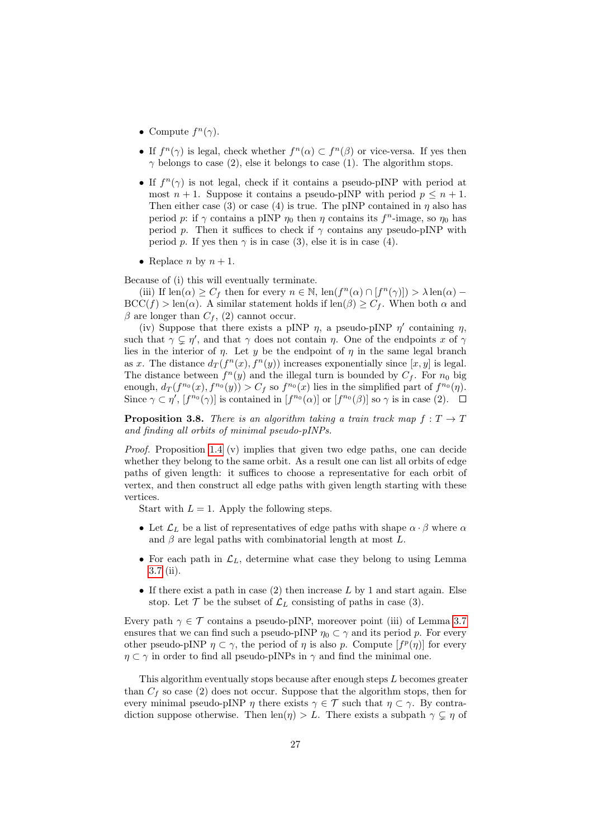- Compute  $f^{n}(\gamma)$ .
- If  $f^{n}(\gamma)$  is legal, check whether  $f^{n}(\alpha) \subset f^{n}(\beta)$  or vice-versa. If yes then  $\gamma$  belongs to case (2), else it belongs to case (1). The algorithm stops.
- If  $f^{n}(\gamma)$  is not legal, check if it contains a pseudo-pINP with period at most  $n + 1$ . Suppose it contains a pseudo-pINP with period  $p \leq n + 1$ . Then either case (3) or case (4) is true. The pINP contained in  $\eta$  also has period p: if  $\gamma$  contains a pINP  $\eta_0$  then  $\eta$  contains its  $f^n$ -image, so  $\eta_0$  has period p. Then it suffices to check if  $\gamma$  contains any pseudo-pINP with period p. If yes then  $\gamma$  is in case (3), else it is in case (4).
- Replace *n* by  $n + 1$ .

Because of (i) this will eventually terminate.

(iii) If  $\text{len}(\alpha) \geq C_f$  then for every  $n \in \mathbb{N}$ ,  $\text{len}(f^n(\alpha) \cap [f^n(\gamma)]) > \lambda \text{len}(\alpha)$  $BCC(f) > \text{len}(\alpha)$ . A similar statement holds if  $\text{len}(\beta) \geq C_f$ . When both  $\alpha$  and  $\beta$  are longer than  $C_f$ , (2) cannot occur.

(iv) Suppose that there exists a pINP  $\eta$ , a pseudo-pINP  $\eta'$  containing  $\eta$ , such that  $\gamma \subsetneq \eta'$ , and that  $\gamma$  does not contain  $\eta$ . One of the endpoints x of  $\gamma$ lies in the interior of  $\eta$ . Let y be the endpoint of  $\eta$  in the same legal branch as x. The distance  $d_T(f^n(x), f^n(y))$  increases exponentially since  $[x, y]$  is legal. The distance between  $f^{(n)}(y)$  and the illegal turn is bounded by  $C_f$ . For  $n_0$  big enough,  $d_T(f^{n_0}(x), f^{n_0}(y)) > C_f$  so  $f^{n_0}(x)$  lies in the simplified part of  $f^{n_0}(\eta)$ . Since  $\gamma \subset \eta'$ ,  $[f^{n_0}(\gamma)]$  is contained in  $[f^{n_0}(\alpha)]$  or  $[f^{n_0}(\beta)]$  so  $\gamma$  is in case (2).

<span id="page-26-0"></span>**Proposition 3.8.** There is an algorithm taking a train track map  $f: T \to T$ and finding all orbits of minimal pseudo-pINPs.

*Proof.* Proposition [1.4](#page-7-0) (v) implies that given two edge paths, one can decide whether they belong to the same orbit. As a result one can list all orbits of edge paths of given length: it suffices to choose a representative for each orbit of vertex, and then construct all edge paths with given length starting with these vertices.

Start with  $L = 1$ . Apply the following steps.

- Let  $\mathcal{L}_L$  be a list of representatives of edge paths with shape  $\alpha \cdot \beta$  where  $\alpha$ and  $\beta$  are legal paths with combinatorial length at most L.
- For each path in  $\mathcal{L}_L$ , determine what case they belong to using Lemma [3.7](#page-0-0) (ii).
- If there exist a path in case  $(2)$  then increase L by 1 and start again. Else stop. Let  $\mathcal T$  be the subset of  $\mathcal L_L$  consisting of paths in case (3).

Every path  $\gamma \in \mathcal{T}$  contains a pseudo-pINP, moreover point (iii) of Lemma [3.7](#page-0-0) ensures that we can find such a pseudo-pINP  $\eta_0 \subset \gamma$  and its period p. For every other pseudo-pINP  $\eta \subset \gamma$ , the period of  $\eta$  is also p. Compute  $[f^p(\eta)]$  for every  $\eta \subset \gamma$  in order to find all pseudo-pINPs in  $\gamma$  and find the minimal one.

This algorithm eventually stops because after enough steps L becomes greater than  $C_f$  so case (2) does not occur. Suppose that the algorithm stops, then for every minimal pseudo-pINP  $\eta$  there exists  $\gamma \in \mathcal{T}$  such that  $\eta \subset \gamma$ . By contradiction suppose otherwise. Then  $\text{len}(\eta) > L$ . There exists a subpath  $\gamma \subseteq \eta$  of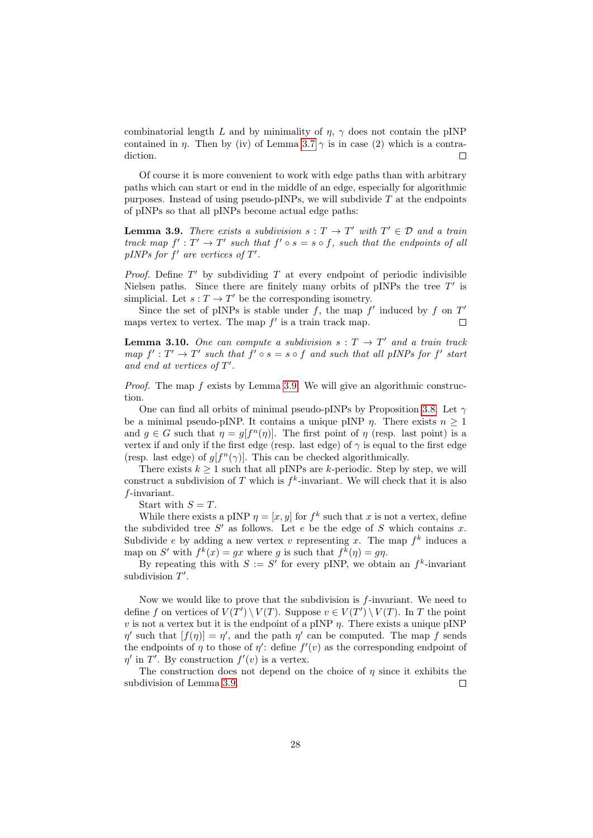combinatorial length L and by minimality of  $\eta$ ,  $\gamma$  does not contain the pINP contained in  $\eta$ . Then by (iv) of Lemma [3.7](#page-0-0)  $\gamma$  is in case (2) which is a contradiction. П

Of course it is more convenient to work with edge paths than with arbitrary paths which can start or end in the middle of an edge, especially for algorithmic purposes. Instead of using pseudo-pINPs, we will subdivide  $T$  at the endpoints of pINPs so that all pINPs become actual edge paths:

<span id="page-27-0"></span>**Lemma 3.9.** There exists a subdivision  $s: T \to T'$  with  $T' \in \mathcal{D}$  and a train track map  $f': T' \to T'$  such that  $f' \circ s = s \circ f$ , such that the endpoints of all pINPs for  $f'$  are vertices of  $T'$ .

*Proof.* Define  $T'$  by subdividing  $T$  at every endpoint of periodic indivisible Nielsen paths. Since there are finitely many orbits of pINPs the tree  $T'$  is simplicial. Let  $s: T \to T'$  be the corresponding isometry.

Since the set of pINPs is stable under f, the map  $f'$  induced by f on  $T'$ maps vertex to vertex. The map  $f'$  is a train track map.  $\Box$ 

<span id="page-27-1"></span>**Lemma 3.10.** One can compute a subdivision  $s: T \to T'$  and a train track map  $f': T' \to T'$  such that  $f' \circ s = s \circ f$  and such that all pINPs for  $f'$  start and end at vertices of  $T'$ .

*Proof.* The map  $f$  exists by Lemma [3.9.](#page-27-0) We will give an algorithmic construction.

One can find all orbits of minimal pseudo-pINPs by Proposition [3.8.](#page-26-0) Let  $\gamma$ be a minimal pseudo-pINP. It contains a unique pINP  $\eta$ . There exists  $n \geq 1$ and  $g \in G$  such that  $\eta = g[f^n(\eta)]$ . The first point of  $\eta$  (resp. last point) is a vertex if and only if the first edge (resp. last edge) of  $\gamma$  is equal to the first edge (resp. last edge) of  $g[f^n(\gamma)]$ . This can be checked algorithmically.

There exists  $k \geq 1$  such that all pINPs are k-periodic. Step by step, we will construct a subdivision of T which is  $f^k$ -invariant. We will check that it is also f-invariant.

Start with  $S = T$ .

While there exists a pINP  $\eta = [x, y]$  for  $f^k$  such that x is not a vertex, define the subdivided tree  $S'$  as follows. Let e be the edge of S which contains x. Subdivide e by adding a new vertex v representing x. The map  $f^k$  induces a map on S' with  $f^k(x) = gx$  where g is such that  $f^k(\eta) = gp$ .

By repeating this with  $S := S'$  for every pINP, we obtain an  $f^k$ -invariant subdivision  $T'$ .

Now we would like to prove that the subdivision is f-invariant. We need to define f on vertices of  $V(T') \setminus V(T)$ . Suppose  $v \in V(T') \setminus V(T)$ . In T the point v is not a vertex but it is the endpoint of a pINP  $\eta$ . There exists a unique pINP  $\eta'$  such that  $[f(\eta)] = \eta'$ , and the path  $\eta'$  can be computed. The map f sends the endpoints of  $\eta$  to those of  $\eta'$ : define  $f'(v)$  as the corresponding endpoint of  $\eta'$  in T'. By construction  $f'(v)$  is a vertex.

The construction does not depend on the choice of  $\eta$  since it exhibits the subdivision of Lemma [3.9.](#page-27-0)  $\Box$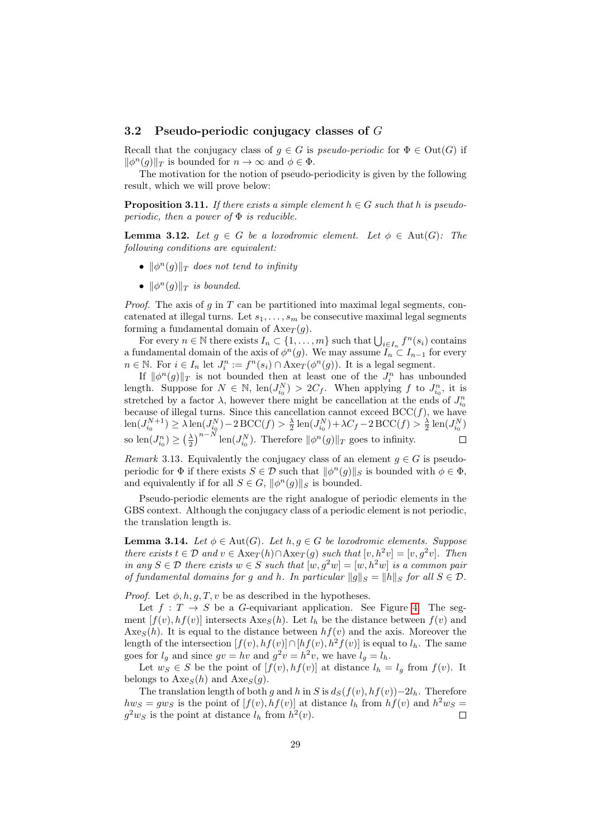#### 3.2 Pseudo-periodic conjugacy classes of  $G$

Recall that the conjugacy class of  $q \in G$  is *pseudo-periodic* for  $\Phi \in Out(G)$  if  $\|\phi^n(g)\|_T$  is bounded for  $n \to \infty$  and  $\phi \in \Phi$ .

The motivation for the notion of pseudo-periodicity is given by the following result, which we will prove below:

<span id="page-28-1"></span>**Proposition 3.11.** If there exists a simple element  $h \in G$  such that h is pseudoperiodic, then a power of  $\Phi$  is reducible.

**Lemma 3.12.** Let  $g \in G$  be a loxodromic element. Let  $\phi \in \text{Aut}(G)$ : The following conditions are equivalent:

- $\|\phi^n(g)\|_T$  does not tend to infinity
- $\|\phi^n(g)\|_T$  is bounded.

*Proof.* The axis of  $g$  in  $T$  can be partitioned into maximal legal segments, concatenated at illegal turns. Let  $s_1, \ldots, s_m$  be consecutive maximal legal segments forming a fundamental domain of  $Axe_T(g)$ .

For every  $n \in \mathbb{N}$  there exists  $I_n \subset \{1, \ldots, m\}$  such that  $\bigcup_{i \in I_n} f^n(s_i)$  contains a fundamental domain of the axis of  $\phi^{n}(g)$ . We may assume  $\widetilde{I_n} \subset I_{n-1}$  for every  $n \in \mathbb{N}$ . For  $i \in I_n$  let  $J_i^n := f^n(s_i) \cap \text{Axe}_T(\phi^n(g))$ . It is a legal segment.

If  $\|\phi^n(g)\|_T$  is not bounded then at least one of the  $J_i^n$  has unbounded length. Suppose for  $N \in \mathbb{N}$ ,  $len(J_{i_0}^N) > 2C_f$ . When applying f to  $J_{i_0}^n$ , it is stretched by a factor  $\lambda$ , however there might be cancellation at the ends of  $J_{i_0}^n$ because of illegal turns. Since this cancellation cannot exceed  $\mathrm{BCC}(f)$ , we have  $\text{len}(J_{i_0}^{N+1}) \geq \lambda \text{len}(J_{i_0}^N) - 2\text{BCC}(f) > \frac{\lambda}{2} \text{len}(J_{i_0}^N) + \lambda C_f - 2\text{BCC}(f) > \frac{\lambda}{2} \text{len}(J_{i_0}^N)$ so  $\text{len}(J_{i_0}^n) \geq \left(\frac{\lambda}{2}\right)^{n-N} \text{len}(J_{i_0}^N)$ . Therefore  $\|\phi^n(g)\|_T$  goes to infinity.

Remark 3.13. Equivalently the conjugacy class of an element  $g \in G$  is pseudoperiodic for  $\Phi$  if there exists  $S \in \mathcal{D}$  such that  $\|\phi^n(g)\|_S$  is bounded with  $\phi \in \Phi$ , and equivalently if for all  $S \in G$ ,  $\|\phi^n(g)\|_S$  is bounded.

Pseudo-periodic elements are the right analogue of periodic elements in the GBS context. Although the conjugacy class of a periodic element is not periodic, the translation length is.

<span id="page-28-0"></span>**Lemma 3.14.** Let  $\phi \in \text{Aut}(G)$ . Let  $h, g \in G$  be loxodromic elements. Suppose there exists  $t \in \mathcal{D}$  and  $v \in \text{Axe}_{T}(h) \cap \text{Axe}_{T}(g)$  such that  $[v, h^{2}v] = [v, g^{2}v]$ . Then in any  $S \in \mathcal{D}$  there exists  $w \in S$  such that  $[w, g^2w] = [w, h^2w]$  is a common pair of fundamental domains for g and h. In particular  $||g||_S = ||h||_S$  for all  $S \in \mathcal{D}$ .

*Proof.* Let  $\phi$ , h, g, T, v be as described in the hypotheses.

Let  $f: T \to S$  be a G-equivariant application. See Figure [4.](#page-29-0) The segment  $[f(v), hf(v)]$  intersects  $\text{Axe}_{S}(h)$ . Let  $l_h$  be the distance between  $f(v)$  and  $\text{Axe}_{S}(h)$ . It is equal to the distance between  $hf(v)$  and the axis. Moreover the length of the intersection  $[f(v), hf(v)] \cap [hf(v), h^2f(v)]$  is equal to  $l_h$ . The same goes for  $l_g$  and since  $gv = hv$  and  $g^2v = h^2v$ , we have  $l_g = l_h$ .

Let  $w_S \in S$  be the point of  $[f(v), hf(v)]$  at distance  $l_h = l_g$  from  $f(v)$ . It belongs to  $\text{Axe}_S(h)$  and  $\text{Axe}_S(g)$ .

The translation length of both g and h in S is  $d_S(f(v), hf(v))-2l_h$ . Therefore  $hw_S = g w_S$  is the point of  $[f(v), hf(v)]$  at distance  $l_h$  from  $hf(v)$  and  $h^2 w_S =$  $g^2 w_S$  is the point at distance  $l_h$  from  $h^2(v)$ . Г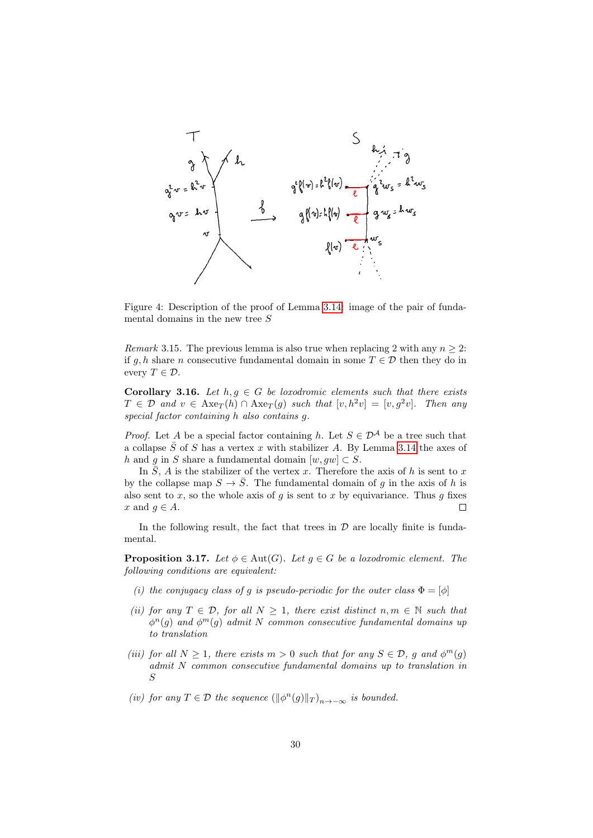

<span id="page-29-0"></span>Figure 4: Description of the proof of Lemma [3.14:](#page-28-0) image of the pair of fundamental domains in the new tree S

<span id="page-29-1"></span>Remark 3.15. The previous lemma is also true when replacing 2 with any  $n \geq 2$ : if q, h share n consecutive fundamental domain in some  $T \in \mathcal{D}$  then they do in every  $T \in \mathcal{D}$ .

<span id="page-29-3"></span>**Corollary 3.16.** Let  $h, g \in G$  be loxodromic elements such that there exists  $T \in \mathcal{D}$  and  $v \in \text{Axe}_{T}(h) \cap \text{Axe}_{T}(g)$  such that  $[v, h^{2}v] = [v, g^{2}v]$ . Then any special factor containing h also contains g.

*Proof.* Let A be a special factor containing h. Let  $S \in \mathcal{D}^{\mathcal{A}}$  be a tree such that a collapse  $\overline{S}$  of S has a vertex x with stabilizer A. By Lemma [3.14](#page-28-0) the axes of h and g in S share a fundamental domain  $[w, gw] \subset S$ .

In S, A is the stabilizer of the vertex x. Therefore the axis of h is sent to x by the collapse map  $S \to \overline{S}$ . The fundamental domain of g in the axis of h is also sent to  $x$ , so the whole axis of  $g$  is sent to  $x$  by equivariance. Thus  $g$  fixes x and  $q \in A$ . С

In the following result, the fact that trees in  $D$  are locally finite is fundamental.

<span id="page-29-2"></span>**Proposition 3.17.** Let  $\phi \in \text{Aut}(G)$ . Let  $g \in G$  be a loxodromic element. The following conditions are equivalent:

- (i) the conjugacy class of g is pseudo-periodic for the outer class  $\Phi = [\phi]$
- (ii) for any  $T \in \mathcal{D}$ , for all  $N \geq 1$ , there exist distinct  $n, m \in \mathbb{N}$  such that  $\phi^n(g)$  and  $\phi^m(g)$  admit N common consecutive fundamental domains up to translation
- (iii) for all  $N \geq 1$ , there exists  $m > 0$  such that for any  $S \in \mathcal{D}$ , g and  $\phi^m(g)$ admit N common consecutive fundamental domains up to translation in S
- (iv) for any  $T \in \mathcal{D}$  the sequence  $(\|\phi^n(g)\|_T)_{n \to -\infty}$  is bounded.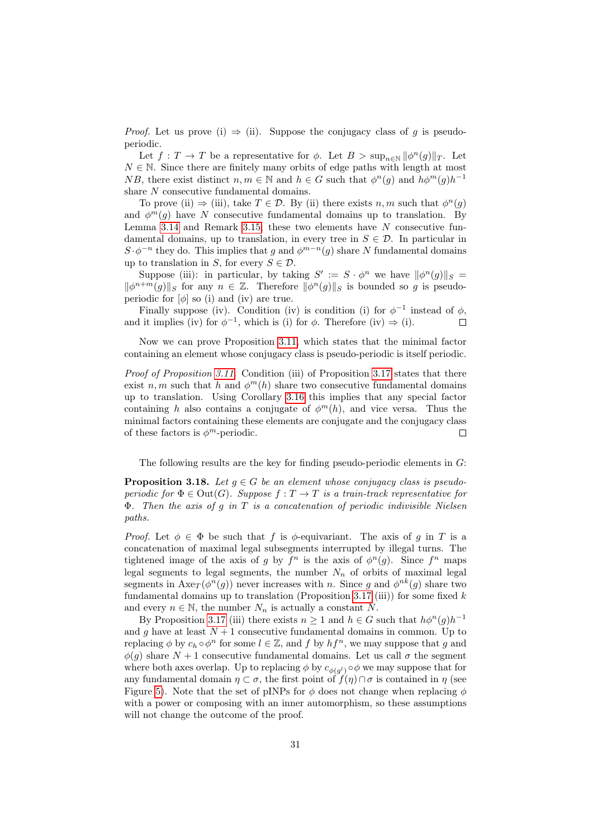*Proof.* Let us prove (i)  $\Rightarrow$  (ii). Suppose the conjugacy class of g is pseudoperiodic.

Let  $f: T \to T$  be a representative for  $\phi$ . Let  $B > \sup_{n \in \mathbb{N}} ||\phi^n(g)||_T$ . Let  $N \in \mathbb{N}$ . Since there are finitely many orbits of edge paths with length at most NB, there exist distinct  $n, m \in \mathbb{N}$  and  $h \in G$  such that  $\phi^{n}(g)$  and  $h\phi^{m}(g)h^{-1}$ share N consecutive fundamental domains.

To prove (ii)  $\Rightarrow$  (iii), take  $T \in \mathcal{D}$ . By (ii) there exists  $n, m$  such that  $\phi^n(g)$ and  $\phi^m(g)$  have N consecutive fundamental domains up to translation. By Lemma [3.14](#page-28-0) and Remark [3.15,](#page-29-1) these two elements have  $N$  consecutive fundamental domains, up to translation, in every tree in  $S \in \mathcal{D}$ . In particular in  $S \cdot \phi^{-n}$  they do. This implies that g and  $\phi^{m-n}(g)$  share N fundamental domains up to translation in S, for every  $S \in \mathcal{D}$ .

Suppose (iii): in particular, by taking  $S' := S \cdot \phi^n$  we have  $\|\phi^n(g)\|_S =$  $\|\phi^{n+m}(g)\|_{S}$  for any  $n \in \mathbb{Z}$ . Therefore  $\|\phi^{n}(g)\|_{S}$  is bounded so g is pseudoperiodic for  $[\phi]$  so (i) and (iv) are true.

Finally suppose (iv). Condition (iv) is condition (i) for  $\phi^{-1}$  instead of  $\phi$ , and it implies (iv) for  $\phi^{-1}$ , which is (i) for  $\phi$ . Therefore (iv)  $\Rightarrow$  (i).  $\Box$ 

Now we can prove Proposition [3.11,](#page-28-1) which states that the minimal factor containing an element whose conjugacy class is pseudo-periodic is itself periodic.

Proof of Proposition [3.11.](#page-28-1) Condition (iii) of Proposition [3.17](#page-29-2) states that there exist  $n, m$  such that h and  $\phi^m(h)$  share two consecutive fundamental domains up to translation. Using Corollary [3.16](#page-29-3) this implies that any special factor containing h also contains a conjugate of  $\phi^m(h)$ , and vice versa. Thus the minimal factors containing these elements are conjugate and the conjugacy class of these factors is  $\phi^m$ -periodic.  $\Box$ 

The following results are the key for finding pseudo-periodic elements in  $G$ :

<span id="page-30-0"></span>**Proposition 3.18.** Let  $q \in G$  be an element whose conjugacy class is pseudoperiodic for  $\Phi \in \text{Out}(G)$ . Suppose  $f : T \to T$  is a train-track representative for Φ. Then the axis of g in T is a concatenation of periodic indivisible Nielsen paths.

*Proof.* Let  $\phi \in \Phi$  be such that f is  $\phi$ -equivariant. The axis of q in T is a concatenation of maximal legal subsegments interrupted by illegal turns. The tightened image of the axis of g by  $f^n$  is the axis of  $\phi^n(g)$ . Since  $f^n$  maps legal segments to legal segments, the number  $N_n$  of orbits of maximal legal segments in  $Axe_T(\phi^n(g))$  never increases with n. Since g and  $\phi^{nk}(g)$  share two fundamental domains up to translation (Proposition [3.17](#page-29-2) (iii)) for some fixed  $k$ and every  $n \in \mathbb{N}$ , the number  $N_n$  is actually a constant N.

By Proposition [3.17](#page-29-2) (iii) there exists  $n \geq 1$  and  $h \in G$  such that  $h\phi^{n}(g)h^{-1}$ and g have at least  $N+1$  consecutive fundamental domains in common. Up to replacing  $\phi$  by  $c_h \circ \phi^n$  for some  $l \in \mathbb{Z}$ , and  $f$  by  $hf^n$ , we may suppose that  $g$  and  $\phi(q)$  share  $N+1$  consecutive fundamental domains. Let us call  $\sigma$  the segment where both axes overlap. Up to replacing  $\phi$  by  $c_{\phi(g^l)} \circ \phi$  we may suppose that for any fundamental domain  $\eta \subset \sigma$ , the first point of  $f(\eta) \cap \sigma$  is contained in  $\eta$  (see Figure [5\)](#page-31-0). Note that the set of pINPs for  $\phi$  does not change when replacing  $\phi$ with a power or composing with an inner automorphism, so these assumptions will not change the outcome of the proof.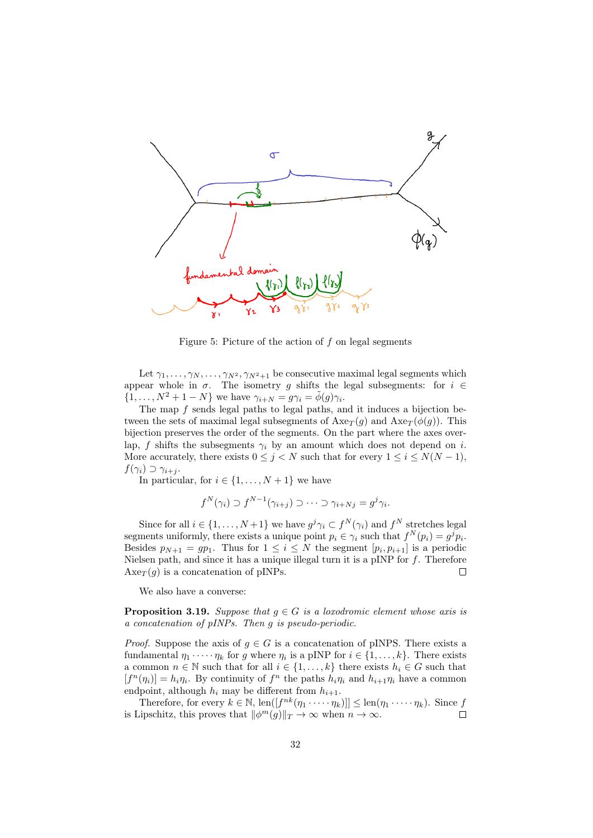

<span id="page-31-0"></span>Figure 5: Picture of the action of f on legal segments

Let  $\gamma_1, \ldots, \gamma_N, \ldots, \gamma_{N^2}, \gamma_{N^2+1}$  be consecutive maximal legal segments which appear whole in  $\sigma$ . The isometry g shifts the legal subsegments: for  $i \in$  $\{1,\ldots,N^2+1-N\}$  we have  $\gamma_{i+N} = g\gamma_i = \tilde{\phi}(g)\gamma_i$ .

The map  $f$  sends legal paths to legal paths, and it induces a bijection between the sets of maximal legal subsegments of  $Axe_T(q)$  and  $Axe_T(\phi(q))$ . This bijection preserves the order of the segments. On the part where the axes overlap, f shifts the subsegments  $\gamma_i$  by an amount which does not depend on i. More accurately, there exists  $0 \leq j \leq N$  such that for every  $1 \leq i \leq N(N-1)$ ,  $f(\gamma_i) \supset \gamma_{i+i}$ .

In particular, for  $i \in \{1, ..., N+1\}$  we have

$$
f^{N}(\gamma_{i}) \supset f^{N-1}(\gamma_{i+j}) \supset \cdots \supset \gamma_{i+Nj} = g^{j}\gamma_{i}.
$$

Since for all  $i \in \{1, ..., N+1\}$  we have  $g^j \gamma_i \subset f^N(\gamma_i)$  and  $f^N$  stretches legal segments uniformly, there exists a unique point  $p_i \in \gamma_i$  such that  $f^N(p_i) = g^j p_i$ . Besides  $p_{N+1} = gp_1$ . Thus for  $1 \leq i \leq N$  the segment  $[p_i, p_{i+1}]$  is a periodic Nielsen path, and since it has a unique illegal turn it is a pINP for  $f$ . Therefore  $Axe_T(g)$  is a concatenation of pINPs.  $\Box$ 

We also have a converse:

**Proposition 3.19.** Suppose that  $g \in G$  is a loxodromic element whose axis is a concatenation of pINPs. Then g is pseudo-periodic.

*Proof.* Suppose the axis of  $g \in G$  is a concatenation of pINPS. There exists a fundamental  $\eta_1 \cdot \cdot \cdot \cdot \eta_k$  for g where  $\eta_i$  is a pINP for  $i \in \{1, \ldots, k\}$ . There exists a common  $n \in \mathbb{N}$  such that for all  $i \in \{1, ..., k\}$  there exists  $h_i \in G$  such that  $[f^n(\eta_i)] = h_i \eta_i$ . By continuity of  $f^n$  the paths  $h_i \eta_i$  and  $h_{i+1} \eta_i$  have a common endpoint, although  $h_i$  may be different from  $h_{i+1}$ .

Therefore, for every  $k \in \mathbb{N}$ ,  $\text{len}([f^{nk}(\eta_1 \cdots \eta_k)]] \leq \text{len}(\eta_1 \cdots \eta_k)$ . Since f is Lipschitz, this proves that  $\|\phi^m(g)\|_T \to \infty$  when  $n \to \infty$ .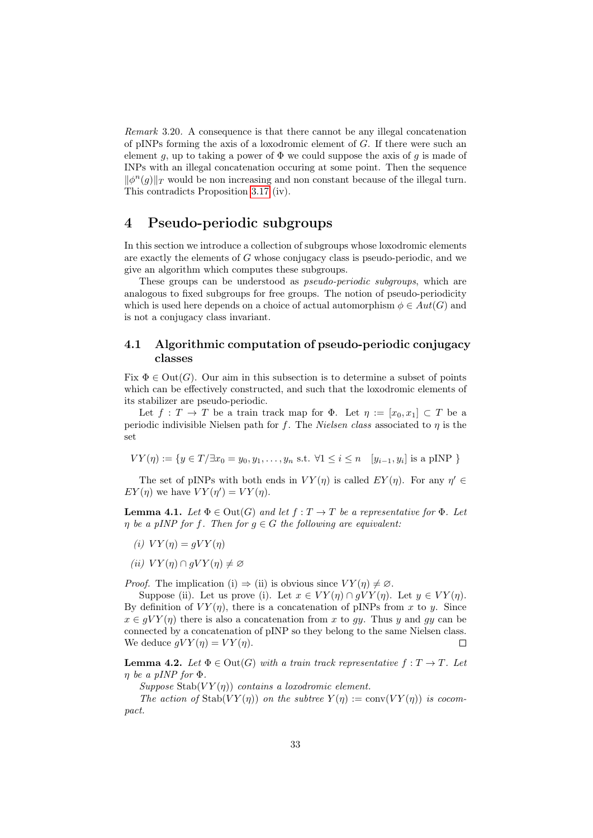Remark 3.20. A consequence is that there cannot be any illegal concatenation of pINPs forming the axis of a loxodromic element of  $G$ . If there were such an element g, up to taking a power of  $\Phi$  we could suppose the axis of g is made of INPs with an illegal concatenation occuring at some point. Then the sequence  $\|\phi^n(g)\|_T$  would be non increasing and non constant because of the illegal turn. This contradicts Proposition [3.17](#page-29-2) (iv).

## <span id="page-32-0"></span>4 Pseudo-periodic subgroups

In this section we introduce a collection of subgroups whose loxodromic elements are exactly the elements of G whose conjugacy class is pseudo-periodic, and we give an algorithm which computes these subgroups.

These groups can be understood as pseudo-periodic subgroups, which are analogous to fixed subgroups for free groups. The notion of pseudo-periodicity which is used here depends on a choice of actual automorphism  $\phi \in Aut(G)$  and is not a conjugacy class invariant.

### 4.1 Algorithmic computation of pseudo-periodic conjugacy classes

Fix  $\Phi \in \text{Out}(G)$ . Our aim in this subsection is to determine a subset of points which can be effectively constructed, and such that the loxodromic elements of its stabilizer are pseudo-periodic.

Let  $f: T \to T$  be a train track map for  $\Phi$ . Let  $\eta := [x_0, x_1] \subset T$  be a periodic indivisible Nielsen path for f. The Nielsen class associated to  $\eta$  is the set

$$
VY(\eta) := \{ y \in T/\exists x_0 = y_0, y_1, \dots, y_n \text{ s.t. } \forall 1 \le i \le n \quad [y_{i-1}, y_i] \text{ is a pINP } \}
$$

The set of pINPs with both ends in  $VY(\eta)$  is called  $EY(\eta)$ . For any  $\eta' \in$  $EY(\eta)$  we have  $VY(\eta') = VY(\eta)$ .

<span id="page-32-1"></span>**Lemma 4.1.** Let  $\Phi \in \text{Out}(G)$  and let  $f : T \to T$  be a representative for  $\Phi$ . Let  $\eta$  be a pINP for f. Then for  $g \in G$  the following are equivalent:

- (i)  $VY(\eta) = qVY(\eta)$
- (ii)  $VY(\eta) \cap qVY(\eta) \neq \emptyset$

*Proof.* The implication (i)  $\Rightarrow$  (ii) is obvious since  $VY(n) \neq \emptyset$ .

Suppose (ii). Let us prove (i). Let  $x \in VY(\eta) \cap gVY(\eta)$ . Let  $y \in VY(\eta)$ . By definition of  $VY(\eta)$ , there is a concatenation of pINPs from x to y. Since  $x \in gVY(\eta)$  there is also a concatenation from x to gy. Thus y and gy can be connected by a concatenation of pINP so they belong to the same Nielsen class. We deduce  $qVY(\eta) = VY(\eta)$ .  $\Box$ 

**Lemma 4.2.** Let  $\Phi \in \text{Out}(G)$  with a train track representative  $f: T \to T$ . Let  $\eta$  be a pINP for  $\Phi$ .

Suppose Stab $(VY(\eta))$  contains a loxodromic element.

The action of  $\text{Stab}(VY(\eta))$  on the subtree  $Y(\eta) := \text{conv}(VY(\eta))$  is cocompact.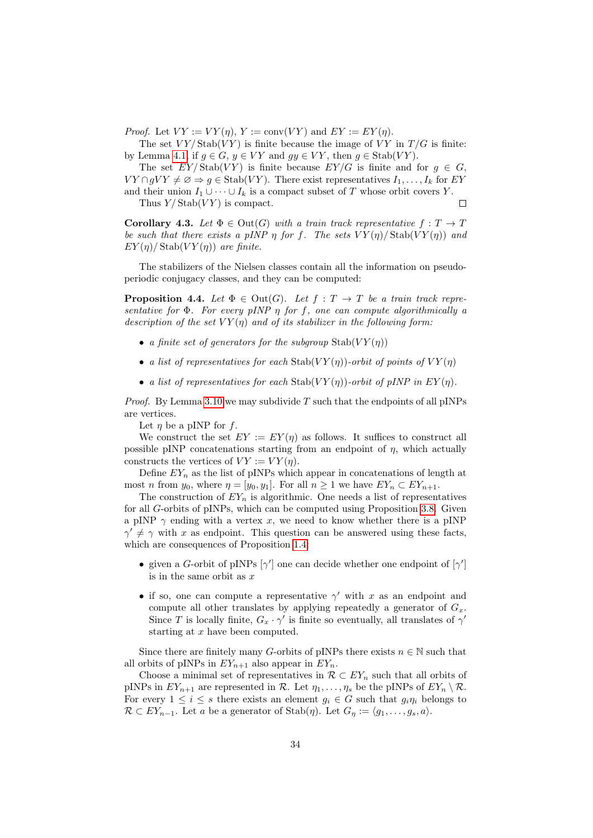*Proof.* Let  $VY := VY(\eta)$ ,  $Y := \text{conv}(VY)$  and  $EY := EY(\eta)$ .

The set  $VY / \text{Stab}(VY)$  is finite because the image of VY in  $T/G$  is finite: by Lemma [4.1,](#page-32-1) if  $g \in G$ ,  $y \in VY$  and  $gy \in VY$ , then  $g \in \text{Stab}(VY)$ .

The set  $EY/\text{Stab}(VY)$  is finite because  $EY/G$  is finite and for  $g \in G$ ,  $VY \cap gVY \neq \emptyset \Rightarrow g \in \text{Stab}(VY)$ . There exist representatives  $I_1, \ldots, I_k$  for EY and their union  $I_1 \cup \cdots \cup I_k$  is a compact subset of T whose orbit covers Y.

 $\Box$ 

Thus  $Y/\text{Stab}(VY)$  is compact.

**Corollary 4.3.** Let  $\Phi \in \text{Out}(G)$  with a train track representative  $f: T \to T$ be such that there exists a pINP  $\eta$  for f. The sets  $VY(\eta)/\text{Stab}(VY(\eta))$  and  $EY(\eta)$ / Stab $(VY(\eta))$  are finite.

The stabilizers of the Nielsen classes contain all the information on pseudoperiodic conjugacy classes, and they can be computed:

**Proposition 4.4.** Let  $\Phi \in \text{Out}(G)$ . Let  $f : T \to T$  be a train track representative for  $\Phi$ . For every pINP  $\eta$  for f, one can compute algorithmically a description of the set  $VY(\eta)$  and of its stabilizer in the following form:

- a finite set of generators for the subgroup  $Stab(VY(\eta))$
- a list of representatives for each  $Stab(VY(\eta))$ -orbit of points of  $VY(\eta)$
- a list of representatives for each  $Stab(VY(\eta))$ -orbit of pINP in  $EY(\eta)$ .

*Proof.* By Lemma [3.10](#page-27-1) we may subdivide T such that the endpoints of all pINPs are vertices.

Let  $\eta$  be a pINP for f.

We construct the set  $EY := EY(\eta)$  as follows. It suffices to construct all possible pINP concatenations starting from an endpoint of  $\eta$ , which actually constructs the vertices of  $VY := VY(\eta)$ .

Define  $EY_n$  as the list of pINPs which appear in concatenations of length at most n from  $y_0$ , where  $\eta = [y_0, y_1]$ . For all  $n \geq 1$  we have  $EY_n \subset EY_{n+1}$ .

The construction of  $EY_n$  is algorithmic. One needs a list of representatives for all G-orbits of pINPs, which can be computed using Proposition [3.8.](#page-26-0) Given a pINP  $\gamma$  ending with a vertex x, we need to know whether there is a pINP  $\gamma' \neq \gamma$  with x as endpoint. This question can be answered using these facts, which are consequences of Proposition [1.4:](#page-7-0)

- given a G-orbit of pINPs  $[\gamma']$  one can decide whether one endpoint of  $[\gamma']$ is in the same orbit as  $x$
- if so, one can compute a representative  $\gamma'$  with x as an endpoint and compute all other translates by applying repeatedly a generator of  $G_x$ . Since T is locally finite,  $G_x \cdot \gamma'$  is finite so eventually, all translates of  $\gamma'$ starting at  $x$  have been computed.

Since there are finitely many G-orbits of pINPs there exists  $n \in \mathbb{N}$  such that all orbits of pINPs in  $EY_{n+1}$  also appear in  $EY_n$ .

Choose a minimal set of representatives in  $\mathcal{R} \subset EY_n$  such that all orbits of pINPs in  $EY_{n+1}$  are represented in R. Let  $\eta_1, \ldots, \eta_s$  be the pINPs of  $EY_n \setminus \mathcal{R}$ . For every  $1 \leq i \leq s$  there exists an element  $g_i \in G$  such that  $g_i \eta_i$  belongs to  $\mathcal{R} \subset EY_{n-1}$ . Let a be a generator of Stab $(\eta)$ . Let  $G_{\eta} := \langle g_1, \ldots, g_s, a \rangle$ .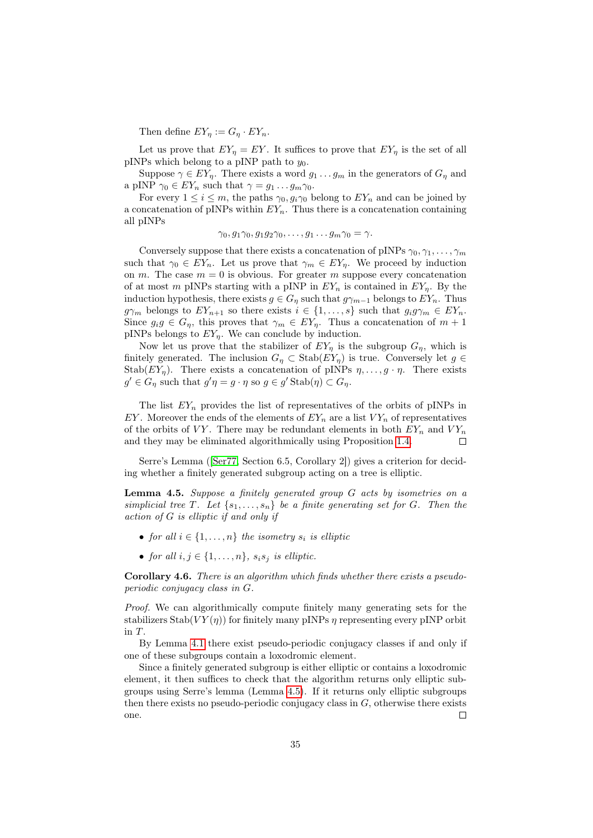Then define  $EY_n := G_n \cdot EY_n$ .

Let us prove that  $EY_{\eta} = EY$ . It suffices to prove that  $EY_{\eta}$  is the set of all pINPs which belong to a pINP path to  $y_0$ .

Suppose  $\gamma \in EY_{\eta}$ . There exists a word  $g_1 \ldots g_m$  in the generators of  $G_{\eta}$  and a pINP  $\gamma_0 \in EY_n$  such that  $\gamma = g_1 \dots g_m \gamma_0$ .

For every  $1 \leq i \leq m$ , the paths  $\gamma_0, q_i \gamma_0$  belong to  $EY_n$  and can be joined by a concatenation of pINPs within  $EY_n$ . Thus there is a concatenation containing all pINPs

$$
\gamma_0, g_1\gamma_0, g_1g_2\gamma_0, \dots, g_1 \dots g_m\gamma_0 = \gamma.
$$

Conversely suppose that there exists a concatenation of pINPs  $\gamma_0, \gamma_1, \ldots, \gamma_m$ such that  $\gamma_0 \in EY_n$ . Let us prove that  $\gamma_m \in EY_n$ . We proceed by induction on m. The case  $m = 0$  is obvious. For greater m suppose every concatenation of at most m pINPs starting with a pINP in  $EY_n$  is contained in  $EY_n$ . By the induction hypothesis, there exists  $g \in G_\eta$  such that  $g\gamma_{m-1}$  belongs to  $EY_n$ . Thus  $g\gamma_m$  belongs to  $EY_{n+1}$  so there exists  $i \in \{1, ..., s\}$  such that  $g_i g\gamma_m \in EY_n$ . Since  $g_i g \in G_n$ , this proves that  $\gamma_m \in EY_n$ . Thus a concatenation of  $m+1$ pINPs belongs to  $EY_n$ . We can conclude by induction.

Now let us prove that the stabilizer of  $EY_{\eta}$  is the subgroup  $G_{\eta}$ , which is finitely generated. The inclusion  $G_{\eta} \subset \text{Stab}(EY_{\eta})$  is true. Conversely let  $g \in$ Stab( $EY_n$ ). There exists a concatenation of pINPs  $\eta, \ldots, g \cdot \eta$ . There exists  $g' \in G_\eta$  such that  $g'\eta = g \cdot \eta$  so  $g \in g'$  Stab $(\eta) \subset G_\eta$ .

The list  $EY_n$  provides the list of representatives of the orbits of pINPs in EY. Moreover the ends of the elements of  $EY_n$  are a list  $VY_n$  of representatives of the orbits of VY. There may be redundant elements in both  $EY_n$  and  $VY_n$ and they may be eliminated algorithmically using Proposition [1.4.](#page-7-0)  $\Box$ 

Serre's Lemma ([\[Ser77,](#page-45-4) Section 6.5, Corollary 2]) gives a criterion for deciding whether a finitely generated subgroup acting on a tree is elliptic.

<span id="page-34-0"></span>**Lemma 4.5.** Suppose a finitely generated group  $G$  acts by isometries on a simplicial tree T. Let  $\{s_1, \ldots, s_n\}$  be a finite generating set for G. Then the action of G is elliptic if and only if

- for all  $i \in \{1, \ldots, n\}$  the isometry  $s_i$  is elliptic
- for all  $i, j \in \{1, \ldots, n\}$ ,  $s_i s_j$  is elliptic.

<span id="page-34-1"></span>Corollary 4.6. There is an algorithm which finds whether there exists a pseudoperiodic conjugacy class in G.

Proof. We can algorithmically compute finitely many generating sets for the stabilizers  $Stab(VY(\eta))$  for finitely many pINPs  $\eta$  representing every pINP orbit in T.

By Lemma [4.1](#page-32-1) there exist pseudo-periodic conjugacy classes if and only if one of these subgroups contain a loxodromic element.

Since a finitely generated subgroup is either elliptic or contains a loxodromic element, it then suffices to check that the algorithm returns only elliptic subgroups using Serre's lemma (Lemma [4.5\)](#page-34-0). If it returns only elliptic subgroups then there exists no pseudo-periodic conjugacy class in  $G$ , otherwise there exists one.  $\Box$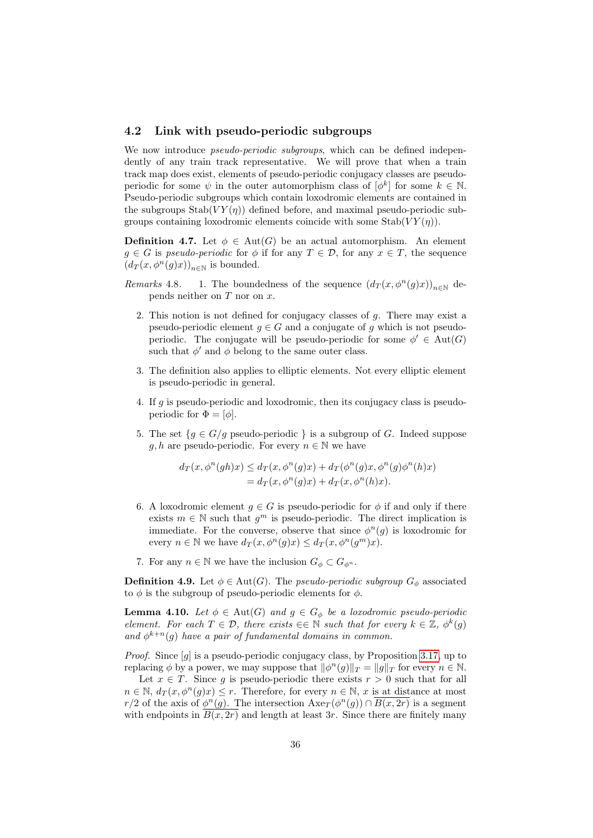#### 4.2 Link with pseudo-periodic subgroups

We now introduce *pseudo-periodic subgroups*, which can be defined independently of any train track representative. We will prove that when a train track map does exist, elements of pseudo-periodic conjugacy classes are pseudoperiodic for some  $\psi$  in the outer automorphism class of  $[\phi^k]$  for some  $k \in \mathbb{N}$ . Pseudo-periodic subgroups which contain loxodromic elements are contained in the subgroups  $\text{Stab}(VY(\eta))$  defined before, and maximal pseudo-periodic subgroups containing loxodromic elements coincide with some  $Stab(VY(\eta))$ .

**Definition 4.7.** Let  $\phi \in \text{Aut}(G)$  be an actual automorphism. An element  $g \in G$  is pseudo-periodic for  $\phi$  if for any  $T \in \mathcal{D}$ , for any  $x \in T$ , the sequence  $(d_T(x, \phi^n(g)x))_{n \in \mathbb{N}}$  is bounded.

- Remarks 4.8. 1. The boundedness of the sequence  $(d_T(x, \phi^n(g)x))_{n\in\mathbb{N}}$  depends neither on  $T$  nor on  $x$ .
	- 2. This notion is not defined for conjugacy classes of g. There may exist a pseudo-periodic element  $g \in G$  and a conjugate of g which is not pseudoperiodic. The conjugate will be pseudo-periodic for some  $\phi' \in Aut(G)$ such that  $\phi'$  and  $\phi$  belong to the same outer class.
	- 3. The definition also applies to elliptic elements. Not every elliptic element is pseudo-periodic in general.
	- 4. If g is pseudo-periodic and loxodromic, then its conjugacy class is pseudoperiodic for  $\Phi = [\phi]$ .
	- 5. The set  ${g \in G/g}$  pseudo-periodic  $}$  is a subgroup of G. Indeed suppose g, h are pseudo-periodic. For every  $n \in \mathbb{N}$  we have

$$
d_T(x, \phi^n(gh)x) \le d_T(x, \phi^n(g)x) + d_T(\phi^n(g)x, \phi^n(g)\phi^n(h)x)
$$
  
=  $d_T(x, \phi^n(g)x) + d_T(x, \phi^n(h)x).$ 

- 6. A loxodromic element  $g \in G$  is pseudo-periodic for  $\phi$  if and only if there exists  $m \in \mathbb{N}$  such that  $g^m$  is pseudo-periodic. The direct implication is immediate. For the converse, observe that since  $\phi^{n}(g)$  is loxodromic for every  $n \in \mathbb{N}$  we have  $d_T(x, \phi^n(g)x) \leq d_T(x, \phi^n(g^m)x)$ .
- 7. For any  $n \in \mathbb{N}$  we have the inclusion  $G_{\phi} \subset G_{\phi^n}$ .

**Definition 4.9.** Let  $\phi \in \text{Aut}(G)$ . The *pseudo-periodic subgroup*  $G_{\phi}$  associated to  $\phi$  is the subgroup of pseudo-periodic elements for  $\phi$ .

<span id="page-35-0"></span>**Lemma 4.10.** Let  $\phi \in \text{Aut}(G)$  and  $g \in G_{\phi}$  be a loxodromic pseudo-periodic element. For each  $T \in \mathcal{D}$ , there exists  $\in \in \mathbb{N}$  such that for every  $k \in \mathbb{Z}$ ,  $\phi^k(g)$ and  $\phi^{k+n}(g)$  have a pair of fundamental domains in common.

*Proof.* Since [g] is a pseudo-periodic conjugacy class, by Proposition [3.17,](#page-29-2) up to replacing  $\phi$  by a power, we may suppose that  $\|\phi^n(g)\|_T = \|g\|_T$  for every  $n \in \mathbb{N}$ .

Let  $x \in T$ . Since g is pseudo-periodic there exists  $r > 0$  such that for all  $n \in \mathbb{N}, d_T(x, \phi^n(g)x) \leq r$ . Therefore, for every  $n \in \mathbb{N}, x$  is at distance at most r/2 of the axis of  $\phi^n(g)$ . The intersection  $Axe_T(\phi^n(g)) \cap \overline{B(x, 2r)}$  is a segment with endpoints in  $\overline{B(x, 2r)}$  and length at least 3r. Since there are finitely many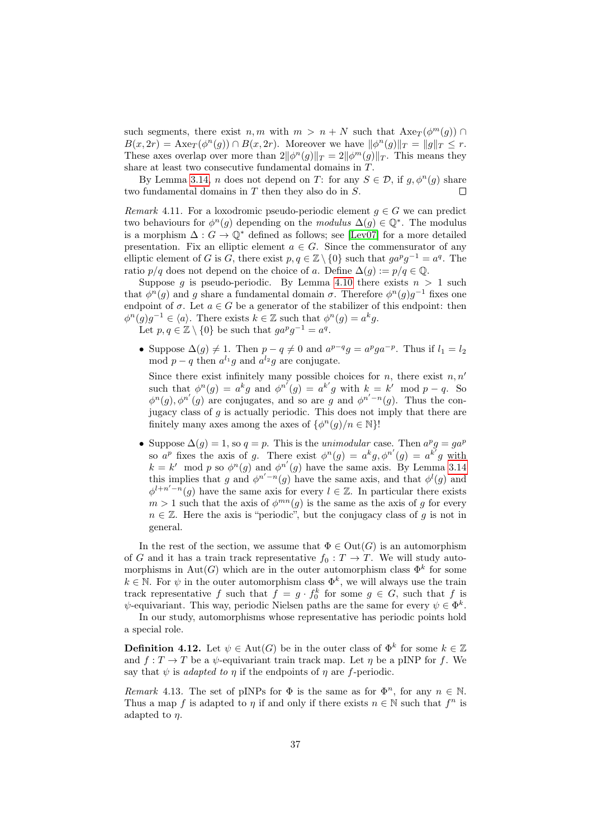such segments, there exist  $n, m$  with  $m > n + N$  such that  $Axe_T(\phi^m(g))$  $B(x, 2r) = \text{Axe}_{T}(\phi^{n}(g)) \cap B(x, 2r)$ . Moreover we have  $\|\phi^{n}(g)\|_{T} = \|g\|_{T} \leq r$ . These axes overlap over more than  $2\|\phi^n(g)\|_T = 2\|\phi^m(g)\|_T$ . This means they share at least two consecutive fundamental domains in T.

By Lemma [3.14,](#page-28-0) *n* does not depend on T: for any  $S \in \mathcal{D}$ , if  $g, \phi^n(g)$  share two fundamental domains in  $T$  then they also do in  $S$ .  $\Box$ 

<span id="page-36-1"></span>Remark 4.11. For a loxodromic pseudo-periodic element  $g \in G$  we can predict two behaviours for  $\phi^n(g)$  depending on the *modulus*  $\Delta(g) \in \mathbb{Q}^*$ . The modulus is a morphism  $\Delta: G \to \mathbb{Q}^*$  defined as follows; see [\[Lev07\]](#page-45-1) for a more detailed presentation. Fix an elliptic element  $a \in G$ . Since the commensurator of any elliptic element of G is G, there exist  $p, q \in \mathbb{Z} \setminus \{0\}$  such that  $ga^pg^{-1} = a^q$ . The ratio  $p/q$  does not depend on the choice of a. Define  $\Delta(q) := p/q \in \mathbb{Q}$ .

Suppose g is pseudo-periodic. By Lemma [4.10](#page-35-0) there exists  $n > 1$  such that  $\phi^n(g)$  and g share a fundamental domain  $\sigma$ . Therefore  $\phi^n(g)g^{-1}$  fixes one endpoint of  $\sigma$ . Let  $a \in G$  be a generator of the stabilizer of this endpoint: then  $\phi^{n}(g)g^{-1} \in \langle a \rangle$ . There exists  $k \in \mathbb{Z}$  such that  $\phi^{n}(g) = a^{k}g$ . Let  $p, q \in \mathbb{Z} \setminus \{0\}$  be such that  $ga^pg^{-1} = a^q$ .

• Suppose  $\Delta(g) \neq 1$ . Then  $p - q \neq 0$  and  $a^{p-q}g = a^pga^{-p}$ . Thus if  $l_1 = l_2$ mod  $p - q$  then  $a^{l_1}g$  and  $a^{l_2}g$  are conjugate.

Since there exist infinitely many possible choices for  $n$ , there exist  $n, n'$ such that  $\phi^n(g) = a^k g$  and  $\phi^{n'}(g) = a^{k'} g$  with  $k = k' \mod p - q$ . So  $\phi^{n}(g), \phi^{n'}(g)$  are conjugates, and so are g and  $\phi^{n'-n}(g)$ . Thus the conjugacy class of  $g$  is actually periodic. This does not imply that there are finitely many axes among the axes of  $\{\phi^n(g)/n \in \mathbb{N}\}\$ !

• Suppose  $\Delta(g) = 1$ , so  $q = p$ . This is the *unimodular* case. Then  $a^p g = ga^p$ so  $a^p$  fixes the axis of g. There exist  $\phi^n(g) = a^k g$ ,  $\phi^{n'}(g) = a^{k'} g$  with  $k = k' \mod p$  so  $\phi^n(g)$  and  $\phi^{n'}(g)$  have the same axis. By Lemma [3.14](#page-28-0) this implies that g and  $\phi^{n'-n}(g)$  have the same axis, and that  $\phi^l(g)$  and  $\phi^{l+n'-n}(g)$  have the same axis for every  $l \in \mathbb{Z}$ . In particular there exists  $m > 1$  such that the axis of  $\phi^{mn}(g)$  is the same as the axis of g for every  $n \in \mathbb{Z}$ . Here the axis is "periodic", but the conjugacy class of g is not in general.

In the rest of the section, we assume that  $\Phi \in \text{Out}(G)$  is an automorphism of G and it has a train track representative  $f_0: T \to T$ . We will study automorphisms in Aut(G) which are in the outer automorphism class  $\Phi^k$  for some  $k \in \mathbb{N}$ . For  $\psi$  in the outer automorphism class  $\Phi^k$ , we will always use the train track representative f such that  $f = g \cdot f_0^k$  for some  $g \in G$ , such that f is  $\psi$ -equivariant. This way, periodic Nielsen paths are the same for every  $\psi \in \Phi^k$ .

In our study, automorphisms whose representative has periodic points hold a special role.

**Definition 4.12.** Let  $\psi \in \text{Aut}(G)$  be in the outer class of  $\Phi^k$  for some  $k \in \mathbb{Z}$ and  $f: T \to T$  be a  $\psi$ -equivariant train track map. Let  $\eta$  be a pINP for f. We say that  $\psi$  is *adapted to n* if the endpoints of *n* are *f*-periodic.

<span id="page-36-0"></span>Remark 4.13. The set of pINPs for  $\Phi$  is the same as for  $\Phi^n$ , for any  $n \in \mathbb{N}$ . Thus a map f is adapted to  $\eta$  if and only if there exists  $n \in \mathbb{N}$  such that  $f^n$  is adapted to η.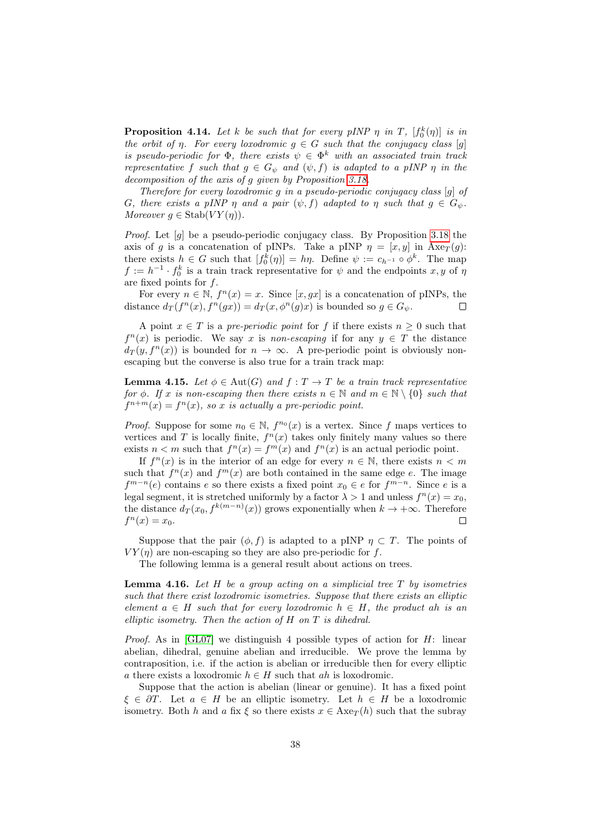<span id="page-37-1"></span>**Proposition 4.14.** Let k be such that for every pINP  $\eta$  in T,  $[f_0^k(\eta)]$  is in the orbit of  $\eta$ . For every loxodromic  $g \in G$  such that the conjugacy class [g] is pseudo-periodic for  $\Phi$ , there exists  $\psi \in \Phi^k$  with an associated train track representative f such that  $g \in G_{\psi}$  and  $(\psi, f)$  is adapted to a pINP  $\eta$  in the decomposition of the axis of g given by Proposition [3.18.](#page-30-0)

Therefore for every loxodromic g in a pseudo-periodic conjugacy class [g] of G, there exists a pINP  $\eta$  and a pair  $(\psi, f)$  adapted to  $\eta$  such that  $g \in G_{\psi}$ . Moreover  $g \in \text{Stab}(VY(\eta)).$ 

*Proof.* Let  $[q]$  be a pseudo-periodic conjugacy class. By Proposition [3.18](#page-30-0) the axis of g is a concatenation of pINPs. Take a pINP  $\eta = [x, y]$  in  $Axe_T(g)$ : there exists  $h \in G$  such that  $[f_0^k(\eta)] = h\eta$ . Define  $\psi := c_{h^{-1}} \circ \phi^k$ . The map  $f := h^{-1} \cdot f_0^k$  is a train track representative for  $\psi$  and the endpoints  $x, y$  of  $\eta$ are fixed points for f.

For every  $n \in \mathbb{N}$ ,  $f^{n}(x) = x$ . Since  $[x, gx]$  is a concatenation of pINPs, the distance  $d_T(f^n(x), f^n(gx)) = d_T(x, \phi^n(g)x)$  is bounded so  $g \in G_{\psi}$ . ⊏

A point  $x \in T$  is a *pre-periodic point* for f if there exists  $n \geq 0$  such that  $f^{n}(x)$  is periodic. We say x is non-escaping if for any  $y \in T$  the distance  $d_T(y, f^n(x))$  is bounded for  $n \to \infty$ . A pre-periodic point is obviously nonescaping but the converse is also true for a train track map:

**Lemma 4.15.** Let  $\phi \in \text{Aut}(G)$  and  $f: T \to T$  be a train track representative for  $\phi$ . If x is non-escaping then there exists  $n \in \mathbb{N}$  and  $m \in \mathbb{N} \setminus \{0\}$  such that  $f^{n+m}(x) = f^{n}(x)$ , so x is actually a pre-periodic point.

*Proof.* Suppose for some  $n_0 \in \mathbb{N}$ ,  $f^{n_0}(x)$  is a vertex. Since f maps vertices to vertices and T is locally finite,  $f^{(n)}(x)$  takes only finitely many values so there exists  $n < m$  such that  $f^{n}(x) = f^{m}(x)$  and  $f^{n}(x)$  is an actual periodic point.

If  $f^{n}(x)$  is in the interior of an edge for every  $n \in \mathbb{N}$ , there exists  $n < m$ such that  $f^{n}(x)$  and  $f^{m}(x)$  are both contained in the same edge e. The image  $f^{m-n}(e)$  contains e so there exists a fixed point  $x_0 \in e$  for  $f^{m-n}$ . Since e is a legal segment, it is stretched uniformly by a factor  $\lambda > 1$  and unless  $f^{n}(x) = x_0$ , the distance  $d_T(x_0, f^{k(m-n)}(x))$  grows exponentially when  $k \to +\infty$ . Therefore  $f^n(x) = x_0.$  $\Box$ 

Suppose that the pair  $(\phi, f)$  is adapted to a pINP  $\eta \subset T$ . The points of  $V Y(\eta)$  are non-escaping so they are also pre-periodic for f.

The following lemma is a general result about actions on trees.

<span id="page-37-0"></span>**Lemma 4.16.** Let  $H$  be a group acting on a simplicial tree  $T$  by isometries such that there exist loxodromic isometries. Suppose that there exists an elliptic element  $a \in H$  such that for every loxodromic  $h \in H$ , the product ah is an elliptic isometry. Then the action of H on T is dihedral.

*Proof.* As in [\[GL07\]](#page-44-6) we distinguish 4 possible types of action for  $H$ : linear abelian, dihedral, genuine abelian and irreducible. We prove the lemma by contraposition, i.e. if the action is abelian or irreducible then for every elliptic a there exists a loxodromic  $h \in H$  such that ah is loxodromic.

Suppose that the action is abelian (linear or genuine). It has a fixed point  $\xi \in \partial T$ . Let  $a \in H$  be an elliptic isometry. Let  $h \in H$  be a loxodromic isometry. Both h and a fix  $\xi$  so there exists  $x \in \text{Axe}_{T}(h)$  such that the subray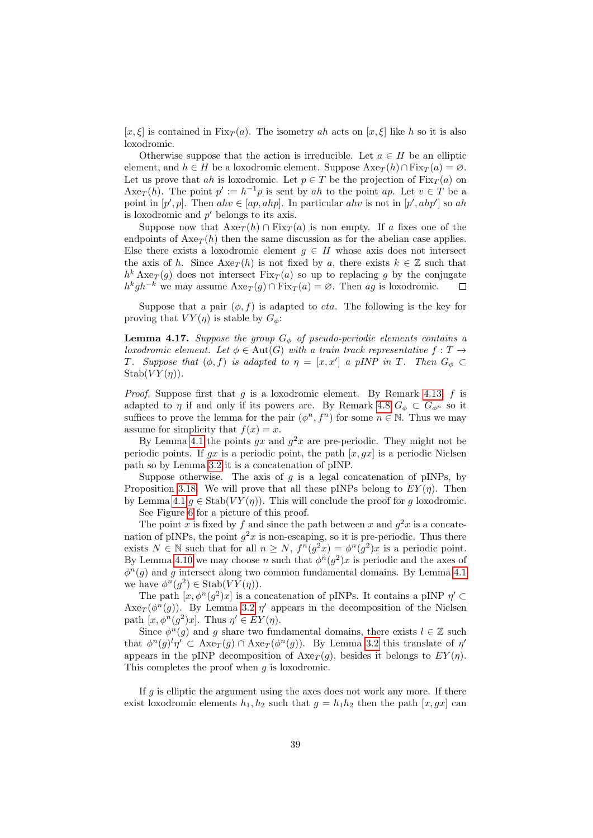[x,  $\xi$ ] is contained in Fix $_T(a)$ . The isometry ah acts on [x,  $\xi$ ] like h so it is also loxodromic.

Otherwise suppose that the action is irreducible. Let  $a \in H$  be an elliptic element, and  $h \in H$  be a loxodromic element. Suppose  $Axe_{\mathcal{T}}(h) \cap Fix_{\mathcal{T}}(a) = \emptyset$ . Let us prove that ah is loxodromic. Let  $p \in T$  be the projection of  $Fix_T(a)$  on Axe<sub>T</sub>(h). The point  $p' := h^{-1}p$  is sent by ah to the point ap. Let  $v \in T$  be a point in  $[p', p]$ . Then  $ahv \in [ap, ahp]$ . In particular  $ahv$  is not in  $[p', ahp']$  so ah is loxodromic and  $p'$  belongs to its axis.

Suppose now that  $Axe_T(h) \cap Fix_T(a)$  is non empty. If a fixes one of the endpoints of  $Axe_{T}(h)$  then the same discussion as for the abelian case applies. Else there exists a loxodromic element  $g \in H$  whose axis does not intersect the axis of h. Since  $Axe_T(h)$  is not fixed by a, there exists  $k \in \mathbb{Z}$  such that  $h^{k} \text{Axe}_{T}(g)$  does not intersect  $\text{Fix}_{T}(a)$  so up to replacing g by the conjugate  $h^k gh^{-k}$  we may assume  $Axe_T(g) \cap Fix_T(a) = \emptyset$ . Then ag is loxodromic.  $\Box$ 

Suppose that a pair  $(\phi, f)$  is adapted to *eta*. The following is the key for proving that  $VY(\eta)$  is stable by  $G_{\phi}$ :

<span id="page-38-0"></span>**Lemma 4.17.** Suppose the group  $G_{\phi}$  of pseudo-periodic elements contains a loxodromic element. Let  $\phi \in Aut(G)$  with a train track representative  $f: T \to$ T. Suppose that  $(\phi, f)$  is adapted to  $\eta = [x, x']$  a pINP in T. Then  $G_{\phi} \subset$  $Stab(VY(\eta)).$ 

*Proof.* Suppose first that  $g$  is a loxodromic element. By Remark [4.13,](#page-36-0)  $f$  is adapted to  $\eta$  if and only if its powers are. By Remark [4.8](#page-0-0)  $G_{\phi} \subset G_{\phi^n}$  so it suffices to prove the lemma for the pair  $(\phi^n, f^n)$  for some  $n \in \mathbb{N}$ . Thus we may assume for simplicity that  $f(x) = x$ .

By Lemma [4.1](#page-32-1) the points  $gx$  and  $g^2x$  are pre-periodic. They might not be periodic points. If gx is a periodic point, the path  $[x, gx]$  is a periodic Nielsen path so by Lemma [3.2](#page-22-0) it is a concatenation of pINP.

Suppose otherwise. The axis of  $g$  is a legal concatenation of pINPs, by Proposition [3.18.](#page-30-0) We will prove that all these pINPs belong to  $EY(\eta)$ . Then by Lemma [4.1](#page-32-1)  $g \in \text{Stab}(VY(\eta))$ . This will conclude the proof for g loxodromic.

See Figure [6](#page-40-0) for a picture of this proof.

The point x is fixed by f and since the path between x and  $g^2x$  is a concatenation of pINPs, the point  $g^2x$  is non-escaping, so it is pre-periodic. Thus there exists  $N \in \mathbb{N}$  such that for all  $n \ge N$ ,  $f^{n}(g^{2}x) = \phi^{n}(g^{2})x$  is a periodic point. By Lemma [4.10](#page-35-0) we may choose n such that  $\phi^{n}(g^{2})x$  is periodic and the axes of  $\phi^n(g)$  and g intersect along two common fundamental domains. By Lemma [4.1](#page-32-1) we have  $\phi^n(g^2) \in \text{Stab}(VY(\eta)).$ 

The path  $[x, \phi^n(g^2)x]$  is a concatenation of pINPs. It contains a pINP  $\eta' \subset$  $Axe_T(\phi^n(g))$ . By Lemma [3.2](#page-22-0)  $\eta'$  appears in the decomposition of the Nielsen path  $[x, \phi^n(g^2)x]$ . Thus  $\eta' \in EY(\eta)$ .

Since  $\phi^n(g)$  and g share two fundamental domains, there exists  $l \in \mathbb{Z}$  such that  $\phi^n(g)^l \eta' \subset \text{Axe}_T(g) \cap \text{Axe}_T(\phi^n(g))$ . By Lemma [3.2](#page-22-0) this translate of  $\eta'$ appears in the pINP decomposition of  $Axe_T(q)$ , besides it belongs to  $EY(\eta)$ . This completes the proof when  $g$  is loxodromic.

If  $g$  is elliptic the argument using the axes does not work any more. If there exist loxodromic elements  $h_1, h_2$  such that  $g = h_1 h_2$  then the path  $[x, gx]$  can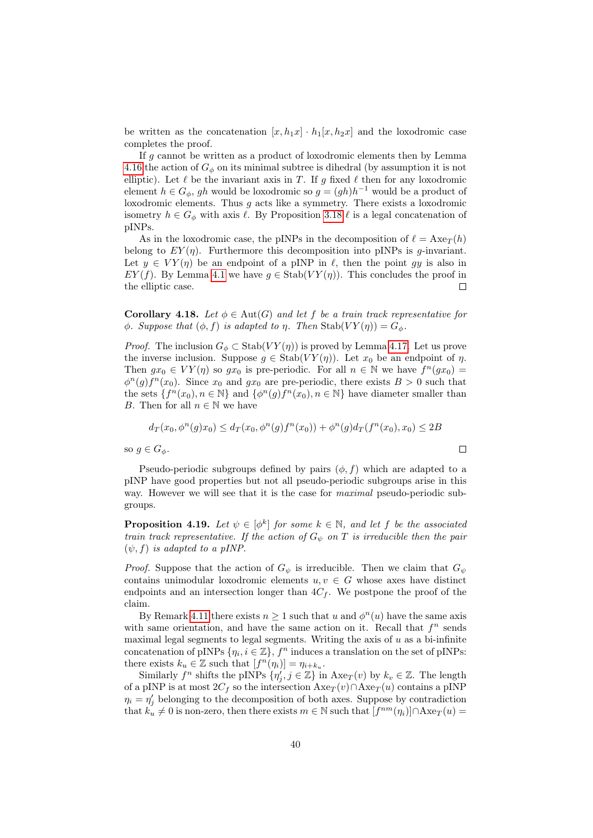be written as the concatenation  $[x, h_1x] \cdot h_1[x, h_2x]$  and the loxodromic case completes the proof.

If g cannot be written as a product of loxodromic elements then by Lemma [4.16](#page-37-0) the action of  $G_{\phi}$  on its minimal subtree is dihedral (by assumption it is not elliptic). Let  $\ell$  be the invariant axis in T. If g fixed  $\ell$  then for any loxodromic element  $h \in G_{\phi}$ , gh would be loxodromic so  $g = (gh)h^{-1}$  would be a product of loxodromic elements. Thus q acts like a symmetry. There exists a loxodromic isometry  $h \in G_{\phi}$  with axis  $\ell$ . By Proposition [3.18](#page-30-0)  $\ell$  is a legal concatenation of pINPs.

As in the loxodromic case, the pINPs in the decomposition of  $\ell = \text{Axe}_{T}(h)$ belong to  $EY(\eta)$ . Furthermore this decomposition into pINPs is *g*-invariant. Let  $y \in VY(\eta)$  be an endpoint of a pINP in  $\ell$ , then the point gy is also in  $EY(f)$ . By Lemma [4.1](#page-32-1) we have  $g \in \text{Stab}(VY(\eta))$ . This concludes the proof in the elliptic case.  $\Box$ 

<span id="page-39-0"></span>**Corollary 4.18.** Let  $\phi \in \text{Aut}(G)$  and let f be a train track representative for  $\phi$ . Suppose that  $(\phi, f)$  is adapted to  $\eta$ . Then Stab $(VY(\eta)) = G_{\phi}$ .

*Proof.* The inclusion  $G_{\phi} \subset \text{Stab}(VY(\eta))$  is proved by Lemma [4.17.](#page-38-0) Let us prove the inverse inclusion. Suppose  $g \in \text{Stab}(VY(\eta))$ . Let  $x_0$  be an endpoint of  $\eta$ . Then  $gx_0 \in VY(\eta)$  so  $gx_0$  is pre-periodic. For all  $n \in \mathbb{N}$  we have  $f^n(gx_0)$  =  $\phi^{n}(g) f^{n}(x_0)$ . Since  $x_0$  and  $gx_0$  are pre-periodic, there exists  $B > 0$  such that the sets  $\{f^n(x_0), n \in \mathbb{N}\}\$  and  $\{\phi^n(g)f^n(x_0), n \in \mathbb{N}\}\$  have diameter smaller than B. Then for all  $n \in \mathbb{N}$  we have

$$
d_T(x_0, \phi^n(g)x_0) \le d_T(x_0, \phi^n(g)f^n(x_0)) + \phi^n(g)d_T(f^n(x_0), x_0) \le 2B
$$

 $\Box$ 

so  $g \in G_{\phi}$ .

Pseudo-periodic subgroups defined by pairs  $(\phi, f)$  which are adapted to a pINP have good properties but not all pseudo-periodic subgroups arise in this way. However we will see that it is the case for *maximal* pseudo-periodic subgroups.

<span id="page-39-1"></span>**Proposition 4.19.** Let  $\psi \in [\phi^k]$  for some  $k \in \mathbb{N}$ , and let f be the associated train track representative. If the action of  $G_{\psi}$  on T is irreducible then the pair  $(\psi, f)$  is adapted to a pINP.

*Proof.* Suppose that the action of  $G_{\psi}$  is irreducible. Then we claim that  $G_{\psi}$ contains unimodular loxodromic elements  $u, v \in G$  whose axes have distinct endpoints and an intersection longer than  $4C_f$ . We postpone the proof of the claim.

By Remark [4.11](#page-36-1) there exists  $n \geq 1$  such that u and  $\phi^{n}(u)$  have the same axis with same orientation, and have the same action on it. Recall that  $f^n$  sends maximal legal segments to legal segments. Writing the axis of  $u$  as a bi-infinite concatenation of pINPs  $\{\eta_i, i \in \mathbb{Z}\}, f^n$  induces a translation on the set of pINPs: there exists  $k_u \in \mathbb{Z}$  such that  $[f^n(\eta_i)] = \eta_{i+k_u}$ .

Similarly  $f^n$  shifts the pINPs  $\{\eta'_j, j \in \mathbb{Z}\}\$ in Axe $_T(v)$  by  $k_v \in \mathbb{Z}$ . The length of a pINP is at most  $2C_f$  so the intersection  $Axe_T(v) \cap Axe_T(u)$  contains a pINP  $\eta_i = \eta'_j$  belonging to the decomposition of both axes. Suppose by contradiction that  $k_u \neq 0$  is non-zero, then there exists  $m \in \mathbb{N}$  such that  $[f^{nm}(\eta_i)] \cap \text{Axe}_T(u) =$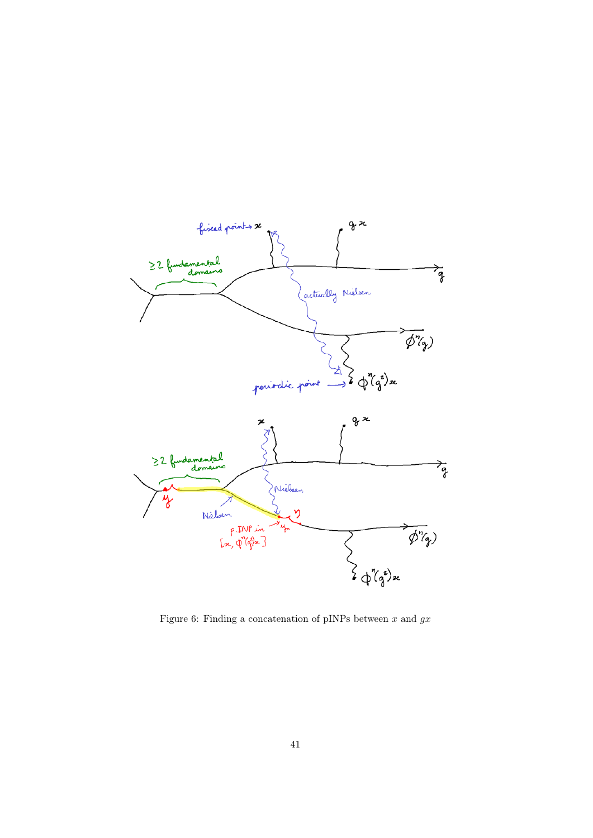

<span id="page-40-0"></span>Figure 6: Finding a concatenation of pINPs between  $x$  and  $gx$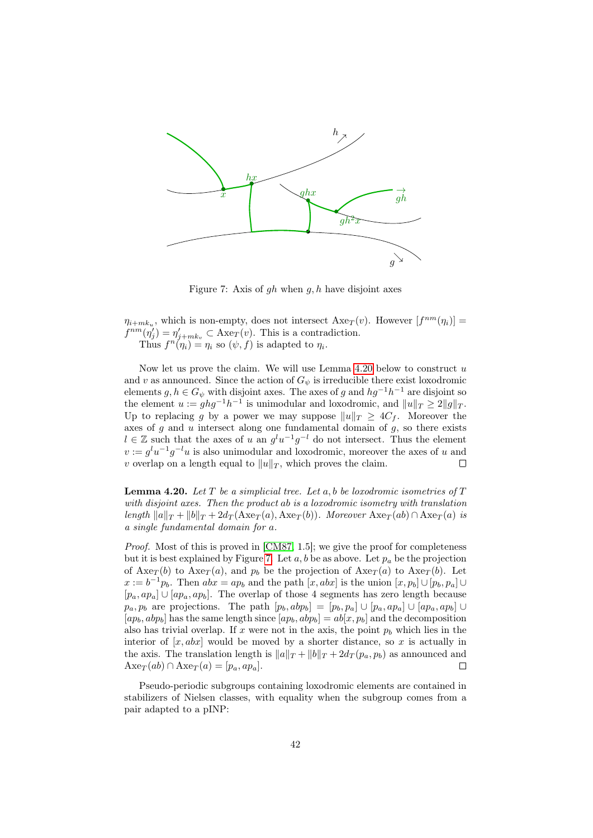

<span id="page-41-1"></span>Figure 7: Axis of  $gh$  when  $g, h$  have disjoint axes

 $\eta_{i+mk_u}$ , which is non-empty, does not intersect  $Axe_T(v)$ . However  $[f^{nm}(\eta_i)] =$  $f^{nm}(\eta'_j) = \eta'_{j+mk_v} \subset \text{Axe}_T(v)$ . This is a contradiction. Thus  $f^n(\eta_i) = \eta_i$  so  $(\psi, f)$  is adapted to  $\eta_i$ .

Now let us prove the claim. We will use Lemma [4.20](#page-41-0) below to construct  $u$ and v as announced. Since the action of  $G_{\psi}$  is irreducible there exist loxodromic elements  $g, h \in G_{\psi}$  with disjoint axes. The axes of g and  $hg^{-1}h^{-1}$  are disjoint so the element  $u := ghg^{-1}h^{-1}$  is unimodular and loxodromic, and  $||u||_T \geq 2||g||_T$ . Up to replacing g by a power we may suppose  $||u||_T \geq 4C_f$ . Moreover the axes of  $g$  and  $u$  intersect along one fundamental domain of  $g$ , so there exists  $l \in \mathbb{Z}$  such that the axes of u an  $g^l u^{-1} g^{-l}$  do not intersect. Thus the element  $v := g^l u^{-1} g^{-l} u$  is also unimodular and loxodromic, moreover the axes of u and v overlap on a length equal to  $||u||_T$ , which proves the claim.  $\Box$ 

<span id="page-41-0"></span>**Lemma 4.20.** Let  $T$  be a simplicial tree. Let  $a, b$  be loxodromic isometries of  $T$ with disjoint axes. Then the product ab is a loxodromic isometry with translation length  $||a||_T + ||b||_T + 2d_T(Axe_T(a), Axe_T(b)).$  Moreover  $Axe_T(ab) \cap Axe_T(a)$  is a single fundamental domain for a.

*Proof.* Most of this is proved in  $[CM87, 1.5]$  $[CM87, 1.5]$ ; we give the proof for completeness but it is best explained by Figure [7.](#page-41-1) Let  $a, b$  be as above. Let  $p_a$  be the projection of  $Axe_T(b)$  to  $Axe_T(a)$ , and  $p_b$  be the projection of  $Axe_T(a)$  to  $Axe_T(b)$ . Let  $x := b^{-1}p_b$ . Then  $abx = ap_b$  and the path  $[x, abx]$  is the union  $[x, p_b] \cup [p_b, p_a] \cup$  $[p_a, ap_a] \cup [ap_a, ap_b]$ . The overlap of those 4 segments has zero length because  $p_a, p_b$  are projections. The path  $[p_b, abp_b] = [p_b, p_a] \cup [p_a, ap_a] \cup [ap_a, ap_b] \cup$  $[ap_b, abp_b]$  has the same length since  $[ap_b, abp_b] = ab[x, p_b]$  and the decomposition also has trivial overlap. If x were not in the axis, the point  $p_b$  which lies in the interior of  $[x, abx]$  would be moved by a shorter distance, so x is actually in the axis. The translation length is  $||a||_T + ||b||_T + 2d_T(p_a, p_b)$  as announced and  $\text{Axe}_T(ab) \cap \text{Axe}_T(a) = [p_a, ap_a].$  $\Box$ 

Pseudo-periodic subgroups containing loxodromic elements are contained in stabilizers of Nielsen classes, with equality when the subgroup comes from a pair adapted to a pINP: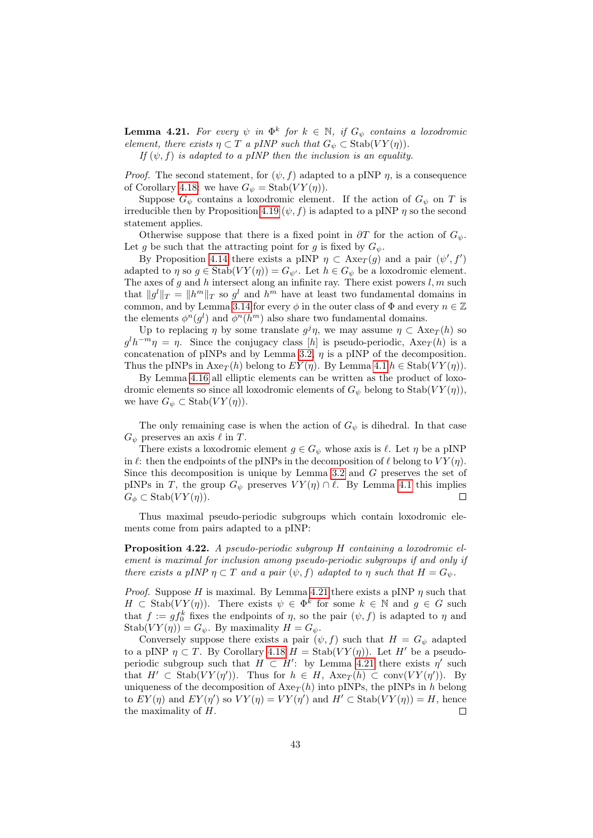<span id="page-42-0"></span>**Lemma 4.21.** For every  $\psi$  in  $\Phi^k$  for  $k \in \mathbb{N}$ , if  $G_{\psi}$  contains a loxodromic element, there exists  $\eta \subset T$  a pINP such that  $G_{\psi} \subset \text{Stab}(VY(\eta)).$ 

If  $(\psi, f)$  is adapted to a pINP then the inclusion is an equality.

*Proof.* The second statement, for  $(\psi, f)$  adapted to a pINP  $\eta$ , is a consequence of Corollary [4.18:](#page-39-0) we have  $G_{\psi} = \text{Stab}(VY(\eta)).$ 

Suppose  $G_{\psi}$  contains a loxodromic element. If the action of  $G_{\psi}$  on T is irreducible then by Proposition [4.19](#page-39-1)  $(\psi, f)$  is adapted to a pINP  $\eta$  so the second statement applies.

Otherwise suppose that there is a fixed point in  $\partial T$  for the action of  $G_{\psi}$ . Let g be such that the attracting point for g is fixed by  $G_{\psi}$ .

By Proposition [4.14](#page-37-1) there exists a pINP  $\eta \subset \text{Axe}_T(g)$  and a pair  $(\psi', f')$ adapted to  $\eta$  so  $g \in \text{Stab}(VY(\eta)) = G_{\psi'}$ . Let  $h \in G_{\psi}$  be a loxodromic element. The axes of  $g$  and  $h$  intersect along an infinite ray. There exist powers  $l, m$  such that  $||g^l||_T = ||h^m||_T$  so  $g^l$  and  $h^m$  have at least two fundamental domains in common, and by Lemma [3.14](#page-28-0) for every  $\phi$  in the outer class of  $\Phi$  and every  $n \in \mathbb{Z}$ the elements  $\phi^n(g^l)$  and  $\phi^n(h^m)$  also share two fundamental domains.

Up to replacing  $\eta$  by some translate  $g^j \eta$ , we may assume  $\eta \subset \text{Axe}_{T}(h)$  so  $g^l h^{-m} \eta = \eta$ . Since the conjugacy class [h] is pseudo-periodic,  $A x e_T(h)$  is a concatenation of pINPs and by Lemma [3.2,](#page-22-0)  $\eta$  is a pINP of the decomposition. Thus the pINPs in  $Axe_T(h)$  belong to  $EY(\eta)$ . By Lemma [4.1](#page-32-1)  $h \in \text{Stab}(VY(\eta))$ .

By Lemma [4.16](#page-37-0) all elliptic elements can be written as the product of loxodromic elements so since all loxodromic elements of  $G_{\psi}$  belong to  $\text{Stab}(VY(\eta)),$ we have  $G_{\psi} \subset \text{Stab}(VY(\eta)).$ 

The only remaining case is when the action of  $G_{\psi}$  is dihedral. In that case  $G_{\psi}$  preserves an axis  $\ell$  in T.

There exists a loxodromic element  $g \in G_{\psi}$  whose axis is  $\ell$ . Let  $\eta$  be a pINP in  $\ell$ : then the endpoints of the pINPs in the decomposition of  $\ell$  belong to  $V Y(\eta)$ . Since this decomposition is unique by Lemma [3.2](#page-22-0) and G preserves the set of pINPs in T, the group  $G_{\psi}$  preserves  $V Y(\eta) \cap \ell$ . By Lemma [4.1](#page-32-1) this implies  $G_{\phi} \subset \text{Stab}(VY(\eta)).$  $\Box$ 

Thus maximal pseudo-periodic subgroups which contain loxodromic elements come from pairs adapted to a pINP:

<span id="page-42-1"></span>Proposition 4.22. A pseudo-periodic subgroup H containing a loxodromic element is maximal for inclusion among pseudo-periodic subgroups if and only if there exists a pINP  $\eta \subset T$  and a pair  $(\psi, f)$  adapted to  $\eta$  such that  $H = G_{\psi}$ .

*Proof.* Suppose H is maximal. By Lemma [4.21](#page-42-0) there exists a pINP  $\eta$  such that  $H \subset \text{Stab}(VY(\eta)).$  There exists  $\psi \in \Phi^k$  for some  $k \in \mathbb{N}$  and  $g \in G$  such that  $f := gf_0^k$  fixes the endpoints of  $\eta$ , so the pair  $(\psi, f)$  is adapted to  $\eta$  and  $Stab(VY(\eta)) = G_{\psi}$ . By maximality  $H = G_{\psi}$ .

Conversely suppose there exists a pair  $(\psi, f)$  such that  $H = G_{\psi}$  adapted to a pINP  $\eta \subset T$ . By Corollary [4.18](#page-39-0)  $H = \text{Stab}(VY(\eta))$ . Let H' be a pseudoperiodic subgroup such that  $H \subset H'$ : by Lemma [4.21](#page-42-0) there exists  $\eta'$  such that  $H' \subset \text{Stab}(VY(\eta'))$ . Thus for  $h \in H$ ,  $Axe_T(h) \subset \text{conv}(VY(\eta'))$ . By uniqueness of the decomposition of  $Axe_T(h)$  into pINPs, the pINPs in h belong to  $EY(\eta)$  and  $EY(\eta')$  so  $VY(\eta) = VY(\eta')$  and  $H' \subset \text{Stab}(VY(\eta)) = H$ , hence the maximality of  $H$ .  $\Box$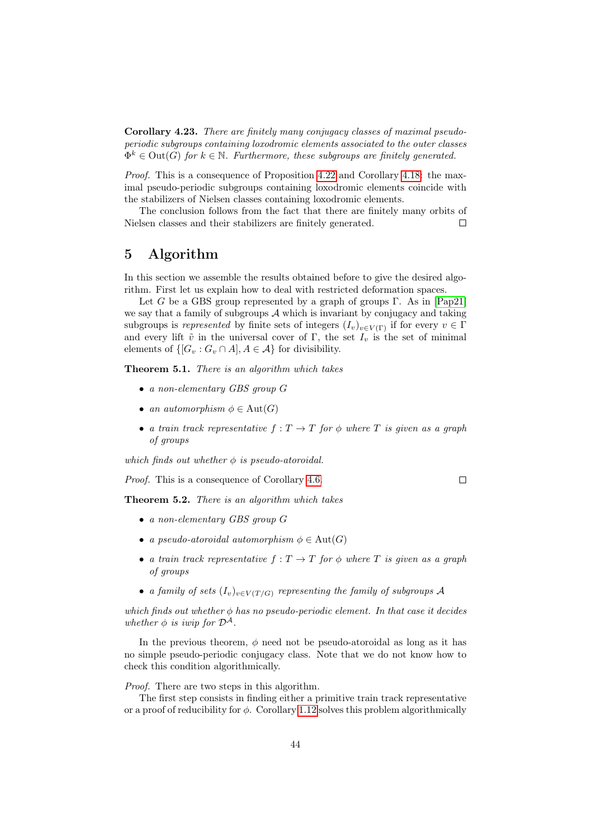Corollary 4.23. There are finitely many conjugacy classes of maximal pseudoperiodic subgroups containing loxodromic elements associated to the outer classes  $\Phi^k \in \text{Out}(G)$  for  $k \in \mathbb{N}$ . Furthermore, these subgroups are finitely generated.

Proof. This is a consequence of Proposition [4.22](#page-42-1) and Corollary [4.18:](#page-39-0) the maximal pseudo-periodic subgroups containing loxodromic elements coincide with the stabilizers of Nielsen classes containing loxodromic elements.

The conclusion follows from the fact that there are finitely many orbits of Nielsen classes and their stabilizers are finitely generated.  $\Box$ 

## <span id="page-43-0"></span>5 Algorithm

In this section we assemble the results obtained before to give the desired algorithm. First let us explain how to deal with restricted deformation spaces.

Let G be a GBS group represented by a graph of groups Γ. As in [\[Pap21\]](#page-45-0) we say that a family of subgroups  $A$  which is invariant by conjugacy and taking subgroups is represented by finite sets of integers  $(I_v)_{v \in V(\Gamma)}$  if for every  $v \in \Gamma$ and every lift  $\tilde{v}$  in the universal cover of Γ, the set  $I_v$  is the set of minimal elements of  $\{[G_v:G_v\cap A], A\in\mathcal{A}\}\$ for divisibility.

Theorem 5.1. There is an algorithm which takes

- a non-elementary GBS group G
- an automorphism  $\phi \in \text{Aut}(G)$
- a train track representative  $f: T \to T$  for  $\phi$  where T is given as a graph of groups

which finds out whether  $\phi$  is pseudo-atoroidal.

Proof. This is a consequence of Corollary [4.6.](#page-34-1)

Theorem 5.2. There is an algorithm which takes

- a non-elementary GBS group G
- a pseudo-atoroidal automorphism  $\phi \in \text{Aut}(G)$
- a train track representative  $f: T \to T$  for  $\phi$  where T is given as a graph of groups
- a family of sets  $(I_v)_{v \in V(T/G)}$  representing the family of subgroups A

which finds out whether  $\phi$  has no pseudo-periodic element. In that case it decides whether  $\phi$  is iwip for  $\mathcal{D}^{\mathcal{A}}$ .

In the previous theorem,  $\phi$  need not be pseudo-atoroidal as long as it has no simple pseudo-periodic conjugacy class. Note that we do not know how to check this condition algorithmically.

Proof. There are two steps in this algorithm.

The first step consists in finding either a primitive train track representative or a proof of reducibility for  $\phi$ . Corollary [1.12](#page-13-0) solves this problem algorithmically

 $\Box$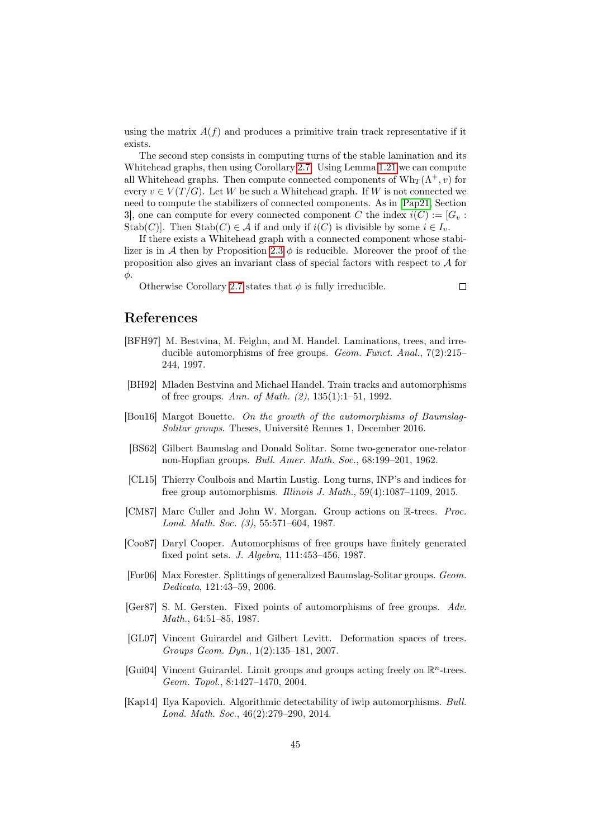using the matrix  $A(f)$  and produces a primitive train track representative if it exists.

The second step consists in computing turns of the stable lamination and its Whitehead graphs, then using Corollary [2.7.](#page-20-0) Using Lemma [1.21](#page-15-0) we can compute all Whitehead graphs. Then compute connected components of  $Wh_{\mathcal{T}}(\Lambda^+, v)$  for every  $v \in V(T/G)$ . Let W be such a Whitehead graph. If W is not connected we need to compute the stabilizers of connected components. As in [\[Pap21,](#page-45-0) Section 3, one can compute for every connected component C the index  $i(C) := [G_v : G]$ Stab(C)]. Then Stab(C)  $\in \mathcal{A}$  if and only if  $i(C)$  is divisible by some  $i \in I_v$ .

If there exists a Whitehead graph with a connected component whose stabi-lizer is in A then by Proposition [2.3](#page-17-1)  $\phi$  is reducible. Moreover the proof of the proposition also gives an invariant class of special factors with respect to A for φ.

Otherwise Corollary [2.7](#page-20-0) states that  $\phi$  is fully irreducible.

 $\Box$ 

## References

- <span id="page-44-8"></span>[BFH97] M. Bestvina, M. Feighn, and M. Handel. Laminations, trees, and irreducible automorphisms of free groups. *Geom. Funct. Anal.*,  $7(2):215-$ 244, 1997.
- <span id="page-44-2"></span>[BH92] Mladen Bestvina and Michael Handel. Train tracks and automorphisms of free groups. Ann. of Math. (2), 135(1):1–51, 1992.
- <span id="page-44-3"></span>[Bou16] Margot Bouette. On the growth of the automorphisms of Baumslag-Solitar groups. Theses, Université Rennes 1, December 2016.
- <span id="page-44-0"></span>[BS62] Gilbert Baumslag and Donald Solitar. Some two-generator one-relator non-Hopfian groups. Bull. Amer. Math. Soc., 68:199–201, 1962.
- <span id="page-44-10"></span>[CL15] Thierry Coulbois and Martin Lustig. Long turns, INP's and indices for free group automorphisms. Illinois J. Math., 59(4):1087–1109, 2015.
- <span id="page-44-11"></span>[CM87] Marc Culler and John W. Morgan. Group actions on R-trees. Proc. Lond. Math. Soc. (3), 55:571–604, 1987.
- <span id="page-44-7"></span>[Coo87] Daryl Cooper. Automorphisms of free groups have finitely generated fixed point sets. J. Algebra, 111:453–456, 1987.
- <span id="page-44-1"></span>[For06] Max Forester. Splittings of generalized Baumslag-Solitar groups. Geom. Dedicata, 121:43–59, 2006.
- <span id="page-44-5"></span>[Ger87] S. M. Gersten. Fixed points of automorphisms of free groups. Adv. Math., 64:51–85, 1987.
- <span id="page-44-6"></span>[GL07] Vincent Guirardel and Gilbert Levitt. Deformation spaces of trees. Groups Geom. Dyn., 1(2):135–181, 2007.
- <span id="page-44-9"></span>[Gui04] Vincent Guirardel. Limit groups and groups acting freely on  $\mathbb{R}^n$ -trees. Geom. Topol., 8:1427–1470, 2004.
- <span id="page-44-4"></span>[Kap14] Ilya Kapovich. Algorithmic detectability of iwip automorphisms. Bull. Lond. Math. Soc., 46(2):279–290, 2014.